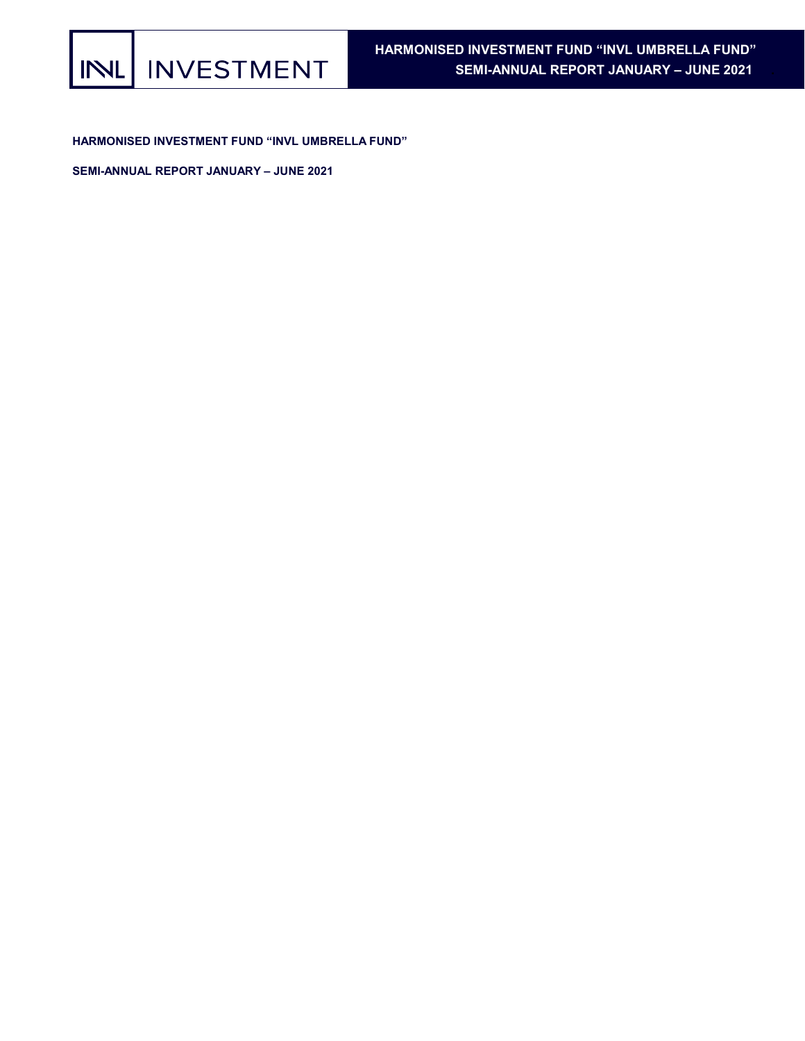HARMONISED INVESTMENT FUND "INVL UMBRELLA FUND"

SEMI-ANNUAL REPORT JANUARY – JUNE 2021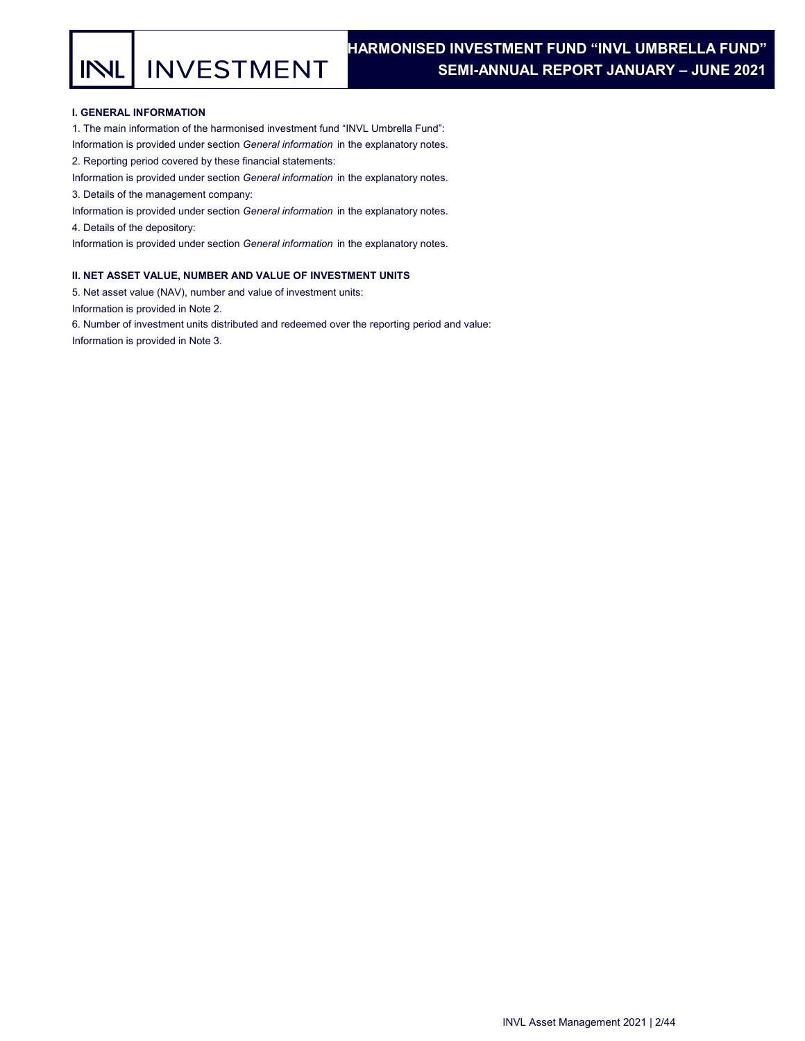**INVESTMENT** INL

## I. GENERAL INFORMATION

1. The main information of the harmonised investment fund "INVL Umbrella Fund":

Information is provided under section General information in the explanatory notes.

2. Reporting period covered by these financial statements:

Information is provided under section General information in the explanatory notes.

3. Details of the management company:

Information is provided under section General information in the explanatory notes.

4. Details of the depository:

Information is provided under section General information in the explanatory notes.

## II. NET ASSET VALUE, NUMBER AND VALUE OF INVESTMENT UNITS

5. Net asset value (NAV), number and value of investment units:

Information is provided in Note 2.

6. Number of investment units distributed and redeemed over the reporting period and value:

Information is provided in Note 3.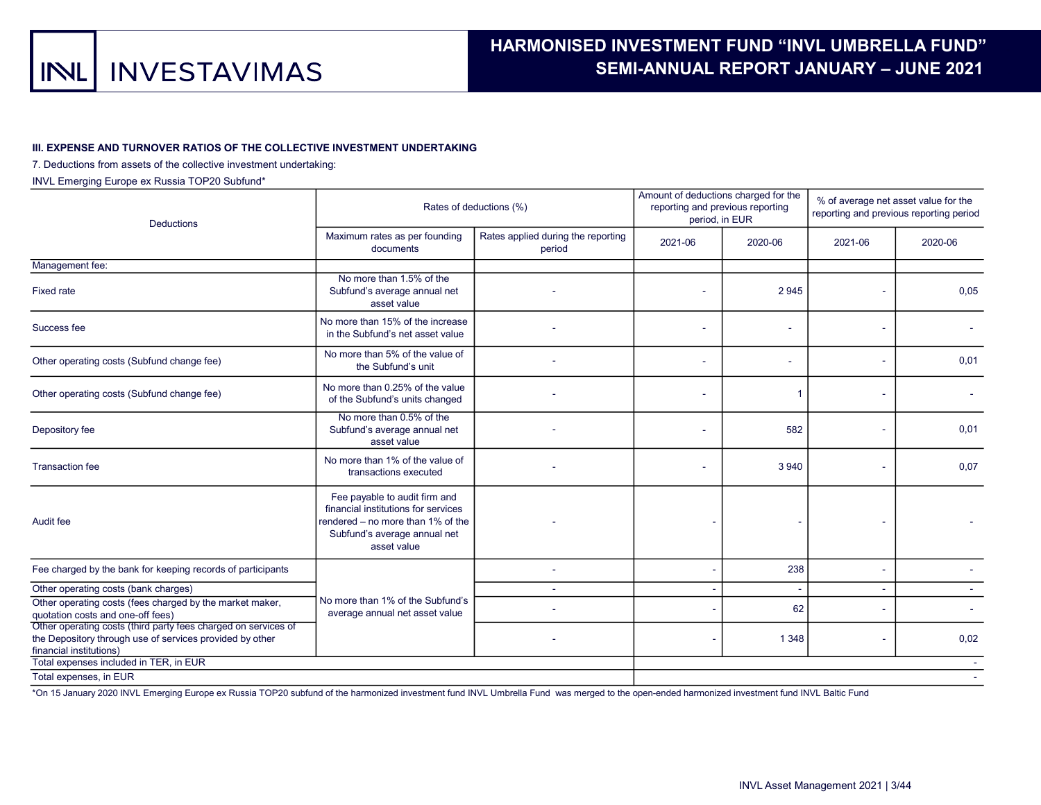#### III. EXPENSE AND TURNOVER RATIOS OF THE COLLECTIVE INVESTMENT UNDERTAKING

### 7. Deductions from assets of the collective investment undertaking:

INVL Emerging Europe ex Russia TOP20 Subfund\*

| <b>Deductions</b>                                                                                                                                     |                                                                                                                                                          | Rates of deductions (%)                      | Amount of deductions charged for the<br>reporting and previous reporting<br>period, in EUR |         | % of average net asset value for the<br>reporting and previous reporting period |         |
|-------------------------------------------------------------------------------------------------------------------------------------------------------|----------------------------------------------------------------------------------------------------------------------------------------------------------|----------------------------------------------|--------------------------------------------------------------------------------------------|---------|---------------------------------------------------------------------------------|---------|
|                                                                                                                                                       | Maximum rates as per founding<br>documents                                                                                                               | Rates applied during the reporting<br>period | 2021-06                                                                                    | 2020-06 | 2021-06                                                                         | 2020-06 |
| Management fee:                                                                                                                                       |                                                                                                                                                          |                                              |                                                                                            |         |                                                                                 |         |
| <b>Fixed rate</b>                                                                                                                                     | No more than 1.5% of the<br>Subfund's average annual net<br>asset value                                                                                  |                                              |                                                                                            | 2945    |                                                                                 | 0,05    |
| Success fee                                                                                                                                           | No more than 15% of the increase<br>in the Subfund's net asset value                                                                                     |                                              |                                                                                            | ÷       |                                                                                 |         |
| Other operating costs (Subfund change fee)                                                                                                            | No more than 5% of the value of<br>the Subfund's unit                                                                                                    |                                              |                                                                                            |         |                                                                                 | 0,01    |
| Other operating costs (Subfund change fee)                                                                                                            | No more than 0.25% of the value<br>of the Subfund's units changed                                                                                        |                                              |                                                                                            | 1       |                                                                                 |         |
| Depository fee                                                                                                                                        | No more than 0.5% of the<br>Subfund's average annual net<br>asset value                                                                                  |                                              |                                                                                            | 582     |                                                                                 | 0,01    |
| <b>Transaction fee</b>                                                                                                                                | No more than 1% of the value of<br>transactions executed                                                                                                 |                                              |                                                                                            | 3 9 4 0 |                                                                                 | 0,07    |
| Audit fee                                                                                                                                             | Fee payable to audit firm and<br>financial institutions for services<br>rendered – no more than 1% of the<br>Subfund's average annual net<br>asset value |                                              |                                                                                            |         |                                                                                 |         |
| Fee charged by the bank for keeping records of participants                                                                                           |                                                                                                                                                          |                                              |                                                                                            | 238     |                                                                                 |         |
| Other operating costs (bank charges)                                                                                                                  |                                                                                                                                                          |                                              |                                                                                            |         |                                                                                 |         |
| Other operating costs (fees charged by the market maker,<br>quotation costs and one-off fees)                                                         | No more than 1% of the Subfund's<br>average annual net asset value                                                                                       |                                              |                                                                                            | 62      |                                                                                 |         |
| Other operating costs (third party fees charged on services of<br>the Depository through use of services provided by other<br>financial institutions) |                                                                                                                                                          |                                              |                                                                                            | 1 3 4 8 |                                                                                 | 0,02    |
| Total expenses included in TER, in EUR                                                                                                                |                                                                                                                                                          |                                              |                                                                                            |         |                                                                                 |         |
| Total expenses, in EUR                                                                                                                                |                                                                                                                                                          |                                              |                                                                                            |         |                                                                                 |         |

\*On 15 January 2020 INVL Emerging Europe ex Russia TOP20 subfund of the harmonized investment fund INVL Umbrella Fund was merged to the open-ended harmonized investment fund INVL Baltic Fund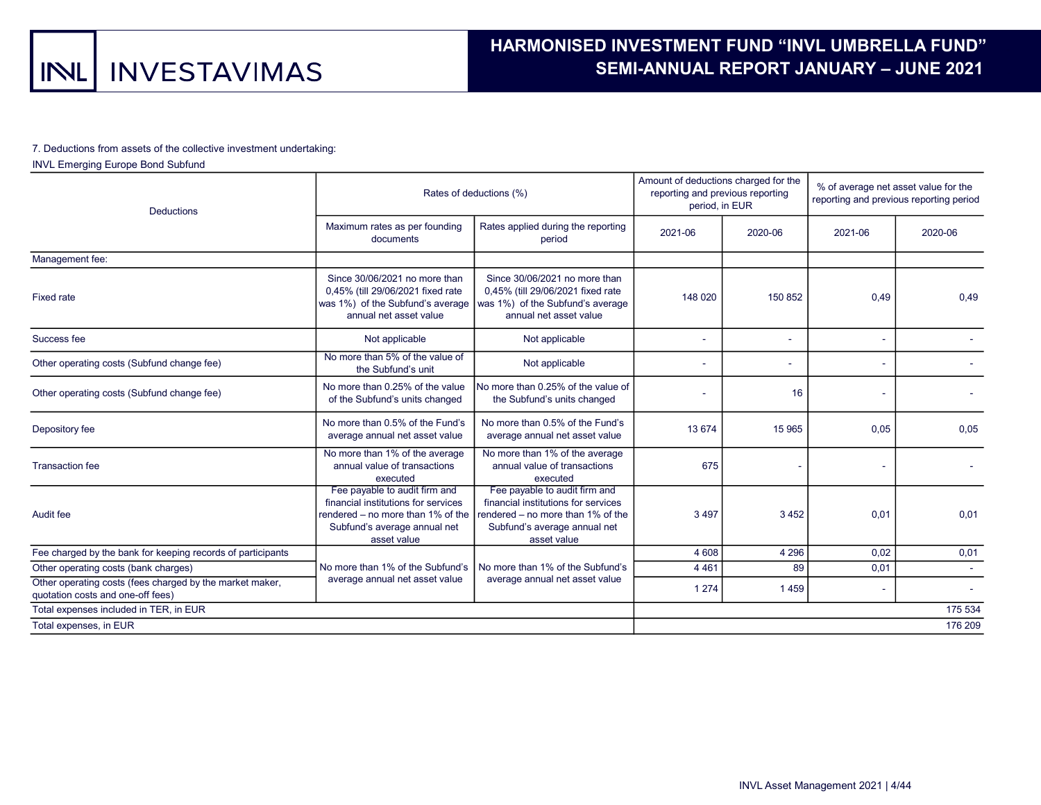### 7. Deductions from assets of the collective investment undertaking:

## INVL Emerging Europe Bond Subfund

| <b>Deductions</b>                                                                             |                                                                                                                     | Rates of deductions (%)                                                                                                                                                                        | Amount of deductions charged for the<br>reporting and previous reporting<br>period, in EUR |         | % of average net asset value for the<br>reporting and previous reporting period |         |  |
|-----------------------------------------------------------------------------------------------|---------------------------------------------------------------------------------------------------------------------|------------------------------------------------------------------------------------------------------------------------------------------------------------------------------------------------|--------------------------------------------------------------------------------------------|---------|---------------------------------------------------------------------------------|---------|--|
|                                                                                               | Maximum rates as per founding<br>documents                                                                          | Rates applied during the reporting<br>period                                                                                                                                                   | 2021-06                                                                                    | 2020-06 | 2021-06                                                                         | 2020-06 |  |
| Management fee:                                                                               |                                                                                                                     |                                                                                                                                                                                                |                                                                                            |         |                                                                                 |         |  |
| <b>Fixed rate</b>                                                                             | Since 30/06/2021 no more than<br>0,45% (till 29/06/2021 fixed rate<br>annual net asset value                        | Since 30/06/2021 no more than<br>0,45% (till 29/06/2021 fixed rate<br>was $1\%$ ) of the Subfund's average (was $1\%$ ) of the Subfund's average<br>annual net asset value                     | 148 020                                                                                    | 150 852 | 0,49                                                                            | 0.49    |  |
| Success fee                                                                                   | Not applicable                                                                                                      | Not applicable                                                                                                                                                                                 |                                                                                            | $\sim$  |                                                                                 |         |  |
| Other operating costs (Subfund change fee)                                                    | No more than 5% of the value of<br>the Subfund's unit                                                               | Not applicable                                                                                                                                                                                 |                                                                                            |         |                                                                                 |         |  |
| Other operating costs (Subfund change fee)                                                    | No more than 0.25% of the value<br>of the Subfund's units changed                                                   | No more than 0.25% of the value of<br>the Subfund's units changed                                                                                                                              |                                                                                            | 16      |                                                                                 |         |  |
| Depository fee                                                                                | No more than 0.5% of the Fund's<br>average annual net asset value                                                   | No more than 0.5% of the Fund's<br>average annual net asset value                                                                                                                              | 13 674                                                                                     | 15 9 65 | 0,05                                                                            | 0,05    |  |
| <b>Transaction fee</b>                                                                        | No more than 1% of the average<br>annual value of transactions<br>executed                                          | No more than 1% of the average<br>annual value of transactions<br>executed                                                                                                                     | 675                                                                                        |         |                                                                                 |         |  |
| Audit fee                                                                                     | Fee payable to audit firm and<br>financial institutions for services<br>Subfund's average annual net<br>asset value | Fee payable to audit firm and<br>financial institutions for services<br>rendered – no more than 1% of the $ $ rendered – no more than 1% of the<br>Subfund's average annual net<br>asset value | 3 4 9 7                                                                                    | 3452    | 0,01                                                                            | 0,01    |  |
| Fee charged by the bank for keeping records of participants                                   |                                                                                                                     |                                                                                                                                                                                                | 4 608                                                                                      | 4 2 9 6 | 0,02                                                                            | 0,01    |  |
| Other operating costs (bank charges)                                                          | No more than 1% of the Subfund's                                                                                    | No more than 1% of the Subfund's                                                                                                                                                               | 4 4 6 1                                                                                    | 89      | 0,01                                                                            |         |  |
| Other operating costs (fees charged by the market maker,<br>quotation costs and one-off fees) | average annual net asset value                                                                                      | average annual net asset value                                                                                                                                                                 | 1 2 7 4                                                                                    | 1459    |                                                                                 |         |  |
| Total expenses included in TER, in EUR                                                        |                                                                                                                     |                                                                                                                                                                                                |                                                                                            |         |                                                                                 | 175 534 |  |
| Total expenses, in EUR                                                                        |                                                                                                                     |                                                                                                                                                                                                |                                                                                            |         |                                                                                 | 176 209 |  |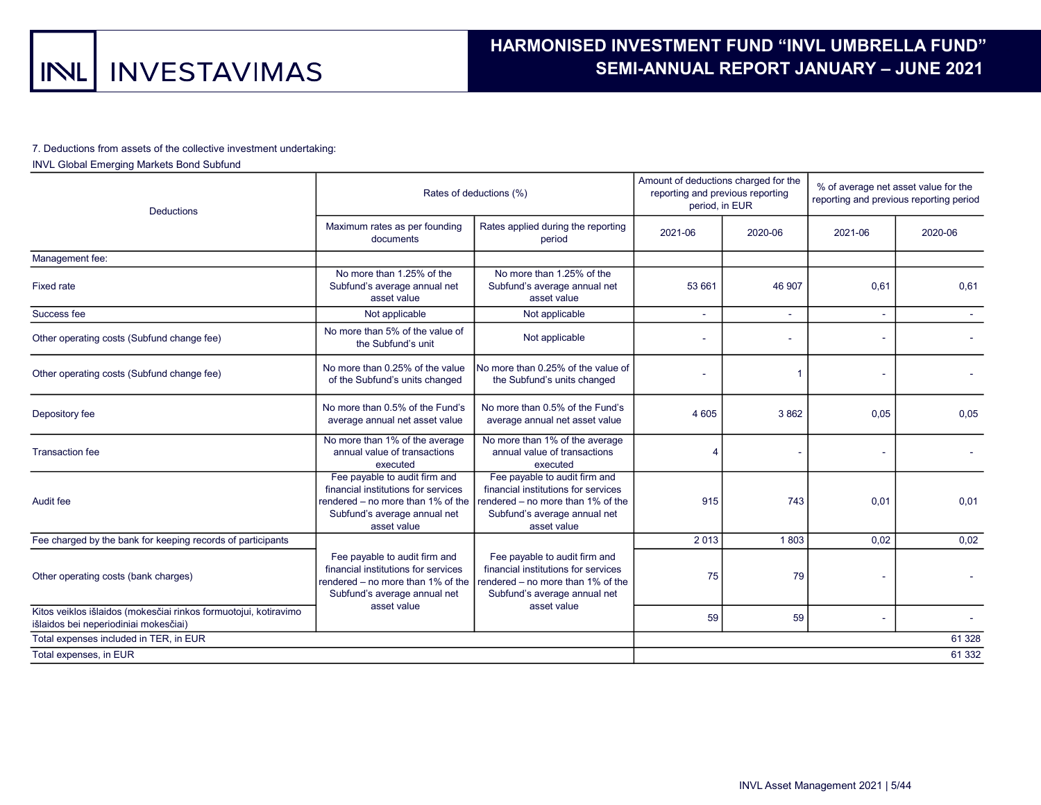### 7. Deductions from assets of the collective investment undertaking:

## INVL Global Emerging Markets Bond Subfund

| <b>Deductions</b>                                                                                         |                                                                                                                                                          | Rates of deductions (%)                                                                                                                                  | Amount of deductions charged for the<br>reporting and previous reporting<br>period, in EUR |         | % of average net asset value for the<br>reporting and previous reporting period |         |  |
|-----------------------------------------------------------------------------------------------------------|----------------------------------------------------------------------------------------------------------------------------------------------------------|----------------------------------------------------------------------------------------------------------------------------------------------------------|--------------------------------------------------------------------------------------------|---------|---------------------------------------------------------------------------------|---------|--|
|                                                                                                           | Maximum rates as per founding<br>documents                                                                                                               | Rates applied during the reporting<br>period                                                                                                             | 2021-06                                                                                    | 2020-06 | 2021-06                                                                         | 2020-06 |  |
| Management fee:                                                                                           |                                                                                                                                                          |                                                                                                                                                          |                                                                                            |         |                                                                                 |         |  |
| <b>Fixed rate</b>                                                                                         | No more than 1.25% of the<br>Subfund's average annual net<br>asset value                                                                                 | No more than 1.25% of the<br>Subfund's average annual net<br>asset value                                                                                 | 53 661                                                                                     | 46 907  | 0.61                                                                            | 0.61    |  |
| Success fee                                                                                               | Not applicable                                                                                                                                           | Not applicable                                                                                                                                           |                                                                                            |         |                                                                                 |         |  |
| Other operating costs (Subfund change fee)                                                                | No more than 5% of the value of<br>the Subfund's unit                                                                                                    | Not applicable                                                                                                                                           |                                                                                            |         |                                                                                 |         |  |
| Other operating costs (Subfund change fee)                                                                | No more than 0.25% of the value<br>of the Subfund's units changed                                                                                        | No more than 0.25% of the value of<br>the Subfund's units changed                                                                                        |                                                                                            | 1       |                                                                                 |         |  |
| Depository fee                                                                                            | No more than 0.5% of the Fund's<br>average annual net asset value                                                                                        | No more than 0.5% of the Fund's<br>average annual net asset value                                                                                        | 4 6 0 5                                                                                    | 3862    | 0.05                                                                            | 0.05    |  |
| <b>Transaction fee</b>                                                                                    | No more than 1% of the average<br>annual value of transactions<br>executed                                                                               | No more than 1% of the average<br>annual value of transactions<br>executed                                                                               |                                                                                            |         |                                                                                 |         |  |
| Audit fee                                                                                                 | Fee payable to audit firm and<br>financial institutions for services<br>rendered – no more than 1% of the<br>Subfund's average annual net<br>asset value | Fee payable to audit firm and<br>financial institutions for services<br>rendered – no more than 1% of the<br>Subfund's average annual net<br>asset value | 915                                                                                        | 743     | 0,01                                                                            | 0,01    |  |
| Fee charged by the bank for keeping records of participants                                               |                                                                                                                                                          |                                                                                                                                                          | 2013                                                                                       | 1803    | 0,02                                                                            | 0,02    |  |
| Other operating costs (bank charges)                                                                      | Fee payable to audit firm and<br>financial institutions for services<br>rendered – no more than 1% of the<br>Subfund's average annual net                | Fee payable to audit firm and<br>financial institutions for services<br>rendered – no more than 1% of the<br>Subfund's average annual net                | 75                                                                                         | 79      |                                                                                 |         |  |
| Kitos veiklos išlaidos (mokesčiai rinkos formuotojui, kotiravimo<br>išlaidos bei neperiodiniai mokesčiai) | asset value                                                                                                                                              | asset value                                                                                                                                              | 59                                                                                         | 59      |                                                                                 |         |  |
| Total expenses included in TER, in EUR                                                                    |                                                                                                                                                          |                                                                                                                                                          |                                                                                            |         |                                                                                 | 61 328  |  |
| Total expenses, in EUR                                                                                    |                                                                                                                                                          |                                                                                                                                                          |                                                                                            |         |                                                                                 | 61 332  |  |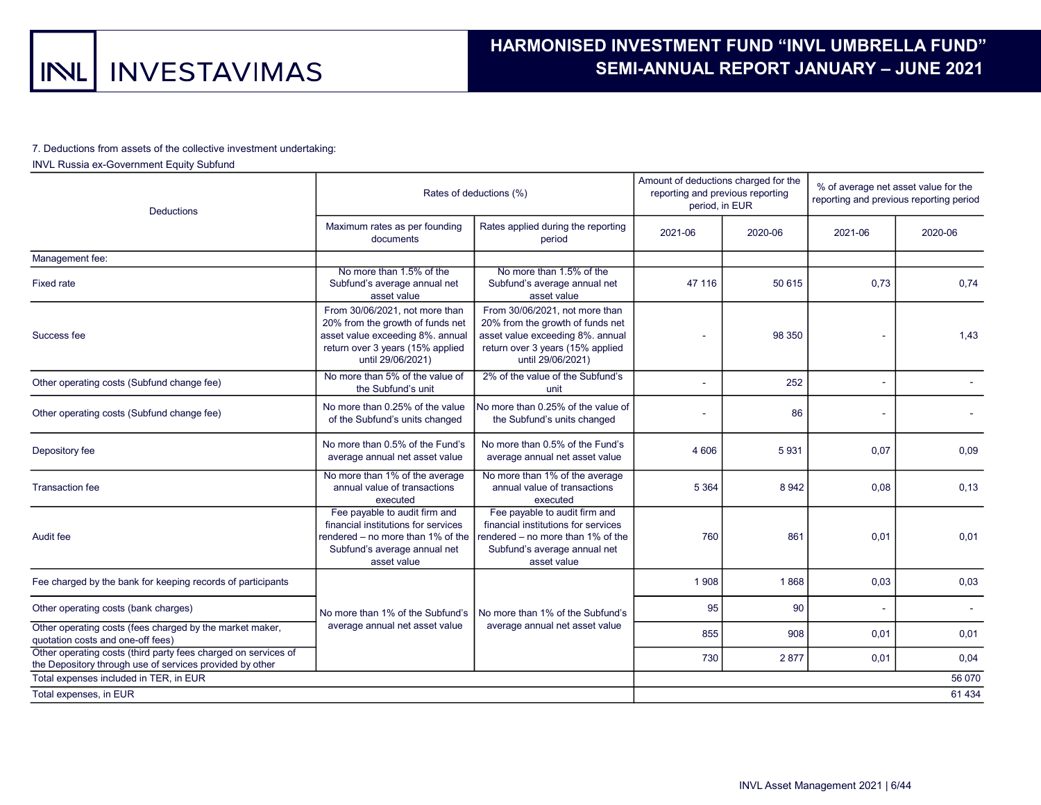### 7. Deductions from assets of the collective investment undertaking:

## INVL Russia ex-Government Equity Subfund

| <b>Deductions</b>                                                                                                          |                                                                                                                                                                 | Rates of deductions (%)                                                                                                                                         | Amount of deductions charged for the<br>reporting and previous reporting<br>period, in EUR |         | % of average net asset value for the<br>reporting and previous reporting period |         |  |
|----------------------------------------------------------------------------------------------------------------------------|-----------------------------------------------------------------------------------------------------------------------------------------------------------------|-----------------------------------------------------------------------------------------------------------------------------------------------------------------|--------------------------------------------------------------------------------------------|---------|---------------------------------------------------------------------------------|---------|--|
|                                                                                                                            | Maximum rates as per founding<br>documents                                                                                                                      | Rates applied during the reporting<br>period                                                                                                                    | 2021-06                                                                                    | 2020-06 | 2021-06                                                                         | 2020-06 |  |
| Management fee:                                                                                                            |                                                                                                                                                                 |                                                                                                                                                                 |                                                                                            |         |                                                                                 |         |  |
| <b>Fixed rate</b>                                                                                                          | No more than 1.5% of the<br>Subfund's average annual net<br>asset value                                                                                         | No more than 1.5% of the<br>Subfund's average annual net<br>asset value                                                                                         | 47 116                                                                                     | 50 615  | 0.73                                                                            | 0.74    |  |
| Success fee                                                                                                                | From 30/06/2021, not more than<br>20% from the growth of funds net<br>asset value exceeding 8%. annual<br>return over 3 years (15% applied<br>until 29/06/2021) | From 30/06/2021, not more than<br>20% from the growth of funds net<br>asset value exceeding 8%. annual<br>return over 3 years (15% applied<br>until 29/06/2021) |                                                                                            | 98 350  |                                                                                 | 1,43    |  |
| Other operating costs (Subfund change fee)                                                                                 | No more than 5% of the value of<br>the Subfund's unit                                                                                                           | 2% of the value of the Subfund's<br>unit                                                                                                                        |                                                                                            | 252     | L.                                                                              |         |  |
| Other operating costs (Subfund change fee)                                                                                 | No more than 0.25% of the value<br>of the Subfund's units changed                                                                                               | No more than 0.25% of the value of<br>the Subfund's units changed                                                                                               |                                                                                            | 86      |                                                                                 |         |  |
| Depository fee                                                                                                             | No more than 0.5% of the Fund's<br>average annual net asset value                                                                                               | No more than 0.5% of the Fund's<br>average annual net asset value                                                                                               | 4 60 6                                                                                     | 5931    | 0,07                                                                            | 0,09    |  |
| Transaction fee                                                                                                            | No more than 1% of the average<br>annual value of transactions<br>executed                                                                                      | No more than 1% of the average<br>annual value of transactions<br>executed                                                                                      | 5 3 6 4                                                                                    | 8942    | 0,08                                                                            | 0,13    |  |
| Audit fee                                                                                                                  | Fee payable to audit firm and<br>financial institutions for services<br>rendered – no more than 1% of the<br>Subfund's average annual net<br>asset value        | Fee payable to audit firm and<br>financial institutions for services<br>rendered – no more than 1% of the<br>Subfund's average annual net<br>asset value        | 760                                                                                        | 861     | 0,01                                                                            | 0,01    |  |
| Fee charged by the bank for keeping records of participants                                                                |                                                                                                                                                                 |                                                                                                                                                                 | 1908                                                                                       | 1868    | 0.03                                                                            | 0,03    |  |
| Other operating costs (bank charges)                                                                                       | No more than 1% of the Subfund's                                                                                                                                | No more than 1% of the Subfund's                                                                                                                                | 95                                                                                         | 90      |                                                                                 |         |  |
| Other operating costs (fees charged by the market maker,<br>quotation costs and one-off fees)                              | average annual net asset value                                                                                                                                  | average annual net asset value                                                                                                                                  | 855                                                                                        | 908     | 0,01                                                                            | 0,01    |  |
| Other operating costs (third party fees charged on services of<br>the Depository through use of services provided by other |                                                                                                                                                                 |                                                                                                                                                                 | 730                                                                                        | 2877    | 0,01                                                                            | 0,04    |  |
| Total expenses included in TER, in EUR                                                                                     |                                                                                                                                                                 |                                                                                                                                                                 |                                                                                            |         |                                                                                 | 56 070  |  |
| Total expenses, in EUR                                                                                                     |                                                                                                                                                                 |                                                                                                                                                                 |                                                                                            |         |                                                                                 | 61 4 34 |  |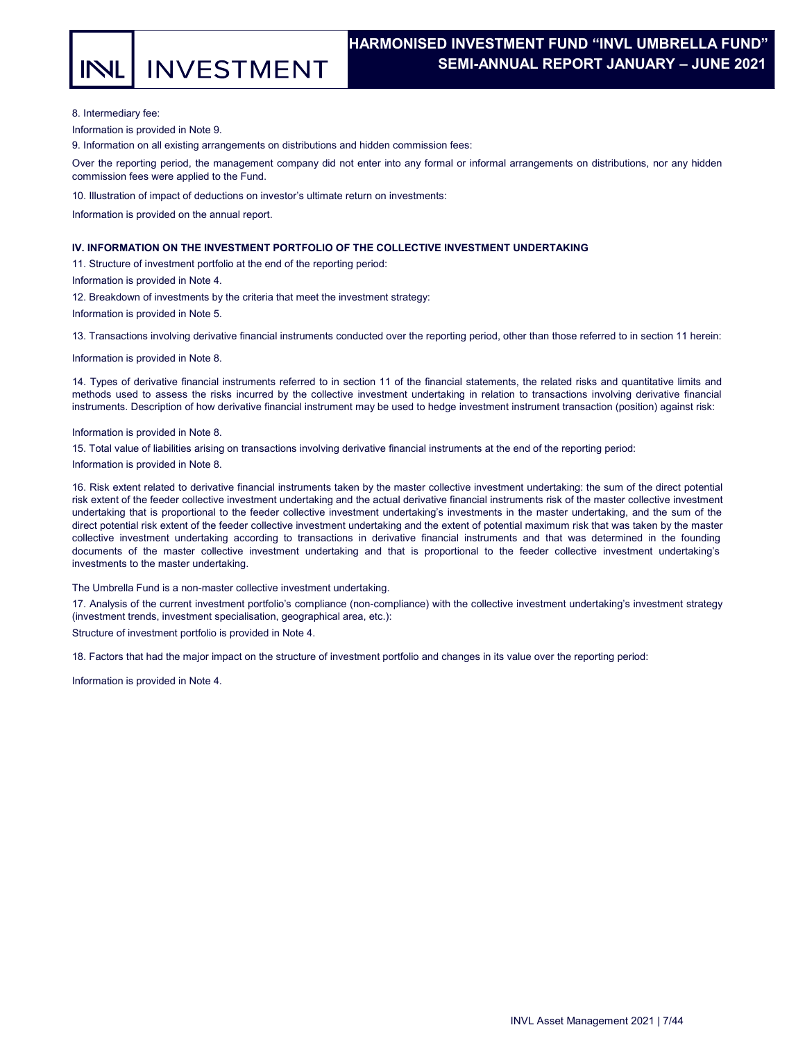**INVESTMENT** 

## HARMONISED INVESTMENT FUND "INVL UMBRELLA FUND". SEMI-ANNUAL REPORT JANUARY – JUNE 2021 .

8. Intermediary fee:

Information is provided in Note 9.

9. Information on all existing arrangements on distributions and hidden commission fees:

Over the reporting period, the management company did not enter into any formal or informal arrangements on distributions, nor any hidden commission fees were applied to the Fund.

10. Illustration of impact of deductions on investor's ultimate return on investments:

Information is provided on the annual report.

## IV. INFORMATION ON THE INVESTMENT PORTFOLIO OF THE COLLECTIVE INVESTMENT UNDERTAKING

11. Structure of investment portfolio at the end of the reporting period:

Information is provided in Note 4.

12. Breakdown of investments by the criteria that meet the investment strategy:

Information is provided in Note 5.

13. Transactions involving derivative financial instruments conducted over the reporting period, other than those referred to in section 11 herein:

Information is provided in Note 8.

14. Types of derivative financial instruments referred to in section 11 of the financial statements, the related risks and quantitative limits and methods used to assess the risks incurred by the collective investment undertaking in relation to transactions involving derivative financial instruments. Description of how derivative financial instrument may be used to hedge investment instrument transaction (position) against risk:

Information is provided in Note 8.

15. Total value of liabilities arising on transactions involving derivative financial instruments at the end of the reporting period: Information is provided in Note 8.

16. Risk extent related to derivative financial instruments taken by the master collective investment undertaking: the sum of the direct potential risk extent of the feeder collective investment undertaking and the actual derivative financial instruments risk of the master collective investment undertaking that is proportional to the feeder collective investment undertaking's investments in the master undertaking, and the sum of the direct potential risk extent of the feeder collective investment undertaking and the extent of potential maximum risk that was taken by the master collective investment undertaking according to transactions in derivative financial instruments and that was determined in the founding documents of the master collective investment undertaking and that is proportional to the feeder collective investment undertaking's investments to the master undertaking.

The Umbrella Fund is a non-master collective investment undertaking.

17. Analysis of the current investment portfolio's compliance (non-compliance) with the collective investment undertaking's investment strategy (investment trends, investment specialisation, geographical area, etc.):

Structure of investment portfolio is provided in Note 4.

18. Factors that had the major impact on the structure of investment portfolio and changes in its value over the reporting period:

Information is provided in Note 4.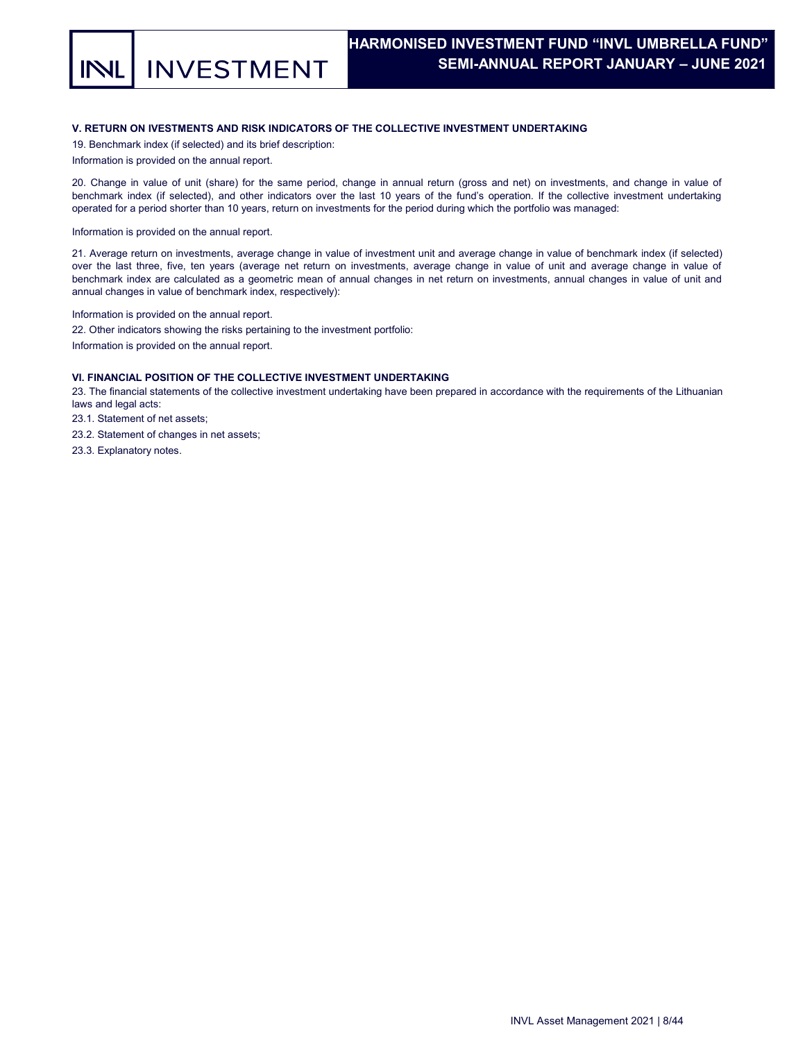**INVESTMENT** 

## V. RETURN ON IVESTMENTS AND RISK INDICATORS OF THE COLLECTIVE INVESTMENT UNDERTAKING

19. Benchmark index (if selected) and its brief description:

Information is provided on the annual report.

20. Change in value of unit (share) for the same period, change in annual return (gross and net) on investments, and change in value of benchmark index (if selected), and other indicators over the last 10 years of the fund's operation. If the collective investment undertaking operated for a period shorter than 10 years, return on investments for the period during which the portfolio was managed:

Information is provided on the annual report.

21. Average return on investments, average change in value of investment unit and average change in value of benchmark index (if selected) over the last three, five, ten years (average net return on investments, average change in value of unit and average change in value of benchmark index are calculated as a geometric mean of annual changes in net return on investments, annual changes in value of unit and annual changes in value of benchmark index, respectively):

Information is provided on the annual report.

22. Other indicators showing the risks pertaining to the investment portfolio:

Information is provided on the annual report.

## VI. FINANCIAL POSITION OF THE COLLECTIVE INVESTMENT UNDERTAKING

23. The financial statements of the collective investment undertaking have been prepared in accordance with the requirements of the Lithuanian laws and legal acts:

23.1. Statement of net assets;

23.2. Statement of changes in net assets;

23.3. Explanatory notes.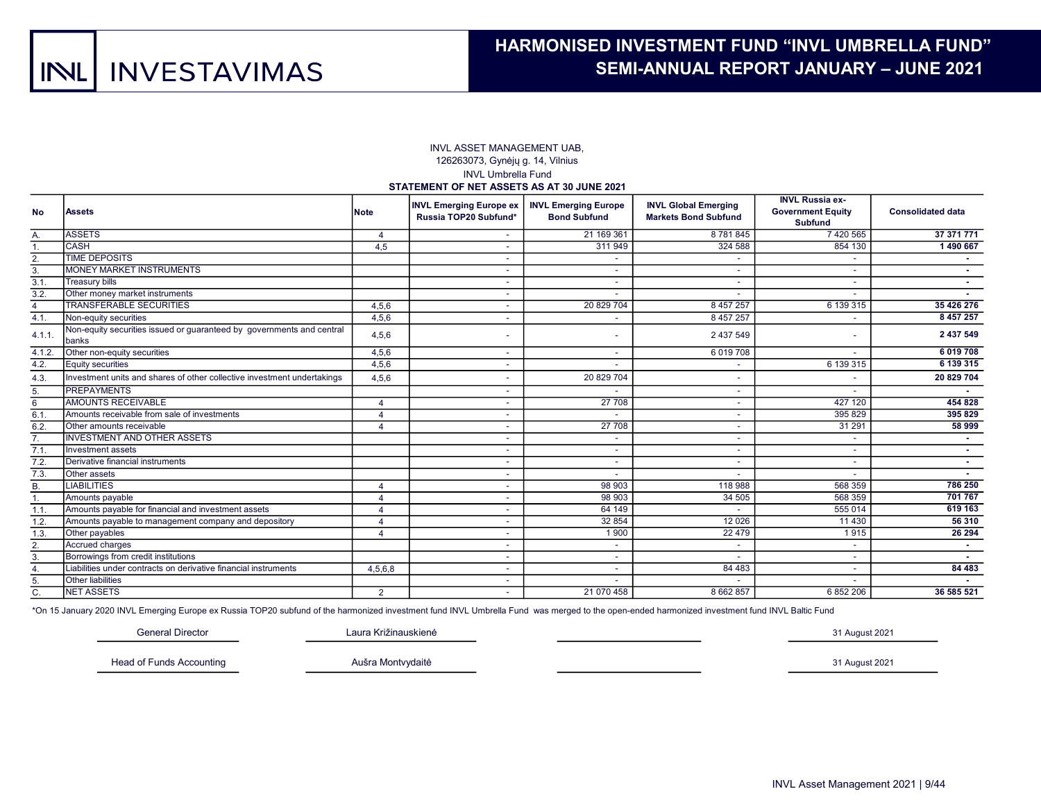#### INVL ASSET MANAGEMENT UAB, 126263073, Gynėjų g. 14, Vilnius INVL Umbrella Fund STATEMENT OF NET ASSETS AS AT 30 JUNE 2021

| <b>No</b>      | lAssets                                                                        | <b>Note</b>            | <b>INVL Emerging Europe ex</b><br>Russia TOP20 Subfund* | <b>INVL Emerging Europe</b><br><b>Bond Subfund</b> | <b>INVL Global Emerging</b><br><b>Markets Bond Subfund</b> | <b>INVL Russia ex-</b><br><b>Government Equity</b><br><b>Subfund</b> | <b>Consolidated data</b> |
|----------------|--------------------------------------------------------------------------------|------------------------|---------------------------------------------------------|----------------------------------------------------|------------------------------------------------------------|----------------------------------------------------------------------|--------------------------|
| Α.             | <b>ASSETS</b>                                                                  |                        |                                                         | 21 169 361                                         | 8781845                                                    | 7420565                                                              | 37 371 771               |
|                | ICASH                                                                          | 4,5                    | $\sim$                                                  | 311949                                             | 324 588                                                    | 854 130                                                              | 1490 667                 |
| 2.             | <b>TIME DEPOSITS</b>                                                           |                        |                                                         |                                                    |                                                            |                                                                      |                          |
| 3.             | <b>MONEY MARKET INSTRUMENTS</b>                                                |                        | $\sim$                                                  |                                                    | $\overline{\phantom{a}}$                                   | $\overline{\phantom{a}}$                                             |                          |
| 3.1.           | <b>Treasury bills</b>                                                          |                        |                                                         |                                                    | $\overline{\phantom{a}}$                                   | $\overline{\phantom{a}}$                                             | <b>COL</b>               |
| 3.2.           | Other money market instruments                                                 |                        |                                                         |                                                    |                                                            |                                                                      |                          |
| $\overline{4}$ | <b>TRANSFERABLE SECURITIES</b>                                                 | 4,5,6                  | $\sim$                                                  | 20 829 704                                         | 8 457 257                                                  | 6 139 315                                                            | 35 426 276               |
| 4.1.           | Non-equity securities                                                          | 4,5,6                  |                                                         |                                                    | 8 457 257                                                  |                                                                      | 8 457 257                |
| 4.1.1.         | Non-equity securities issued or guaranteed by governments and central<br>banks | 4,5,6                  |                                                         |                                                    | 2 437 549                                                  | $\overline{\phantom{a}}$                                             | 2 437 549                |
| 4.1.2.         | Other non-equity securities                                                    | 4,5,6                  | $\sim$                                                  |                                                    | 6 0 19 7 0 8                                               |                                                                      | 6019708                  |
| 4.2.           | Equity securities                                                              | 4,5,6                  |                                                         |                                                    |                                                            | 6 139 315                                                            | 6 139 315                |
| 4.3.           | Investment units and shares of other collective investment undertakings        | 4,5,6                  |                                                         | 20 829 704                                         |                                                            |                                                                      | 20 829 704               |
| 5.             | <b>PREPAYMENTS</b>                                                             |                        |                                                         |                                                    |                                                            |                                                                      | A.                       |
| 6              | <b>AMOUNTS RECEIVABLE</b>                                                      |                        | $\sim$                                                  | 27 708                                             | $\overline{\phantom{a}}$                                   | 427 120                                                              | 454 828                  |
| 6.1            | Amounts receivable from sale of investments                                    | $\boldsymbol{\Lambda}$ | $\sim$                                                  |                                                    | $\overline{\phantom{a}}$                                   | 395 829                                                              | 395 829                  |
| 6.2.           | Other amounts receivable                                                       | Δ                      |                                                         | 27 708                                             | ٠                                                          | 31 291                                                               | 58 999                   |
| 7.             | <b>INVESTMENT AND OTHER ASSETS</b>                                             |                        | $\sim$                                                  | $\sim$                                             | ٠                                                          | $\overline{\phantom{a}}$                                             | <b>м.</b>                |
| 7.1            | Investment assets                                                              |                        | $\overline{\phantom{a}}$                                |                                                    | $\overline{\phantom{a}}$                                   | $\overline{\phantom{a}}$                                             | <b>COL</b>               |
| 7.2            | Derivative financial instruments                                               |                        |                                                         |                                                    |                                                            |                                                                      |                          |
| 7.3.           | <b>Other</b> assets                                                            |                        |                                                         |                                                    |                                                            |                                                                      |                          |
| <b>B.</b>      | <b>LIABILITIES</b>                                                             | $\Delta$               | $\sim$                                                  | 98 903                                             | 118 988                                                    | 568 359                                                              | 786 250                  |
| $\mathbf{1}$ . | Amounts payable                                                                |                        | $\overline{\phantom{a}}$                                | 98 903                                             | 34 50 5                                                    | 568 359                                                              | 701 767                  |
| 1.1            | Amounts payable for financial and investment assets                            |                        |                                                         | 64 149                                             | ٠                                                          | 555 014                                                              | 619 163                  |
| 1.2.           | Amounts payable to management company and depository                           |                        |                                                         | 32 854                                             | 12 0 26                                                    | 11 4 30                                                              | 56 310                   |
| 1.3.           | Other payables                                                                 |                        | $\overline{\phantom{a}}$                                | 1900                                               | 22 4 7 9                                                   | 1915                                                                 | 26 29 4                  |
| 2.             | <b>Accrued charges</b>                                                         |                        | $\sim$                                                  |                                                    |                                                            |                                                                      |                          |
| 3.             | Borrowings from credit institutions                                            |                        |                                                         | $\sim$                                             |                                                            | $\overline{\phantom{0}}$                                             |                          |
| 4.             | Liabilities under contracts on derivative financial instruments                | 4,5,6,8                | $\sim$                                                  | $\sim$                                             | 84 4 83                                                    | $\sim$                                                               | 84 483                   |
| 5.             | <b>Other liabilities</b>                                                       |                        | $\sim$                                                  |                                                    |                                                            | $\overline{\phantom{a}}$                                             |                          |
| C.             | <b>NET ASSETS</b>                                                              | 2                      |                                                         | 21 070 458                                         | 8 662 857                                                  | 6 852 206                                                            | 36 585 521               |

\*On 15 January 2020 INVL Emerging Europe ex Russia TOP20 subfund of the harmonized investment fund INVL Umbrella Fund was merged to the open-ended harmonized investment fund INVL Baltic Fund

General Director

Laura Križinauskienė

Head of Funds Accounting

Aušra Montvydaitė

31 August 2021

31 August 2021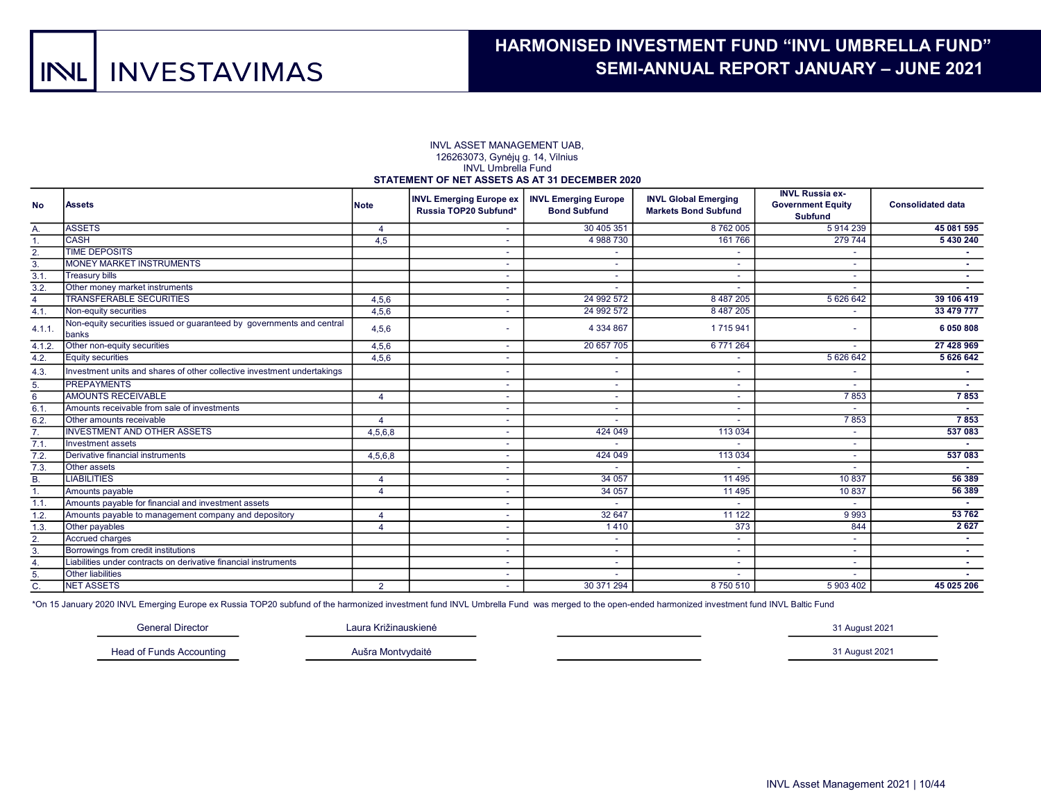#### INVL ASSET MANAGEMENT UAB, 126263073, Gynėjų g. 14, Vilnius INVL Umbrella Fund STATEMENT OF NET ASSETS AS AT 31 DECEMBER 2020

| <b>No</b>      | <b>Assets</b>                                                                  | <b>Note</b>            | <b>INVL Emerging Europe ex</b><br>Russia TOP20 Subfund* | <b>INVL Emerging Europe</b><br><b>Bond Subfund</b> | <b>INVL Global Emerging</b><br><b>Markets Bond Subfund</b> | <b>INVL Russia ex-</b><br><b>Government Equity</b><br>Subfund | <b>Consolidated data</b> |
|----------------|--------------------------------------------------------------------------------|------------------------|---------------------------------------------------------|----------------------------------------------------|------------------------------------------------------------|---------------------------------------------------------------|--------------------------|
| Α.             | <b>ASSETS</b>                                                                  | $\overline{4}$         |                                                         | 30 405 351                                         | 8762005                                                    | 5914239                                                       | 45 081 595               |
| $\mathbf{1}$ . | <b>CASH</b>                                                                    | 4,5                    |                                                         | 4 988 730                                          | 161766                                                     | 279 744                                                       | 5 430 240                |
| 2.             | <b>TIME DEPOSITS</b>                                                           |                        |                                                         | ٠.                                                 |                                                            |                                                               | н.                       |
| 3.             | <b>MONEY MARKET INSTRUMENTS</b>                                                |                        |                                                         |                                                    |                                                            |                                                               |                          |
| 3.1.           | <b>Treasury bills</b>                                                          |                        |                                                         | ۰                                                  |                                                            |                                                               | . .                      |
| 3.2.           | Other money market instruments                                                 |                        |                                                         |                                                    |                                                            |                                                               |                          |
| $\overline{4}$ | <b>TRANSFERABLE SECURITIES</b>                                                 | 4,5,6                  |                                                         | 24 992 572                                         | 8 487 205                                                  | 5 626 642                                                     | 39 106 419               |
| 4.1.           | Non-equity securities                                                          | 4,5,6                  |                                                         | 24 992 572                                         | 8 487 205                                                  |                                                               | 33 479 777               |
| 4.1.1.         | Non-equity securities issued or quaranteed by governments and central<br>banks | 4,5,6                  |                                                         | 4 3 3 4 8 6 7                                      | 1715941                                                    |                                                               | 6 050 808                |
| 4.1.2.         | Other non-equity securities                                                    | 4,5,6                  | $\overline{\phantom{a}}$                                | 20 657 705                                         | 6 771 264                                                  |                                                               | 27 428 969               |
| 4.2.           | <b>Equity securities</b>                                                       | 4,5,6                  |                                                         |                                                    |                                                            | 5 6 26 6 4 2                                                  | 5 6 2 6 6 4 2            |
| 4.3.           | Investment units and shares of other collective investment undertakings        |                        |                                                         | ٠.                                                 |                                                            |                                                               | н.                       |
| 5.             | <b>PREPAYMENTS</b>                                                             |                        | $\overline{\phantom{a}}$                                | $\overline{\phantom{0}}$                           |                                                            |                                                               |                          |
| $\bf 6$        | <b>AMOUNTS RECEIVABLE</b>                                                      | $\overline{4}$         |                                                         | $\overline{\phantom{0}}$                           |                                                            | 7853                                                          | 7853                     |
| 6.1            | Amounts receivable from sale of investments                                    |                        | $\sim$                                                  | $\overline{\phantom{0}}$                           | $\overline{\phantom{a}}$                                   |                                                               |                          |
| 6.2            | Other amounts receivable                                                       |                        | $\overline{\phantom{a}}$                                |                                                    |                                                            | 7853                                                          | 7853                     |
| 7.             | <b>INVESTMENT AND OTHER ASSETS</b>                                             | 4,5,6,8                |                                                         | 424 049                                            | 113 034                                                    |                                                               | 537 083                  |
| 7.1.           | Investment assets                                                              |                        |                                                         |                                                    |                                                            |                                                               |                          |
| 7.2.           | Derivative financial instruments                                               | 4,5,6,8                |                                                         | 424 049                                            | 113 034                                                    |                                                               | 537 083                  |
| 7.3.           | Other assets                                                                   |                        |                                                         |                                                    |                                                            |                                                               |                          |
| <b>B.</b>      | <b>LIABILITIES</b>                                                             | 4                      |                                                         | 34 057                                             | 11 4 95                                                    | 10837                                                         | 56 389                   |
| 1.             | Amounts payable                                                                | Δ                      |                                                         | 34 057                                             | 11 4 9 5                                                   | 10 837                                                        | 56 389                   |
| 1.1.           | Amounts payable for financial and investment assets                            |                        | $\overline{\phantom{a}}$                                |                                                    |                                                            |                                                               | . н.                     |
| 1.2.           | Amounts payable to management company and depository                           |                        | $\overline{\phantom{a}}$                                | 32 647                                             | 11 1 22                                                    | 9993                                                          | 53762                    |
| 1.3.           | Other payables                                                                 | $\boldsymbol{\Lambda}$ |                                                         | 1410                                               | 373                                                        | 844                                                           | 2627                     |
| 2.             | <b>Accrued charges</b>                                                         |                        |                                                         | ٠                                                  | $\overline{\phantom{a}}$                                   |                                                               | <b>A</b>                 |
| 3.             | Borrowings from credit institutions                                            |                        |                                                         | $\overline{\phantom{0}}$                           | $\overline{\phantom{a}}$                                   |                                                               | $\sim$                   |
| 4.             | Liabilities under contracts on derivative financial instruments                |                        |                                                         |                                                    |                                                            |                                                               | ÷.                       |
| 5.             | <b>Other liabilities</b>                                                       |                        |                                                         |                                                    |                                                            |                                                               |                          |
| C.             | <b>NET ASSETS</b>                                                              | $\overline{2}$         |                                                         | 30 371 294                                         | 8750510                                                    | 5 903 402                                                     | 45 025 206               |

\*On 15 January 2020 INVL Emerging Europe ex Russia TOP20 subfund of the harmonized investment fund INVL Umbrella Fund was merged to the open-ended harmonized investment fund INVL Baltic Fund

| General Director   | .01162<br>Križinouckionė    | 1 August 2021 |
|--------------------|-----------------------------|---------------|
| Hear<br>Accounting | <i>Aontundoité</i><br>uain- | 1 August 2021 |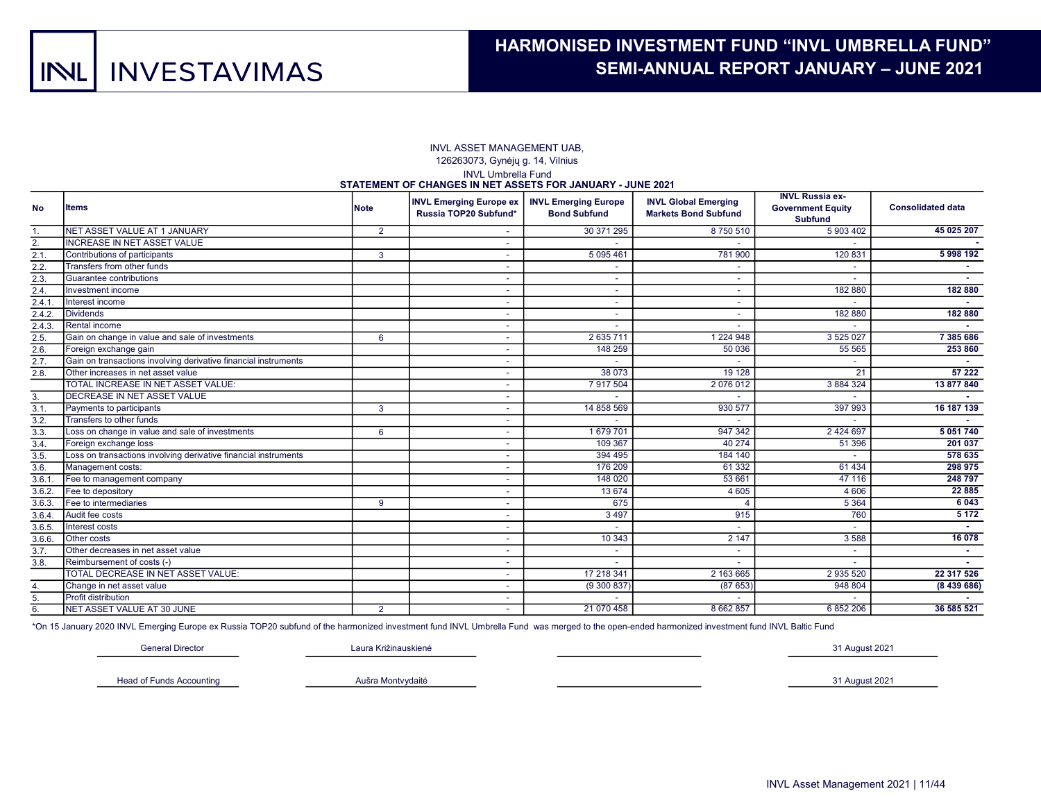#### INVL ASSET MANAGEMENT UAB, 126263073, Gynėjų g. 14, Vilnius INVL Umbrella Fund STATEMENT OF CHANGES IN NET ASSETS FOR JANUARY - JUNE 2021

| <b>No</b>      | <b>Items</b>                                                    | <b>Note</b>    | <b>STATEMENT OF CHANGES IN NET ASSETS FOR SANOART FSONE 2021</b><br><b>INVL Emerging Europe ex</b><br>Russia TOP20 Subfund* | <b>INVL Emerging Europe</b><br><b>Bond Subfund</b> | <b>INVL Global Emerging</b><br><b>Markets Bond Subfund</b> | <b>INVL Russia ex-</b><br><b>Government Equity</b><br><b>Subfund</b> | <b>Consolidated data</b> |
|----------------|-----------------------------------------------------------------|----------------|-----------------------------------------------------------------------------------------------------------------------------|----------------------------------------------------|------------------------------------------------------------|----------------------------------------------------------------------|--------------------------|
| $\mathbf{1}$ . | NET ASSET VALUE AT 1 JANUARY                                    | $\overline{2}$ |                                                                                                                             | 30 371 295                                         | 8750510                                                    | 5 903 402                                                            | 45 025 207               |
| 2.             | <b>INCREASE IN NET ASSET VALUE</b>                              |                | $\overline{\phantom{a}}$                                                                                                    |                                                    |                                                            |                                                                      |                          |
| 2.1            | Contributions of participants                                   | 3              |                                                                                                                             | 5 095 461                                          | 781 900                                                    | 120 831                                                              | 5998192                  |
| 2.2.           | Transfers from other funds                                      |                |                                                                                                                             |                                                    |                                                            |                                                                      |                          |
| 2.3.           | Guarantee contributions                                         |                |                                                                                                                             |                                                    |                                                            |                                                                      |                          |
| 2.4.           | Investment income                                               |                |                                                                                                                             |                                                    | $\overline{\phantom{a}}$                                   | 182 880                                                              | 182 880                  |
| 2.4.1          | Interest income                                                 |                | $\sim$                                                                                                                      | $\sim$                                             | $\overline{\phantom{a}}$                                   |                                                                      |                          |
| 2.4.2.         | Dividends                                                       |                |                                                                                                                             |                                                    | $\overline{\phantom{a}}$                                   | 182 880                                                              | 182 880                  |
| 2.4.3.         | Rental income                                                   |                | $\overline{\phantom{a}}$                                                                                                    |                                                    | $\overline{\phantom{a}}$                                   |                                                                      |                          |
| 2.5.           | Gain on change in value and sale of investments                 | 6              | ٠                                                                                                                           | 2 635 711                                          | 1 2 2 4 9 4 8                                              | 3 5 2 5 0 2 7                                                        | 7385686                  |
| 2.6.           | Foreign exchange gain                                           |                | $\sim$                                                                                                                      | 148 259                                            | 50 036                                                     | 55 565                                                               | 253 860                  |
| 2.7            | Gain on transactions involving derivative financial instruments |                | $\sim$                                                                                                                      |                                                    |                                                            |                                                                      | <b>Section</b>           |
| 2.8.           | Other increases in net asset value                              |                | $\sim$                                                                                                                      | 38 073                                             | 19 1 28                                                    | 21                                                                   | 57 222                   |
|                | TOTAL INCREASE IN NET ASSET VALUE:                              |                |                                                                                                                             | 7 917 504                                          | 2076012                                                    | 3 884 324                                                            | 13 877 840               |
| 3.             | <b>DECREASE IN NET ASSET VALUE</b>                              |                | $\overline{\phantom{a}}$                                                                                                    |                                                    |                                                            |                                                                      |                          |
| 3.1.           | Payments to participants                                        | 3              |                                                                                                                             | 14 858 569                                         | 930 577                                                    | 397 993                                                              | 16 187 139               |
| 3.2.           | Transfers to other funds                                        |                |                                                                                                                             |                                                    |                                                            |                                                                      |                          |
| 3.3.           | Loss on change in value and sale of investments                 | 6              | ٠                                                                                                                           | 1679701                                            | 947 342                                                    | 2 4 2 4 6 9 7                                                        | 5 0 5 1 7 4 0            |
| 3.4.           | Foreign exchange loss                                           |                | $\sim$                                                                                                                      | 109 367                                            | 40 274                                                     | 51 396                                                               | 201 037                  |
| 3.5            | Loss on transactions involving derivative financial instruments |                | $\overline{\phantom{a}}$                                                                                                    | 394 495                                            | 184 140                                                    |                                                                      | 578 635                  |
| 3.6.           | Management costs:                                               |                | $\sim$                                                                                                                      | 176 209                                            | 61 3 32                                                    | 61 4 34                                                              | 298 975                  |
| 3.6.1          | Fee to management company                                       |                |                                                                                                                             | 148 020                                            | 53 661                                                     | 47 116                                                               | 248 797                  |
| 3.6.2.         | Fee to depository                                               |                | $\overline{\phantom{a}}$                                                                                                    | 13 674                                             | 4 6 0 5                                                    | 4 6 0 6                                                              | 22 8 8 5                 |
| 3.6.3.         | Fee to intermediaries                                           | 9              |                                                                                                                             | 675                                                |                                                            | 5 3 6 4                                                              | 6 0 4 3                  |
| 3.6.4          | Audit fee costs                                                 |                | ٠                                                                                                                           | 3 4 9 7                                            | 915                                                        | 760                                                                  | 5 1 7 2                  |
| 3.6.5.         | Interest costs                                                  |                |                                                                                                                             |                                                    |                                                            |                                                                      |                          |
| 3.6.6.         | <b>Other costs</b>                                              |                | ٠                                                                                                                           | 10 343                                             | 2147                                                       | 3588                                                                 | 16 078                   |
| 3.7.           | Other decreases in net asset value                              |                | $\sim$                                                                                                                      |                                                    | $\overline{\phantom{a}}$                                   | $\overline{\phantom{a}}$                                             | <b>Section</b>           |
| 3.8.           | Reimbursement of costs (-)                                      |                | $\sim$                                                                                                                      |                                                    |                                                            |                                                                      |                          |
|                | TOTAL DECREASE IN NET ASSET VALUE:                              |                |                                                                                                                             | 17 218 341                                         | 2 163 665                                                  | 2 935 520                                                            | 22 317 526               |
| 4.             | Change in net asset value                                       |                |                                                                                                                             | (9300837)                                          | (87653)                                                    | 948 804                                                              | (8439686)                |
| 5.             | <b>Profit distribution</b>                                      |                |                                                                                                                             |                                                    |                                                            |                                                                      |                          |
| 6.             | NET ASSET VALUE AT 30 JUNE                                      | 2              |                                                                                                                             | 21 070 458                                         | 8 662 857                                                  | 6 852 206                                                            | 36 585 521               |

\*On 15 January 2020 INVL Emerging Europe ex Russia TOP20 subfund of the harmonized investment fund INVL Umbrella Fund was merged to the open-ended harmonized investment fund INVL Baltic Fund

General Director

Laura Križinauskienė

31 August 2021

Head of Funds Accounting

Aušra Montvydaitė

31 August 2021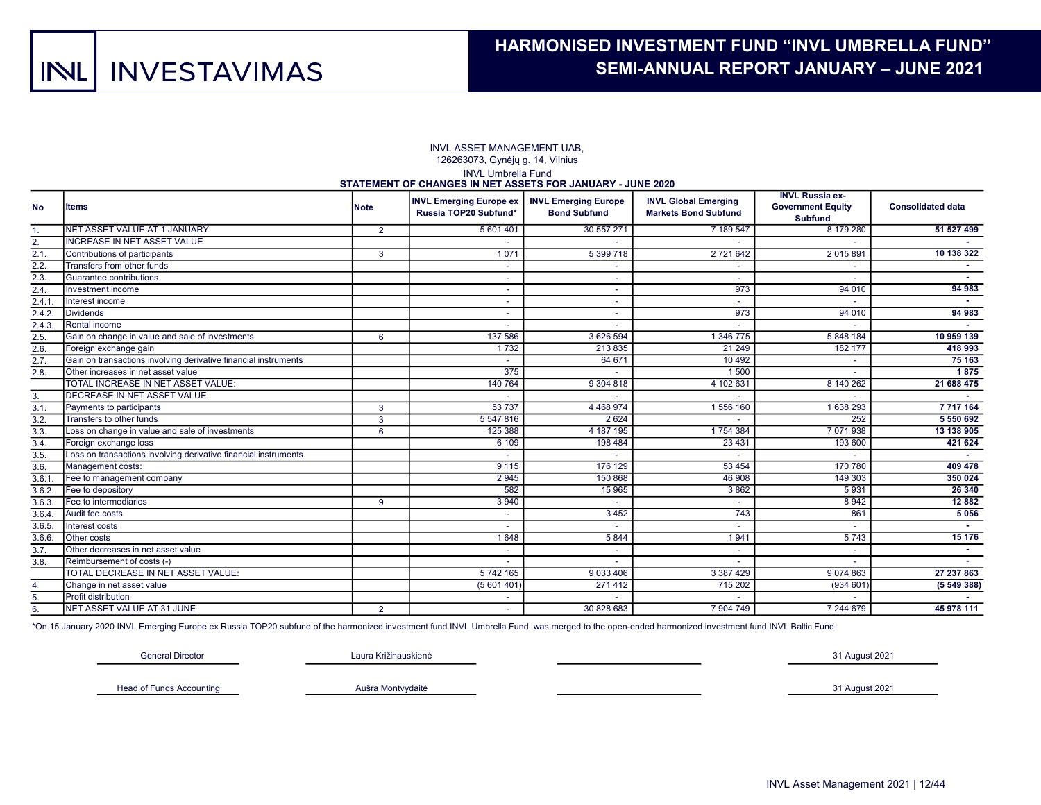#### INVL Umbrella Fund STATEMENT OF CHANGES IN NET ASSETS FOR JANUARY - JUNE 2020 INVL ASSET MANAGEMENT UAB, 126263073, Gynėjų g. 14, Vilnius

| <b>No</b> | <b>Items</b>                                                    | Note           | <b>INVL Emerging Europe ex</b><br>Russia TOP20 Subfund* | <b>INVL Emerging Europe</b><br><b>Bond Subfund</b> | <b>INVL Global Emerging</b><br><b>Markets Bond Subfund</b> | <b>INVL Russia ex-</b><br><b>Government Equity</b><br><b>Subfund</b> | <b>Consolidated data</b> |
|-----------|-----------------------------------------------------------------|----------------|---------------------------------------------------------|----------------------------------------------------|------------------------------------------------------------|----------------------------------------------------------------------|--------------------------|
| 1.        | <b>INET ASSET VALUE AT 1 JANUARY</b>                            | $\overline{2}$ | 5 601 401                                               | 30 557 271                                         | 7 189 547                                                  | 8 179 280                                                            | 51 527 499               |
| 2.        | <b>INCREASE IN NET ASSET VALUE</b>                              |                |                                                         |                                                    |                                                            |                                                                      |                          |
| 2.1       | Contributions of participants                                   | 3              | 1071                                                    | 5 399 718                                          | 2 7 2 1 6 4 2                                              | 2015891                                                              | 10 138 322               |
| 2.2.      | Transfers from other funds                                      |                |                                                         |                                                    |                                                            |                                                                      |                          |
| 2.3       | Guarantee contributions                                         |                |                                                         |                                                    |                                                            |                                                                      |                          |
| 2.4.      | Investment income                                               |                |                                                         |                                                    | 973                                                        | 94 010                                                               | 94 983                   |
| 2.4.1     | Interest income                                                 |                | $\overline{\phantom{a}}$                                | $\sim$                                             |                                                            |                                                                      |                          |
| 2.4.2.    | Dividends                                                       |                | $\overline{\phantom{a}}$                                | $\sim$                                             | 973                                                        | 94 010                                                               | 94 983                   |
| 2.4.3.    | Rental income                                                   |                | $\overline{\phantom{a}}$                                | $\overline{\phantom{a}}$                           |                                                            |                                                                      |                          |
| 2.5.      | Gain on change in value and sale of investments                 | 6              | 137 586                                                 | 3 626 594                                          | 1 346 775                                                  | 5848184                                                              | 10 959 139               |
| 2.6.      | Foreign exchange gain                                           |                | 1732                                                    | 213 835                                            | 21 249                                                     | 182 177                                                              | 418 993                  |
| 2.7.      | Gain on transactions involving derivative financial instruments |                |                                                         | 64 671                                             | 10 4 9 2                                                   |                                                                      | 75 163                   |
| 2.8.      | Other increases in net asset value                              |                | 375                                                     |                                                    | 1500                                                       |                                                                      | 1875                     |
|           | TOTAL INCREASE IN NET ASSET VALUE:                              |                | 140 764                                                 | 9 304 818                                          | 4 102 631                                                  | 8 140 262                                                            | 21 688 475               |
| 3.        | <b>IDECREASE IN NET ASSET VALUE</b>                             |                | ٠                                                       |                                                    |                                                            |                                                                      |                          |
| 3.1       | Payments to participants                                        | 3              | 53 737                                                  | 4 4 68 9 74                                        | 1556 160                                                   | 1638293                                                              | 7 7 1 7 1 6 4            |
| 3.2.      | Transfers to other funds                                        | 3              | 5 547 816                                               | 2624                                               |                                                            | 252                                                                  | 5 550 692                |
| 3.3.      | Loss on change in value and sale of investments                 | 6              | 125 388                                                 | 4 187 195                                          | 1754 384                                                   | 7 071 938                                                            | 13 138 905               |
| 3.4.      | Foreign exchange loss                                           |                | 6 109                                                   | 198 484                                            | 23 4 31                                                    | 193 600                                                              | 421 624                  |
| 3.5.      | Loss on transactions involving derivative financial instruments |                | $\overline{\phantom{a}}$                                |                                                    | $\sim$                                                     |                                                                      | $\sim$                   |
| 3.6.      | Management costs:                                               |                | 9 1 1 5                                                 | 176 129                                            | 53 4 54                                                    | 170 780                                                              | 409 478                  |
| 3.6.1.    | Fee to management company                                       |                | 2 9 4 5                                                 | 150 868                                            | 46 908                                                     | 149 303                                                              | 350 024                  |
| 3.6.2.    | Fee to depository                                               |                | 582                                                     | 15 965                                             | 3862                                                       | 5931                                                                 | 26 340                   |
| 3.6.3.    | <b>Fee to intermediaries</b>                                    | 9              | 3 9 4 0                                                 |                                                    |                                                            | 8942                                                                 | 12 8 8 2                 |
| 3.6.4     | Audit fee costs                                                 |                |                                                         | 3452                                               | 743                                                        | 861                                                                  | 5056                     |
| 3.6.5.    | Interest costs                                                  |                |                                                         |                                                    |                                                            |                                                                      |                          |
| 3.6.6.    | <b>Other costs</b>                                              |                | 1648                                                    | 5844                                               | 1941                                                       | 5743                                                                 | 15 176                   |
| 3.7.      | Other decreases in net asset value                              |                | $\overline{\phantom{a}}$                                | $\overline{\phantom{0}}$                           | $\sim$                                                     | $\overline{\phantom{a}}$                                             | <b>Section</b>           |
| 3.8.      | Reimbursement of costs (-)                                      |                |                                                         |                                                    |                                                            |                                                                      |                          |
|           | TOTAL DECREASE IN NET ASSET VALUE:                              |                | 5742165                                                 | 9 033 406                                          | 3 3 8 7 4 2 9                                              | 9074863                                                              | 27 237 863               |
| 4.        | Change in net asset value                                       |                | (5601401)                                               | 271412                                             | 715 202                                                    | $(934\ 601)$                                                         | (554938)                 |
| 5.        | <b>Profit distribution</b>                                      |                |                                                         |                                                    |                                                            |                                                                      |                          |
| 6.        | NET ASSET VALUE AT 31 JUNE                                      | $\overline{2}$ | $\sim$                                                  | 30 828 683                                         | 7 904 749                                                  | 7 244 679                                                            | 45 978 111               |
|           |                                                                 |                |                                                         |                                                    |                                                            |                                                                      |                          |

\*On 15 January 2020 INVL Emerging Europe ex Russia TOP20 subfund of the harmonized investment fund INVL Umbrella Fund was merged to the open-ended harmonized investment fund INVL Baltic Fund

General Director Laura Križinauskienė 31 August 2021

Head of Funds Accounting **Austra Montvydaite** Austra Montvydaite 31 August 2021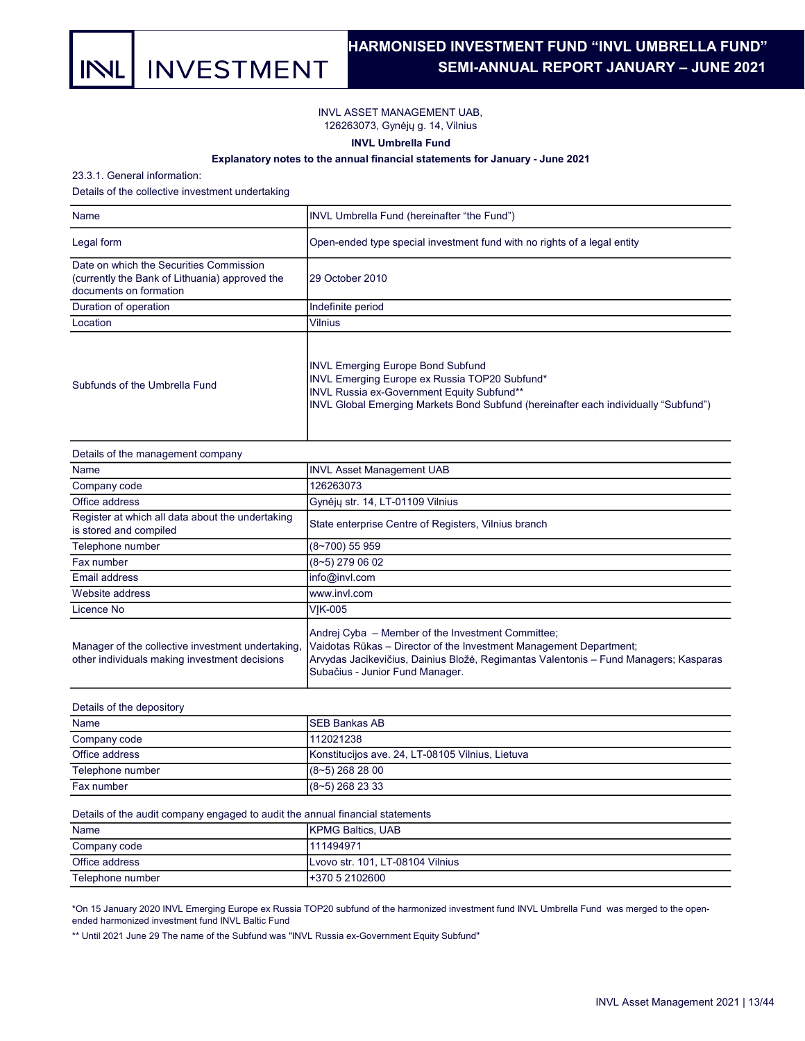

## HARMONISED INVESTMENT FUND "INVL UMBRELLA FUND". SEMI-ANNUAL REPORT JANUARY – JUNE 2021 .

INVL ASSET MANAGEMENT UAB, 126263073, Gynėjų g. 14, Vilnius

INVL Umbrella Fund

### Explanatory notes to the annual financial statements for January - June 2021

23.3.1. General information:

Details of the collective investment undertaking

| Name                                                                                                                | INVL Umbrella Fund (hereinafter "the Fund")                                                                                                                                                                                    |
|---------------------------------------------------------------------------------------------------------------------|--------------------------------------------------------------------------------------------------------------------------------------------------------------------------------------------------------------------------------|
| Legal form                                                                                                          | Open-ended type special investment fund with no rights of a legal entity                                                                                                                                                       |
| Date on which the Securities Commission<br>(currently the Bank of Lithuania) approved the<br>documents on formation | 29 October 2010                                                                                                                                                                                                                |
| Duration of operation                                                                                               | Indefinite period                                                                                                                                                                                                              |
| Location                                                                                                            | <b>Vilnius</b>                                                                                                                                                                                                                 |
| Subfunds of the Umbrella Fund                                                                                       | <b>INVL Emerging Europe Bond Subfund</b><br>INVL Emerging Europe ex Russia TOP20 Subfund*<br>INVL Russia ex-Government Equity Subfund**<br>INVL Global Emerging Markets Bond Subfund (hereinafter each individually "Subfund") |

| Details of the management company                                                                  |                                                                                                                                                                                                                                                    |
|----------------------------------------------------------------------------------------------------|----------------------------------------------------------------------------------------------------------------------------------------------------------------------------------------------------------------------------------------------------|
| Name                                                                                               | <b>INVL Asset Management UAB</b>                                                                                                                                                                                                                   |
| Company code                                                                                       | 126263073                                                                                                                                                                                                                                          |
| Office address                                                                                     | Gynėjų str. 14, LT-01109 Vilnius                                                                                                                                                                                                                   |
| Register at which all data about the undertaking<br>is stored and compiled                         | State enterprise Centre of Registers, Vilnius branch                                                                                                                                                                                               |
| Telephone number                                                                                   | (8~700) 55 959                                                                                                                                                                                                                                     |
| Fax number                                                                                         | (8~5) 279 06 02                                                                                                                                                                                                                                    |
| Email address                                                                                      | info@invl.com                                                                                                                                                                                                                                      |
| Website address                                                                                    | www.invl.com                                                                                                                                                                                                                                       |
| Licence No                                                                                         | <b>VIK-005</b>                                                                                                                                                                                                                                     |
| Manager of the collective investment undertaking,<br>other individuals making investment decisions | Andrej Cyba - Member of the Investment Committee;<br>Vaidotas Rūkas – Director of the Investment Management Department;<br>Arvydas Jacikevičius, Dainius Bložė, Regimantas Valentonis – Fund Managers; Kasparas<br>Subačius - Junior Fund Manager. |

| Details of the depository |                                                  |  |  |  |  |
|---------------------------|--------------------------------------------------|--|--|--|--|
| Name                      | <b>ISEB Bankas AB</b>                            |  |  |  |  |
| Company code              | 112021238                                        |  |  |  |  |
| Office address            | Konstitucijos ave. 24, LT-08105 Vilnius, Lietuva |  |  |  |  |
| Telephone number          | $(8-5)$ 268 28 00                                |  |  |  |  |
| Fax number                | $(8 - 5)$ 268 23 33                              |  |  |  |  |

Details of the audit company engaged to audit the annual financial statements

| Name             | <b>IKPMG Baltics, UAB</b>        |
|------------------|----------------------------------|
| Company code     | 111494971                        |
| Office address   | Lvovo str. 101, LT-08104 Vilnius |
| Telephone number | +370 5 2102600                   |

\*On 15 January 2020 INVL Emerging Europe ex Russia TOP20 subfund of the harmonized investment fund INVL Umbrella Fund was merged to the openended harmonized investment fund INVL Baltic Fund

\*\* Until 2021 June 29 The name of the Subfund was "INVL Russia ex-Government Equity Subfund"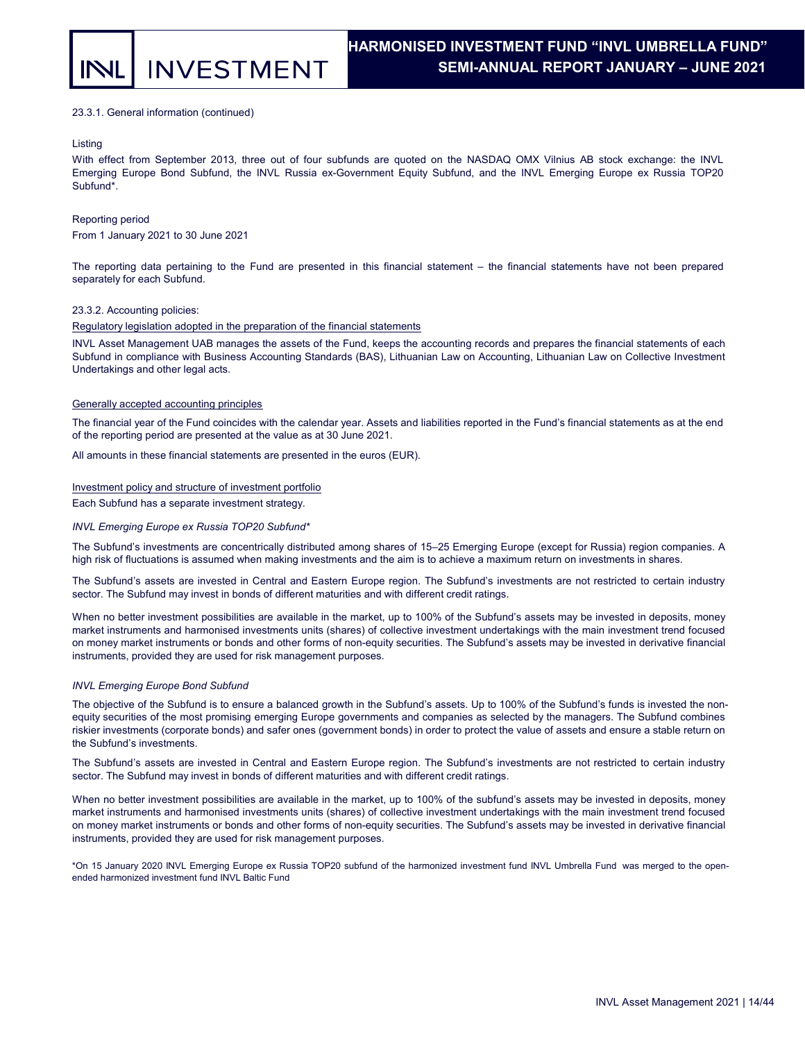#### 23.3.1. General information (continued)

#### Listing

With effect from September 2013, three out of four subfunds are quoted on the NASDAQ OMX Vilnius AB stock exchange: the INVL Emerging Europe Bond Subfund, the INVL Russia ex-Government Equity Subfund, and the INVL Emerging Europe ex Russia TOP20 Subfund\*.

#### Reporting period

From 1 January 2021 to 30 June 2021

The reporting data pertaining to the Fund are presented in this financial statement – the financial statements have not been prepared separately for each Subfund.

#### 23.3.2. Accounting policies:

#### Regulatory legislation adopted in the preparation of the financial statements

INVL Asset Management UAB manages the assets of the Fund, keeps the accounting records and prepares the financial statements of each Subfund in compliance with Business Accounting Standards (BAS), Lithuanian Law on Accounting, Lithuanian Law on Collective Investment Undertakings and other legal acts.

#### Generally accepted accounting principles

The financial year of the Fund coincides with the calendar year. Assets and liabilities reported in the Fund's financial statements as at the end of the reporting period are presented at the value as at 30 June 2021.

All amounts in these financial statements are presented in the euros (EUR).

#### Investment policy and structure of investment portfolio

Each Subfund has a separate investment strategy.

#### INVL Emerging Europe ex Russia TOP20 Subfund\*

The Subfund's investments are concentrically distributed among shares of 15–25 Emerging Europe (except for Russia) region companies. A high risk of fluctuations is assumed when making investments and the aim is to achieve a maximum return on investments in shares.

The Subfund's assets are invested in Central and Eastern Europe region. The Subfund's investments are not restricted to certain industry sector. The Subfund may invest in bonds of different maturities and with different credit ratings.

When no better investment possibilities are available in the market, up to 100% of the Subfund's assets may be invested in deposits, money market instruments and harmonised investments units (shares) of collective investment undertakings with the main investment trend focused on money market instruments or bonds and other forms of non-equity securities. The Subfund's assets may be invested in derivative financial instruments, provided they are used for risk management purposes.

#### INVL Emerging Europe Bond Subfund

The objective of the Subfund is to ensure a balanced growth in the Subfund's assets. Up to 100% of the Subfund's funds is invested the nonequity securities of the most promising emerging Europe governments and companies as selected by the managers. The Subfund combines riskier investments (corporate bonds) and safer ones (government bonds) in order to protect the value of assets and ensure a stable return on the Subfund's investments.

The Subfund's assets are invested in Central and Eastern Europe region. The Subfund's investments are not restricted to certain industry sector. The Subfund may invest in bonds of different maturities and with different credit ratings.

When no better investment possibilities are available in the market, up to 100% of the subfund's assets may be invested in deposits, money market instruments and harmonised investments units (shares) of collective investment undertakings with the main investment trend focused on money market instruments or bonds and other forms of non-equity securities. The Subfund's assets may be invested in derivative financial instruments, provided they are used for risk management purposes.

\*On 15 January 2020 INVL Emerging Europe ex Russia TOP20 subfund of the harmonized investment fund INVL Umbrella Fund was merged to the openended harmonized investment fund INVL Baltic Fund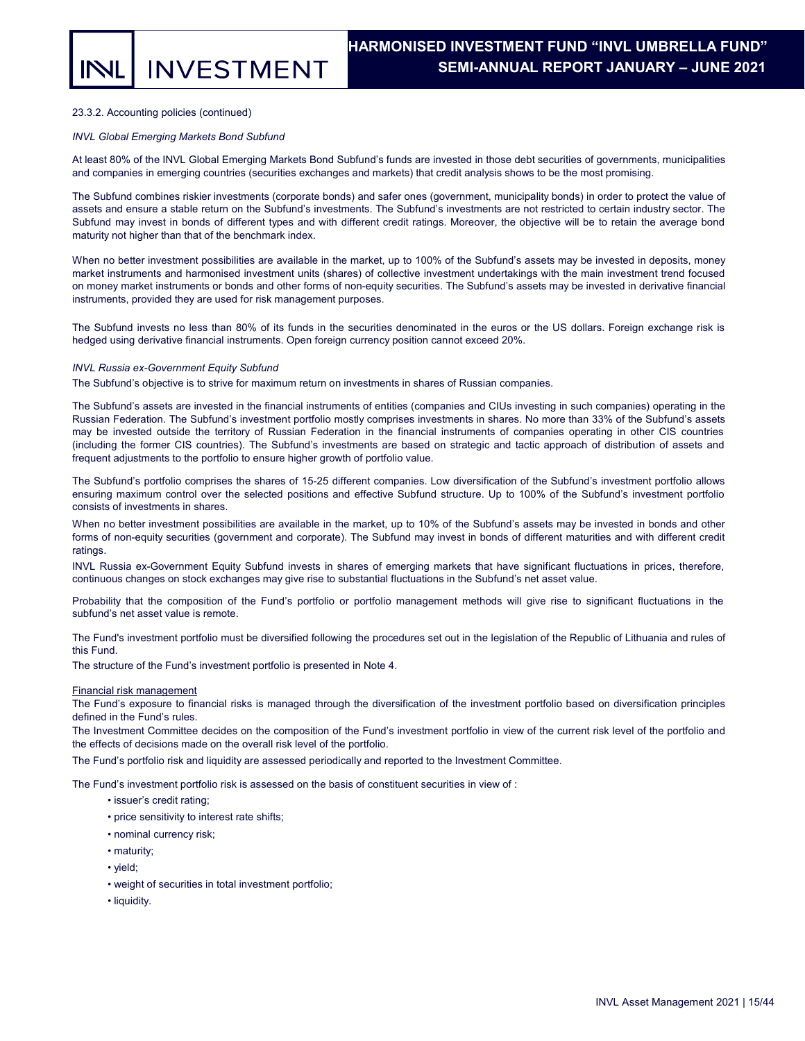#### 23.3.2. Accounting policies (continued)

#### INVL Global Emerging Markets Bond Subfund

At least 80% of the INVL Global Emerging Markets Bond Subfund's funds are invested in those debt securities of governments, municipalities and companies in emerging countries (securities exchanges and markets) that credit analysis shows to be the most promising.

The Subfund combines riskier investments (corporate bonds) and safer ones (government, municipality bonds) in order to protect the value of assets and ensure a stable return on the Subfund's investments. The Subfund's investments are not restricted to certain industry sector. The Subfund may invest in bonds of different types and with different credit ratings. Moreover, the objective will be to retain the average bond maturity not higher than that of the benchmark index.

When no better investment possibilities are available in the market, up to 100% of the Subfund's assets may be invested in deposits, money market instruments and harmonised investment units (shares) of collective investment undertakings with the main investment trend focused on money market instruments or bonds and other forms of non-equity securities. The Subfund's assets may be invested in derivative financial instruments, provided they are used for risk management purposes.

The Subfund invests no less than 80% of its funds in the securities denominated in the euros or the US dollars. Foreign exchange risk is hedged using derivative financial instruments. Open foreign currency position cannot exceed 20%.

#### INVL Russia ex-Government Equity Subfund

The Subfund's objective is to strive for maximum return on investments in shares of Russian companies.

The Subfund's assets are invested in the financial instruments of entities (companies and CIUs investing in such companies) operating in the Russian Federation. The Subfund's investment portfolio mostly comprises investments in shares. No more than 33% of the Subfund's assets may be invested outside the territory of Russian Federation in the financial instruments of companies operating in other CIS countries (including the former CIS countries). The Subfund's investments are based on strategic and tactic approach of distribution of assets and frequent adjustments to the portfolio to ensure higher growth of portfolio value.

The Subfund's portfolio comprises the shares of 15-25 different companies. Low diversification of the Subfund's investment portfolio allows ensuring maximum control over the selected positions and effective Subfund structure. Up to 100% of the Subfund's investment portfolio consists of investments in shares.

When no better investment possibilities are available in the market, up to 10% of the Subfund's assets may be invested in bonds and other forms of non-equity securities (government and corporate). The Subfund may invest in bonds of different maturities and with different credit ratings.

INVL Russia ex-Government Equity Subfund invests in shares of emerging markets that have significant fluctuations in prices, therefore, continuous changes on stock exchanges may give rise to substantial fluctuations in the Subfund's net asset value.

Probability that the composition of the Fund's portfolio or portfolio management methods will give rise to significant fluctuations in the subfund's net asset value is remote.

The Fund's investment portfolio must be diversified following the procedures set out in the legislation of the Republic of Lithuania and rules of this Fund.

The structure of the Fund's investment portfolio is presented in Note 4.

#### Financial risk management

The Fund's exposure to financial risks is managed through the diversification of the investment portfolio based on diversification principles defined in the Fund's rules.

The Investment Committee decides on the composition of the Fund's investment portfolio in view of the current risk level of the portfolio and the effects of decisions made on the overall risk level of the portfolio.

The Fund's portfolio risk and liquidity are assessed periodically and reported to the Investment Committee.

The Fund's investment portfolio risk is assessed on the basis of constituent securities in view of :

- issuer's credit rating;
- price sensitivity to interest rate shifts;
- nominal currency risk;
- maturity;
- yield;
- weight of securities in total investment portfolio;
- liquidity.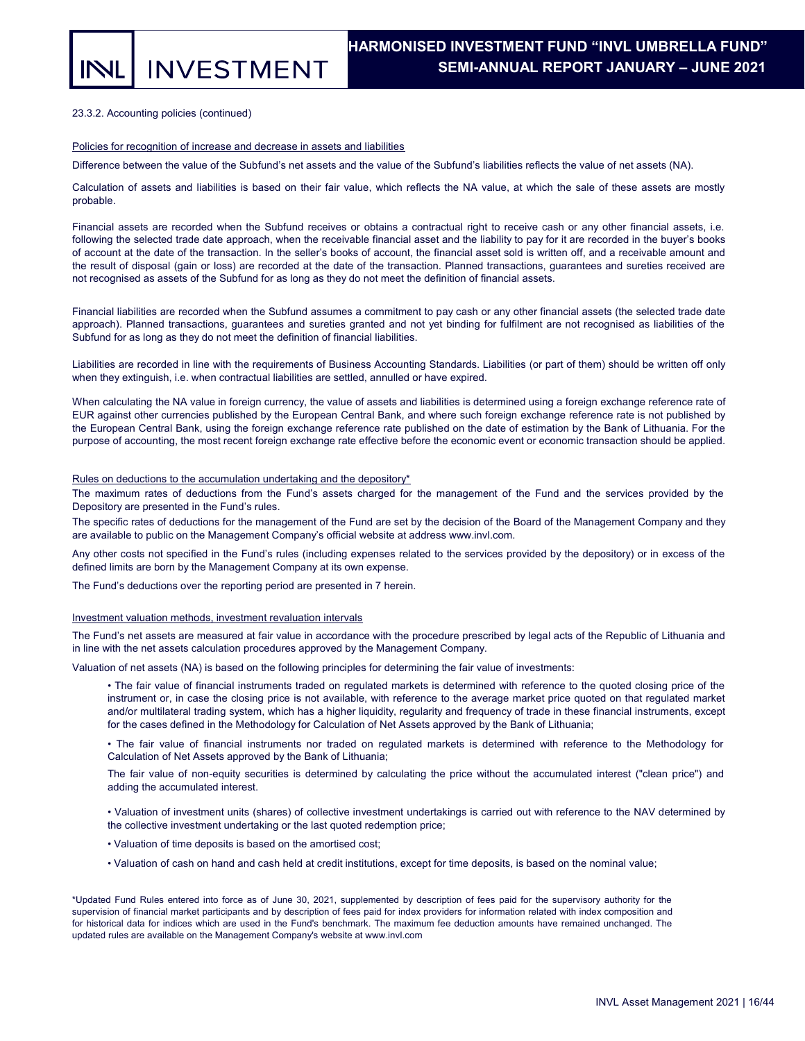**INVESTMENT** 

### 23.3.2. Accounting policies (continued)

#### Policies for recognition of increase and decrease in assets and liabilities

Difference between the value of the Subfund's net assets and the value of the Subfund's liabilities reflects the value of net assets (NA).

Calculation of assets and liabilities is based on their fair value, which reflects the NA value, at which the sale of these assets are mostly probable.

Financial assets are recorded when the Subfund receives or obtains a contractual right to receive cash or any other financial assets, i.e. following the selected trade date approach, when the receivable financial asset and the liability to pay for it are recorded in the buyer's books of account at the date of the transaction. In the seller's books of account, the financial asset sold is written off, and a receivable amount and the result of disposal (gain or loss) are recorded at the date of the transaction. Planned transactions, guarantees and sureties received are not recognised as assets of the Subfund for as long as they do not meet the definition of financial assets.

Financial liabilities are recorded when the Subfund assumes a commitment to pay cash or any other financial assets (the selected trade date approach). Planned transactions, guarantees and sureties granted and not yet binding for fulfilment are not recognised as liabilities of the Subfund for as long as they do not meet the definition of financial liabilities.

Liabilities are recorded in line with the requirements of Business Accounting Standards. Liabilities (or part of them) should be written off only when they extinguish, i.e. when contractual liabilities are settled, annulled or have expired.

When calculating the NA value in foreign currency, the value of assets and liabilities is determined using a foreign exchange reference rate of EUR against other currencies published by the European Central Bank, and where such foreign exchange reference rate is not published by the European Central Bank, using the foreign exchange reference rate published on the date of estimation by the Bank of Lithuania. For the purpose of accounting, the most recent foreign exchange rate effective before the economic event or economic transaction should be applied.

#### Rules on deductions to the accumulation undertaking and the depository\*

The maximum rates of deductions from the Fund's assets charged for the management of the Fund and the services provided by the Depository are presented in the Fund's rules.

The specific rates of deductions for the management of the Fund are set by the decision of the Board of the Management Company and they are available to public on the Management Company's official website at address www.invl.com.

Any other costs not specified in the Fund's rules (including expenses related to the services provided by the depository) or in excess of the defined limits are born by the Management Company at its own expense.

The Fund's deductions over the reporting period are presented in 7 herein.

#### Investment valuation methods, investment revaluation intervals

The Fund's net assets are measured at fair value in accordance with the procedure prescribed by legal acts of the Republic of Lithuania and in line with the net assets calculation procedures approved by the Management Company.

Valuation of net assets (NA) is based on the following principles for determining the fair value of investments:

• The fair value of financial instruments traded on regulated markets is determined with reference to the quoted closing price of the instrument or, in case the closing price is not available, with reference to the average market price quoted on that regulated market and/or multilateral trading system, which has a higher liquidity, regularity and frequency of trade in these financial instruments, except for the cases defined in the Methodology for Calculation of Net Assets approved by the Bank of Lithuania;

• The fair value of financial instruments nor traded on regulated markets is determined with reference to the Methodology for Calculation of Net Assets approved by the Bank of Lithuania;

The fair value of non-equity securities is determined by calculating the price without the accumulated interest ("clean price") and adding the accumulated interest.

• Valuation of investment units (shares) of collective investment undertakings is carried out with reference to the NAV determined by the collective investment undertaking or the last quoted redemption price;

• Valuation of time deposits is based on the amortised cost;

• Valuation of cash on hand and cash held at credit institutions, except for time deposits, is based on the nominal value;

\*Updated Fund Rules entered into force as of June 30, 2021, supplemented by description of fees paid for the supervisory authority for the supervision of financial market participants and by description of fees paid for index providers for information related with index composition and for historical data for indices which are used in the Fund's benchmark. The maximum fee deduction amounts have remained unchanged. The updated rules are available on the Management Company's website at www.invl.com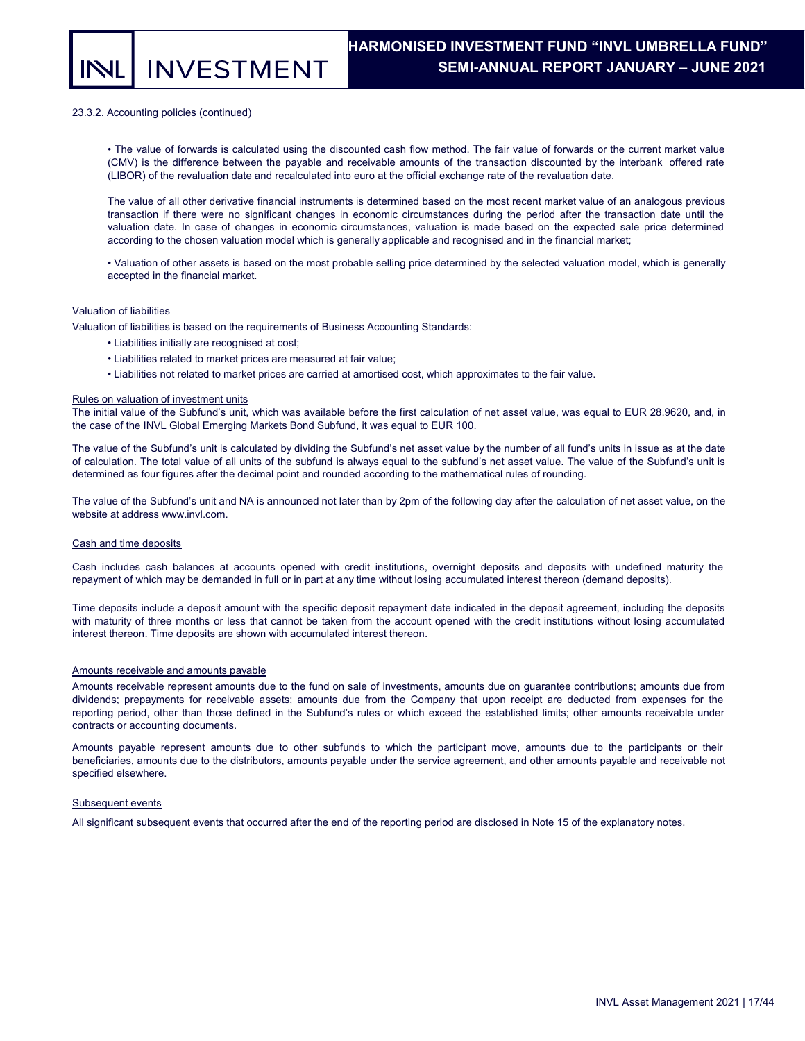**INVESTMENT** 

#### 23.3.2. Accounting policies (continued)

• The value of forwards is calculated using the discounted cash flow method. The fair value of forwards or the current market value (CMV) is the difference between the payable and receivable amounts of the transaction discounted by the interbank offered rate (LIBOR) of the revaluation date and recalculated into euro at the official exchange rate of the revaluation date.

The value of all other derivative financial instruments is determined based on the most recent market value of an analogous previous transaction if there were no significant changes in economic circumstances during the period after the transaction date until the valuation date. In case of changes in economic circumstances, valuation is made based on the expected sale price determined according to the chosen valuation model which is generally applicable and recognised and in the financial market;

• Valuation of other assets is based on the most probable selling price determined by the selected valuation model, which is generally accepted in the financial market.

#### Valuation of liabilities

Valuation of liabilities is based on the requirements of Business Accounting Standards:

- Liabilities initially are recognised at cost;
	- Liabilities related to market prices are measured at fair value;
	- Liabilities not related to market prices are carried at amortised cost, which approximates to the fair value.

#### Rules on valuation of investment units

The initial value of the Subfund's unit, which was available before the first calculation of net asset value, was equal to EUR 28.9620, and, in the case of the INVL Global Emerging Markets Bond Subfund, it was equal to EUR 100.

The value of the Subfund's unit is calculated by dividing the Subfund's net asset value by the number of all fund's units in issue as at the date of calculation. The total value of all units of the subfund is always equal to the subfund's net asset value. The value of the Subfund's unit is determined as four figures after the decimal point and rounded according to the mathematical rules of rounding.

The value of the Subfund's unit and NA is announced not later than by 2pm of the following day after the calculation of net asset value, on the website at address www.invl.com.

#### Cash and time deposits

Cash includes cash balances at accounts opened with credit institutions, overnight deposits and deposits with undefined maturity the repayment of which may be demanded in full or in part at any time without losing accumulated interest thereon (demand deposits).

Time deposits include a deposit amount with the specific deposit repayment date indicated in the deposit agreement, including the deposits with maturity of three months or less that cannot be taken from the account opened with the credit institutions without losing accumulated interest thereon. Time deposits are shown with accumulated interest thereon.

#### Amounts receivable and amounts payable

Amounts receivable represent amounts due to the fund on sale of investments, amounts due on guarantee contributions; amounts due from dividends; prepayments for receivable assets; amounts due from the Company that upon receipt are deducted from expenses for the reporting period, other than those defined in the Subfund's rules or which exceed the established limits; other amounts receivable under contracts or accounting documents.

Amounts payable represent amounts due to other subfunds to which the participant move, amounts due to the participants or their beneficiaries, amounts due to the distributors, amounts payable under the service agreement, and other amounts payable and receivable not specified elsewhere.

#### Subsequent events

All significant subsequent events that occurred after the end of the reporting period are disclosed in Note 15 of the explanatory notes.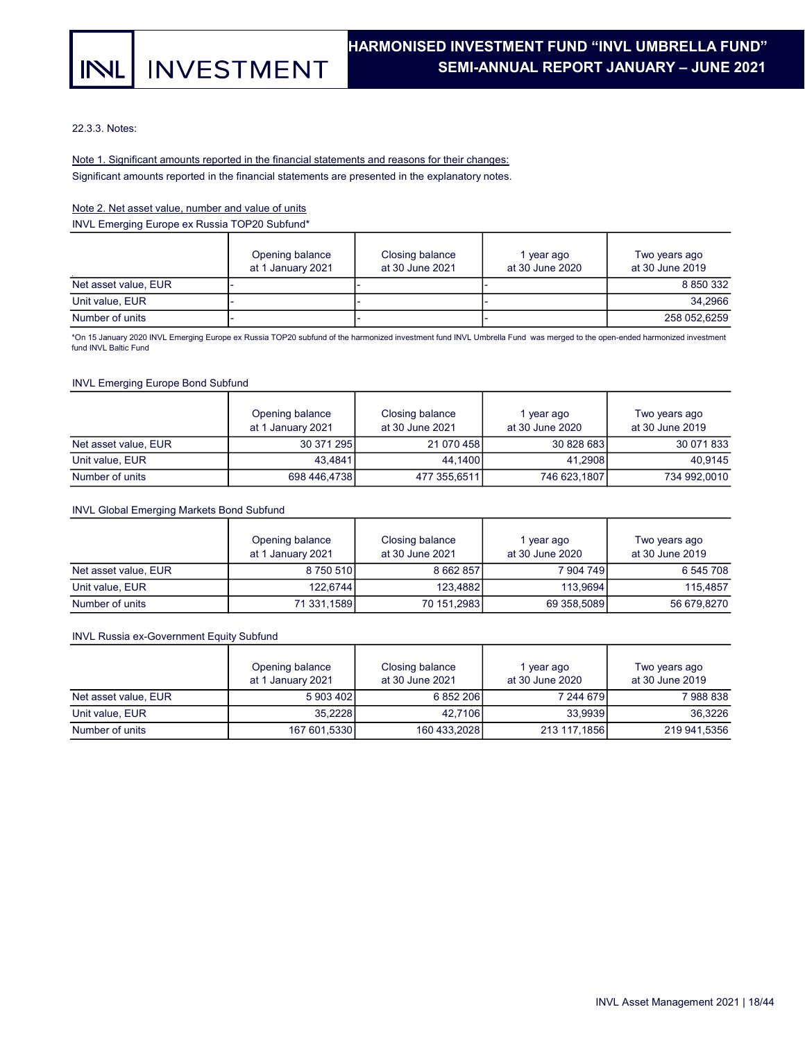## **INVESTMENT INL**

22.3.3. Notes:

## Significant amounts reported in the financial statements are presented in the explanatory notes. Note 1. Significant amounts reported in the financial statements and reasons for their changes:

## Note 2. Net asset value, number and value of units

INVL Emerging Europe ex Russia TOP20 Subfund\*

|                      | Opening balance<br>at 1 January 2021 | Closing balance<br>at 30 June 2021 | year ago<br>at 30 June 2020 | Two years ago<br>at 30 June 2019 |  |  |
|----------------------|--------------------------------------|------------------------------------|-----------------------------|----------------------------------|--|--|
| Net asset value, EUR |                                      |                                    |                             | 8 8 5 0 3 3 2                    |  |  |
| Unit value, EUR      |                                      |                                    |                             | 34.2966                          |  |  |
| Number of units      |                                      |                                    |                             | 258 052,6259                     |  |  |

\*On 15 January 2020 INVL Emerging Europe ex Russia TOP20 subfund of the harmonized investment fund INVL Umbrella Fund was merged to the open-ended harmonized investment fund INVL Baltic Fund

## INVL Emerging Europe Bond Subfund

|                      | Opening balance<br>at 1 January 2021 | Closing balance<br>at 30 June 2021 | 1 year ago<br>at 30 June 2020 | Two years ago<br>at 30 June 2019 |
|----------------------|--------------------------------------|------------------------------------|-------------------------------|----------------------------------|
| Net asset value, EUR | 30 371 295                           | 21 070 458                         | 30 828 683                    | 30 071 833                       |
| Unit value, EUR      | 43.4841                              | 44.1400                            | 41.2908                       | 40.9145                          |
| Number of units      | 698 446,4738                         | 477 355,6511                       | 746 623,1807                  | 734 992,0010                     |

### INVL Global Emerging Markets Bond Subfund

|                      | Opening balance<br>at 1 January 2021 | Closing balance<br>at 30 June 2021 | l year ago<br>at 30 June 2020 | Two years ago<br>at 30 June 2019 |
|----------------------|--------------------------------------|------------------------------------|-------------------------------|----------------------------------|
| Net asset value, EUR | 8 750 510                            | 8 662 857                          | 7 904 749                     | 6 545 708                        |
| Unit value, EUR      | 122.6744                             | 123.4882                           | 113.9694                      | 115.4857                         |
| Number of units      | 71 331.1589                          | 70 151,2983                        | 69 358,5089                   | 56 679,8270                      |

## INVL Russia ex-Government Equity Subfund

|                      | Opening balance<br>at 1 January 2021 | Closing balance<br>at 30 June 2021 | year ago<br>at 30 June 2020 | Two years ago<br>at 30 June 2019 |
|----------------------|--------------------------------------|------------------------------------|-----------------------------|----------------------------------|
| Net asset value. EUR | 5 903 402                            | 6 852 206                          | 7 244 679                   | 7988838                          |
| Unit value, EUR      | 35.2228                              | 42.7106                            | 33.9939                     | 36.3226                          |
| Number of units      | 167 601,5330                         | 160 433,2028                       | 213 117,1856                | 219 941,5356                     |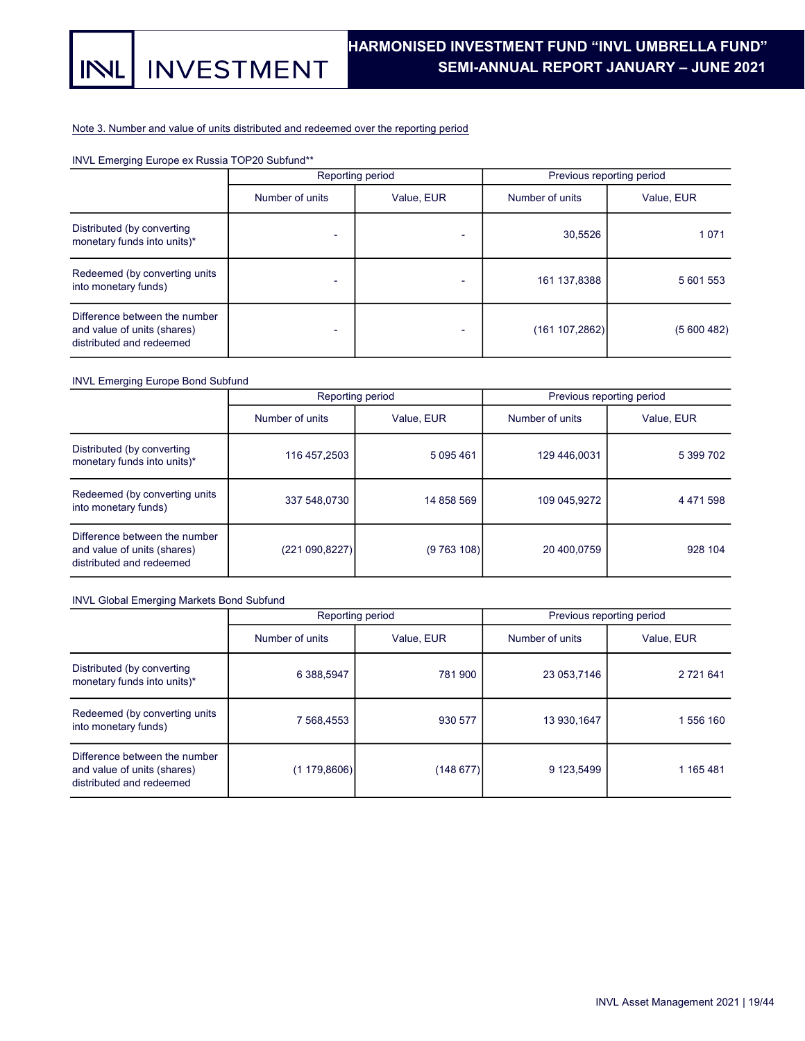## Note 3. Number and value of units distributed and redeemed over the reporting period

## INVL Emerging Europe ex Russia TOP20 Subfund\*\*

|                                                                                          |                 | Reporting period         | Previous reporting period |            |  |  |
|------------------------------------------------------------------------------------------|-----------------|--------------------------|---------------------------|------------|--|--|
|                                                                                          | Number of units | Value, EUR               | Number of units           | Value, EUR |  |  |
| Distributed (by converting<br>monetary funds into units)*                                |                 |                          | 30,5526                   | 1071       |  |  |
| Redeemed (by converting units<br>into monetary funds)                                    |                 | $\overline{\phantom{a}}$ | 161 137,8388              | 5 601 553  |  |  |
| Difference between the number<br>and value of units (shares)<br>distributed and redeemed | -               | $\overline{\phantom{0}}$ | (161 107, 2862)           | (5600482)  |  |  |

## INVL Emerging Europe Bond Subfund

|                                                                                          |                 | Reporting period |                 | Previous reporting period |  |  |
|------------------------------------------------------------------------------------------|-----------------|------------------|-----------------|---------------------------|--|--|
|                                                                                          | Number of units | Value, EUR       | Number of units | Value, EUR                |  |  |
| Distributed (by converting<br>monetary funds into units)*                                | 116 457,2503    | 5 095 461        | 129 446,0031    | 5 399 702                 |  |  |
| Redeemed (by converting units<br>into monetary funds)                                    | 337 548,0730    | 14 858 569       | 109 045.9272    | 4 4 7 1 5 9 8             |  |  |
| Difference between the number<br>and value of units (shares)<br>distributed and redeemed | (221 090,8227)  | (9763108)        | 20 400,0759     | 928 104                   |  |  |

## INVL Global Emerging Markets Bond Subfund

|                                                                                          |                 | Reporting period | Previous reporting period |            |  |  |
|------------------------------------------------------------------------------------------|-----------------|------------------|---------------------------|------------|--|--|
|                                                                                          | Number of units | Value, EUR       | Number of units           | Value, EUR |  |  |
| Distributed (by converting<br>monetary funds into units)*                                | 6 388,5947      | 781 900          | 23 053,7146               | 2 721 641  |  |  |
| Redeemed (by converting units<br>into monetary funds)                                    | 7 568,4553      | 930 577          | 13 930, 1647              | 1 556 160  |  |  |
| Difference between the number<br>and value of units (shares)<br>distributed and redeemed | (1179,8606)     | (148677)         | 9 123,5499                | 1 165 481  |  |  |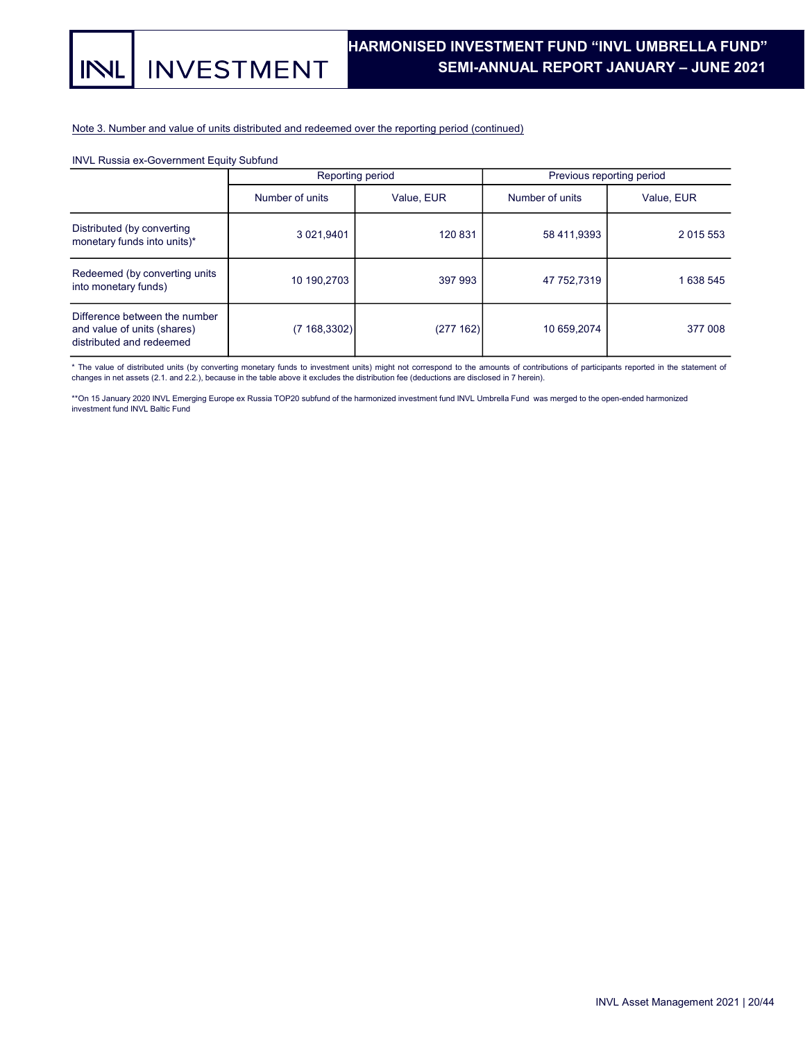## Note 3. Number and value of units distributed and redeemed over the reporting period (continued)

## INVL Russia ex-Government Equity Subfund

|                                                                                          |                 | Reporting period |                 | Previous reporting period |
|------------------------------------------------------------------------------------------|-----------------|------------------|-----------------|---------------------------|
|                                                                                          | Number of units | Value, EUR       | Number of units | Value, EUR                |
| Distributed (by converting<br>monetary funds into units)*                                | 3 021,9401      | 120 831          | 58 411,9393     | 2 0 1 5 5 5 3             |
| Redeemed (by converting units<br>into monetary funds)                                    | 10 190,2703     | 397 993          | 47 752.7319     | 1 638 545                 |
| Difference between the number<br>and value of units (shares)<br>distributed and redeemed | (7168, 3302)    | (277162)         | 10 659.2074     | 377 008                   |

\* The value of distributed units (by converting monetary funds to investment units) might not correspond to the amounts of contributions of participants reported in the statement of<br>changes in net assets (2.1. and 2.2.), b

\*\*On 15 January 2020 INVL Emerging Europe ex Russia TOP20 subfund of the harmonized investment fund INVL Umbrella Fund was merged to the open-ended harmonized investment fund INVL Baltic Fund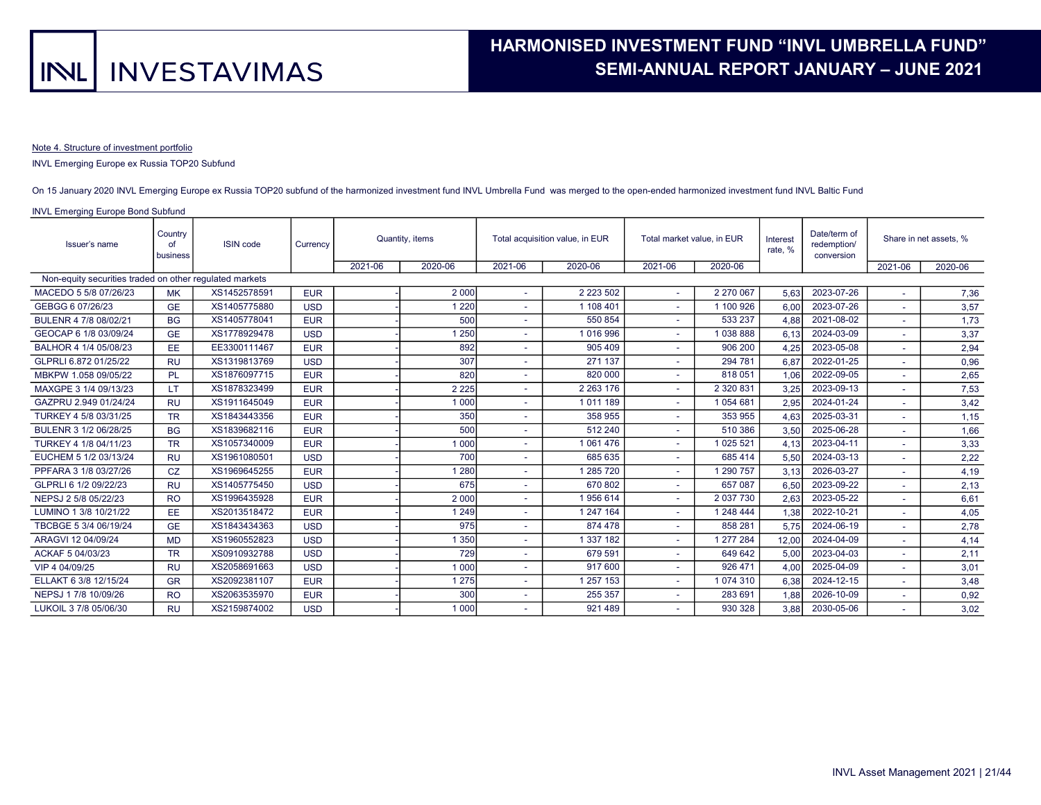### Note 4. Structure of investment portfolio

#### INVL Emerging Europe ex Russia TOP20 Subfund

#### On 15 January 2020 INVL Emerging Europe ex Russia TOP20 subfund of the harmonized investment fund INVL Umbrella Fund was merged to the open-ended harmonized investment fund INVL Baltic Fund

| Issuer's name                                           | Country<br>∩f<br>business | <b>ISIN</b> code |            | Currency |         |         | Quantity, items |                          | Total acquisition value, in EUR | Total market value, in EUR |            | Interest<br>rate, % | Date/term of<br>redemption/<br>conversion |  | Share in net assets, % |
|---------------------------------------------------------|---------------------------|------------------|------------|----------|---------|---------|-----------------|--------------------------|---------------------------------|----------------------------|------------|---------------------|-------------------------------------------|--|------------------------|
|                                                         |                           |                  |            | 2021-06  | 2020-06 | 2021-06 | 2020-06         | 2021-06                  | 2020-06                         |                            |            | 2021-06             | 2020-06                                   |  |                        |
| Non-equity securities traded on other regulated markets |                           |                  |            |          |         |         |                 |                          |                                 |                            |            |                     |                                           |  |                        |
| MACEDO 5 5/8 07/26/23                                   | <b>MK</b>                 | XS1452578591     | <b>EUR</b> |          | 2 0 0 0 | $\sim$  | 2 2 2 3 5 0 2   | $\sim$                   | 2 270 067                       | 5.63                       | 2023-07-26 |                     | 7,36                                      |  |                        |
| GEBGG 6 07/26/23                                        | <b>GE</b>                 | XS1405775880     | <b>USD</b> |          | 220     | ۰       | 1 108 401       |                          | 1 100 926                       | 6,00                       | 2023-07-26 |                     | 3,57                                      |  |                        |
| BULENR 4 7/8 08/02/21                                   | <b>BG</b>                 | XS1405778041     | <b>EUR</b> |          | 500     |         | 550 854         | $\sim$                   | 533 237                         | 4.88                       | 2021-08-02 |                     | 1,73                                      |  |                        |
| GEOCAP 6 1/8 03/09/24                                   | <b>GE</b>                 | XS1778929478     | <b>USD</b> |          | 250     |         | 1 016 996       |                          | 1038888                         | 6.13                       | 2024-03-09 |                     | 3,37                                      |  |                        |
| BALHOR 4 1/4 05/08/23                                   | EE.                       | EE3300111467     | <b>EUR</b> |          | 892     |         | 905 409         |                          | 906 200                         | 4,25                       | 2023-05-08 |                     | 2,94                                      |  |                        |
| GLPRLI 6.872 01/25/22                                   | <b>RU</b>                 | XS1319813769     | <b>USD</b> |          | 307     |         | 271 137         |                          | 294 781                         | 6.87                       | 2022-01-25 |                     | 0,96                                      |  |                        |
| MBKPW 1.058 09/05/22                                    | PL                        | XS1876097715     | <b>EUR</b> |          | 820     |         | 820 000         |                          | 818051                          | 1,06                       | 2022-09-05 |                     | 2,65                                      |  |                        |
| MAXGPE 3 1/4 09/13/23                                   | LT                        | XS1878323499     | <b>EUR</b> |          | 2 2 2 5 |         | 2 2 6 3 1 7 6   |                          | 2 3 2 0 8 3 1                   | 3,25                       | 2023-09-13 |                     | 7,53                                      |  |                        |
| GAZPRU 2.949 01/24/24                                   | <b>RU</b>                 | XS1911645049     | <b>EUR</b> |          | 1 0 0 0 |         | 1011189         |                          | 1 0 54 6 81                     | 2,95                       | 2024-01-24 |                     | 3,42                                      |  |                        |
| TURKEY 4 5/8 03/31/25                                   | <b>TR</b>                 | XS1843443356     | <b>EUR</b> |          | 350     | ٠       | 358 955         | A.                       | 353 955                         | 4.63                       | 2025-03-31 |                     | 1,15                                      |  |                        |
| BULENR 3 1/2 06/28/25                                   | <b>BG</b>                 | XS1839682116     | <b>EUR</b> |          | 500     |         | 512 240         |                          | 510 386                         | 3.50                       | 2025-06-28 |                     | 1,66                                      |  |                        |
| TURKEY 4 1/8 04/11/23                                   | <b>TR</b>                 | XS1057340009     | <b>EUR</b> |          | 1 0 0 0 | ٠       | 1 061 476       | $\sim$                   | 025 521                         | 4.13                       | 2023-04-11 |                     | 3,33                                      |  |                        |
| EUCHEM 5 1/2 03/13/24                                   | <b>RU</b>                 | XS1961080501     | <b>USD</b> |          | 700     |         | 685 635         |                          | 685 414                         | 5,50                       | 2024-03-13 |                     | 2,22                                      |  |                        |
| PPFARA 3 1/8 03/27/26                                   | <b>CZ</b>                 | XS1969645255     | <b>EUR</b> |          | 280     |         | 285 720         |                          | 1 290 757                       | 3.13                       | 2026-03-27 |                     | 4,19                                      |  |                        |
| GLPRLI 6 1/2 09/22/23                                   | <b>RU</b>                 | XS1405775450     | <b>USD</b> |          | 675     |         | 670 802         | $\sim$                   | 657 087                         | 6.50                       | 2023-09-22 |                     | 2,13                                      |  |                        |
| NEPSJ 2 5/8 05/22/23                                    | <b>RO</b>                 | XS1996435928     | <b>EUR</b> |          | 2 0 0 0 |         | 1956 614        |                          | 2 037 730                       | 2.63                       | 2023-05-22 |                     | 6,61                                      |  |                        |
| LUMINO 1 3/8 10/21/22                                   | EE.                       | XS2013518472     | <b>EUR</b> |          | 1 2 4 9 |         | 1 247 164       |                          | 1 248 444                       | 1,38                       | 2022-10-21 |                     | 4,05                                      |  |                        |
| TBCBGE 5 3/4 06/19/24                                   | <b>GE</b>                 | XS1843434363     | <b>USD</b> |          | 975     |         | 874 478         |                          | 858 281                         | 5.75                       | 2024-06-19 |                     | 2,78                                      |  |                        |
| ARAGVI 12 04/09/24                                      | <b>MD</b>                 | XS1960552823     | <b>USD</b> |          | 350     |         | 1 337 182       |                          | 1 277 284                       | 12.00                      | 2024-04-09 |                     | 4,14                                      |  |                        |
| ACKAF 5 04/03/23                                        | <b>TR</b>                 | XS0910932788     | <b>USD</b> |          | 729     | ٠       | 679 591         |                          | 649 642                         | 5.00                       | 2023-04-03 |                     | 2,11                                      |  |                        |
| VIP 4 04/09/25                                          | <b>RU</b>                 | XS2058691663     | <b>USD</b> |          | 1 0 0 0 | ۰       | 917 600         | $\sim$                   | 926 471                         | 4.00                       | 2025-04-09 |                     | 3,01                                      |  |                        |
| ELLAKT 6 3/8 12/15/24                                   | <b>GR</b>                 | XS2092381107     | <b>EUR</b> |          | 275     |         | 257 153         | $\overline{\phantom{a}}$ | 1074310                         | 6,38                       | 2024-12-15 |                     | 3,48                                      |  |                        |
| NEPSJ 1 7/8 10/09/26                                    | <b>RO</b>                 | XS2063535970     | <b>EUR</b> |          | 300     |         | 255 357         |                          | 283 691                         | 1.88                       | 2026-10-09 |                     | 0,92                                      |  |                        |
| LUKOIL 3 7/8 05/06/30                                   | <b>RU</b>                 | XS2159874002     | <b>USD</b> |          | 1 0 0 0 |         | 921 489         |                          | 930 328                         | 3,88                       | 2030-05-06 |                     | 3,02                                      |  |                        |
|                                                         |                           |                  |            |          |         |         |                 |                          |                                 |                            |            |                     |                                           |  |                        |

## INVL Emerging Europe Bond Subfund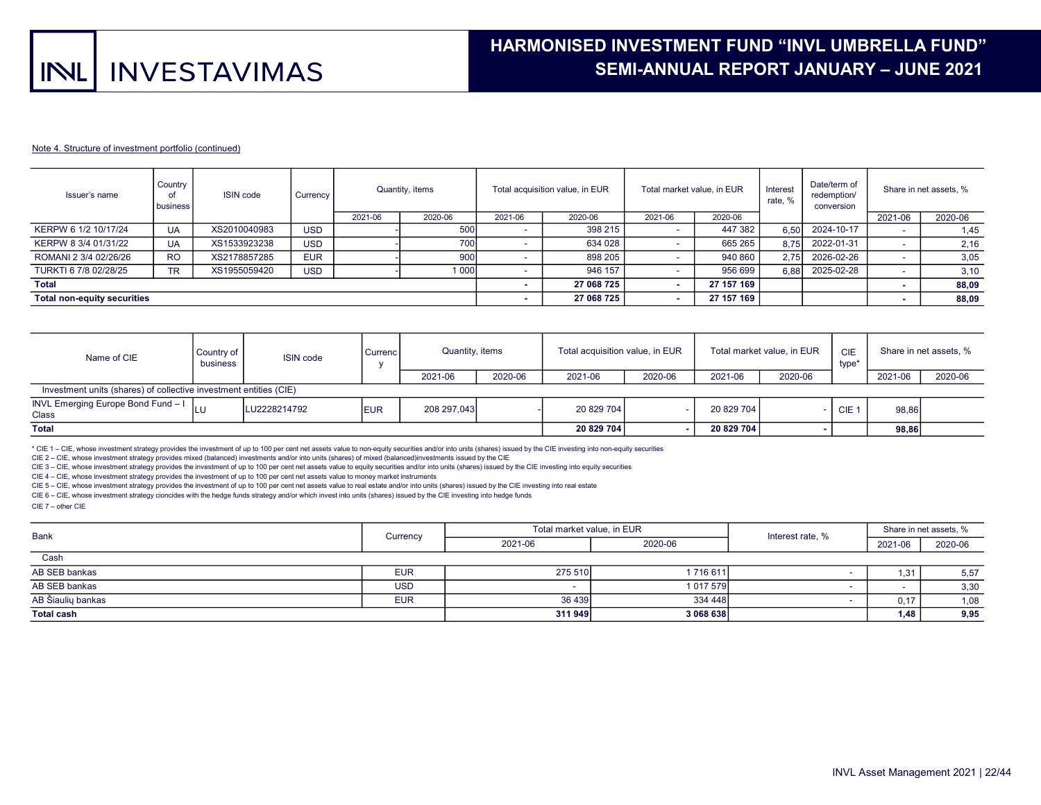#### Note 4. Structure of investment portfolio (continued)

| Country<br>Issuer's name<br>ISIN code<br>I business | Currency  | Quantity, items |            |         | Total acquisition value, in EUR |         | Total market value, in EUR |         | Date/term of<br>redemption/<br>conversion | Share in net assets, % |            |         |         |
|-----------------------------------------------------|-----------|-----------------|------------|---------|---------------------------------|---------|----------------------------|---------|-------------------------------------------|------------------------|------------|---------|---------|
|                                                     |           |                 |            | 2021-06 | 2020-06                         | 2021-06 | 2020-06                    | 2021-06 | 2020-06                                   |                        |            | 2021-06 | 2020-06 |
| KERPW 6 1/2 10/17/24                                | <b>UA</b> | XS2010040983    | <b>USD</b> |         | 500                             |         | 398 215                    |         | 447 382                                   | 6.50                   | 2024-10-17 |         | 1,45    |
| KERPW 8 3/4 01/31/22                                | UA        | XS1533923238    | <b>USD</b> |         | 700                             |         | 634 028                    |         | 665 265                                   | 8.75                   | 2022-01-31 |         | 2,16    |
| ROMANI 2 3/4 02/26/26                               | <b>RO</b> | XS2178857285    | <b>EUR</b> |         | 900                             |         | 898 205                    |         | 940 860                                   | 2.75                   | 2026-02-26 |         | 3,05    |
| TURKTI 6 7/8 02/28/25                               | <b>TR</b> | XS1955059420    | <b>USD</b> |         | 000                             |         | 946 157                    |         | 956 699                                   | 6.88                   | 2025-02-28 |         | 3,10    |
| <b>Total</b>                                        |           |                 |            |         |                                 |         | 27 068 725                 |         | 27 157 169                                |                        |            |         | 88,09   |
| <b>Total non-equity securities</b>                  |           |                 |            |         | 27 068 725                      |         | 27 157 169                 |         |                                           |                        | 88,09      |         |         |

| Name of CIE                                                       | Country of<br>business | <b>ISIN</b> code | Currenc <sup>1</sup> | Quantity, items |         | Total acquisition value, in EUR |         | Total market value, in EUR |         | <b>CIE</b><br>type* | Share in net assets, % |         |
|-------------------------------------------------------------------|------------------------|------------------|----------------------|-----------------|---------|---------------------------------|---------|----------------------------|---------|---------------------|------------------------|---------|
|                                                                   |                        |                  |                      | 2021-06         | 2020-06 | 2021-06                         | 2020-06 | 2021-06                    | 2020-06 |                     | 2021-06                | 2020-06 |
| Investment units (shares) of collective investment entities (CIE) |                        |                  |                      |                 |         |                                 |         |                            |         |                     |                        |         |
| INVL Emerging Europe Bond Fund - $\vert$ LU<br><b>Class</b>       |                        | LU2228214792     | <b>IEUR</b>          | 208 297,043     |         | 20 829 704                      |         | 20 829 704                 |         | CIE <sub>1</sub>    | 98,86                  |         |
| <b>Total</b>                                                      |                        |                  |                      |                 |         | 20 829 704                      |         | 20 829 704                 |         |                     | 98.86                  |         |

\* CIE 1 – CIE, whose investment strategy provides the investment of up to 100 per cent net assets value to non-equity securities and/or into units (shares) issued by the CIE investing into non-equity securities

CIE 2 – CIE, whose investment strategy provides mixed (balanced) investments and/or into units (shares) of mixed (balanced)investments issued by the CIE

CIE 3 – CIE, whose investment strategy provides the investment of up to 100 per cent net assets value to equity securities and/or into units (shares) issued by the CIE investing into equity securities

CIE 4 – CIE, whose investment strategy provides the investment of up to 100 per cent net assets value to money market instruments

CIE 5 – CIE, whose investment strategy provides the investment of up to 100 per cent net assets value to real estate and/or into units (shares) issued by the CIE investing into real estate

CIE 6 – CIE, whose investment strategy cioncides with the hedge funds strategy and/or which invest into units (shares) issued by the CIE investing into hedge funds

CIE 7 – other CIE

| Bank              | Currency   | Total market value, in EUR |           | Interest rate, % | Share in net assets, % |         |
|-------------------|------------|----------------------------|-----------|------------------|------------------------|---------|
|                   |            | 2021-06                    | 2020-06   |                  | 2021-06                | 2020-06 |
| Cash              |            |                            |           |                  |                        |         |
| AB SEB bankas     | <b>EUR</b> | 275 510                    | 1716611   |                  | 1.31                   | 5,57    |
| AB SEB bankas     | <b>USD</b> |                            | 1 017 579 |                  |                        | 3,30    |
| AB Šiaulių bankas | <b>EUR</b> | 36 439                     | 334 448   |                  | 0,17                   | 1,08    |
| <b>Total cash</b> |            | 311949                     | 3 068 638 |                  | 1.48                   | 9,95    |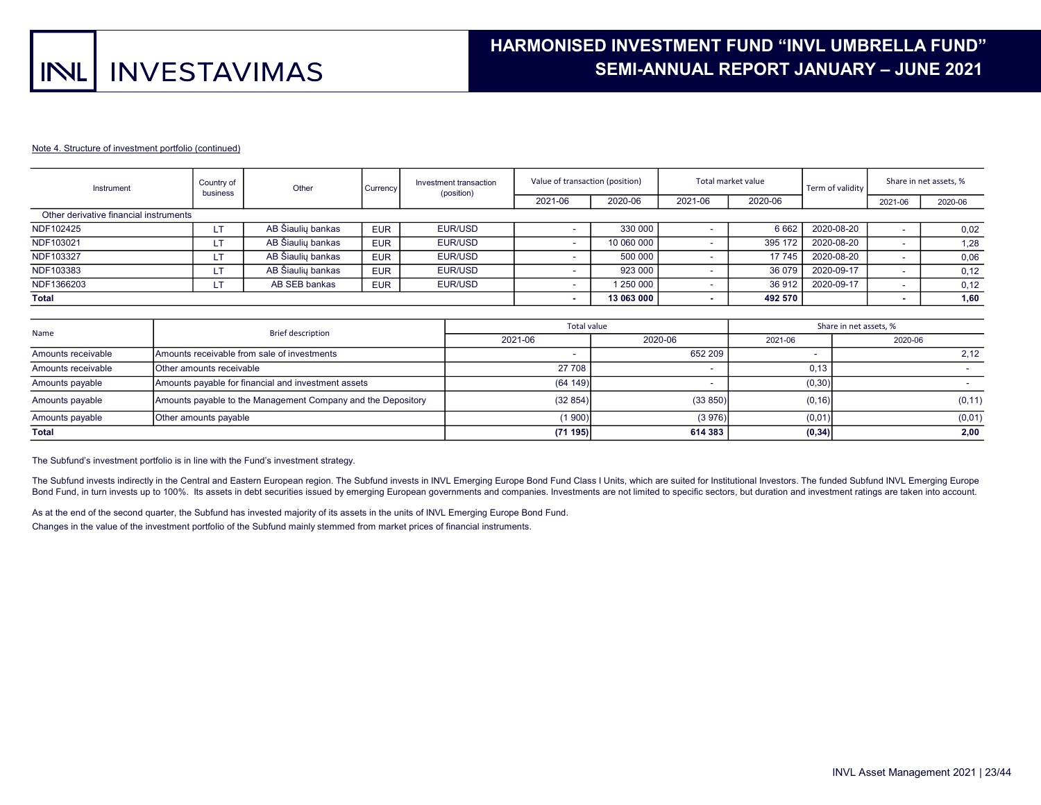# HARMONISED INVESTMENT FUND "INVL UMBRELLA FUND" . SEMI-ANNUAL REPORT JANUARY – JUNE 2021 .

#### Note 4. Structure of investment portfolio (continued)

| Instrument                             | Country of | Other<br>Currency<br>business |            | Investment transaction<br>(position) |         | Value of transaction (position) |         | Total market value | Term of validity |         | Share in net assets, % |  |
|----------------------------------------|------------|-------------------------------|------------|--------------------------------------|---------|---------------------------------|---------|--------------------|------------------|---------|------------------------|--|
|                                        |            |                               |            |                                      | 2021-06 | 2020-06                         | 2021-06 | 2020-06            |                  | 2021-06 | 2020-06                |  |
| Other derivative financial instruments |            |                               |            |                                      |         |                                 |         |                    |                  |         |                        |  |
| NDF102425                              |            | AB Šiaulių bankas             | <b>EUR</b> | EUR/USD                              |         | 330 000                         |         | 6662               | 2020-08-20       |         | 0.02                   |  |
| NDF103021                              |            | AB Šiauliu bankas             | <b>EUR</b> | EUR/USD                              |         | 10 060 000                      |         | 395 172            | 2020-08-20       |         | 1,28                   |  |
| NDF103327                              |            | AB Šiaulių bankas             | <b>EUR</b> | EUR/USD                              |         | 500 000                         |         | 17 745             | 2020-08-20       |         | 0,06                   |  |
| NDF103383                              |            | AB Šiaulių bankas             | <b>EUR</b> | EUR/USD                              |         | 923 000                         |         | 36 079             | 2020-09-17       |         | 0,12                   |  |
| NDF1366203                             |            | AB SEB bankas                 | <b>EUR</b> | EUR/USD                              |         | 1 250 000                       |         | 36 912             | 2020-09-17       |         | 0,12                   |  |
| <b>Total</b>                           |            |                               |            |                                      |         | 13 063 000                      |         | 492 570            |                  |         | 1,60                   |  |

| Name               | <b>Brief description</b>                                     | <b>Total value</b> |          | Share in net assets, % |         |  |  |
|--------------------|--------------------------------------------------------------|--------------------|----------|------------------------|---------|--|--|
|                    |                                                              | 2021-06            | 2020-06  | 2021-06                | 2020-06 |  |  |
| Amounts receivable | Amounts receivable from sale of investments                  |                    | 652 209  |                        | 2.12    |  |  |
| Amounts receivable | <b>Other amounts receivable</b>                              | 27 708             |          | 0,13                   |         |  |  |
| Amounts payable    | Amounts payable for financial and investment assets          | (64149)            |          | (0, 30)                |         |  |  |
| Amounts payable    | Amounts payable to the Management Company and the Depository | (32854)            | (33 850) | (0, 16)                | (0, 11) |  |  |
| Amounts payable    | Other amounts payable                                        | (1900)             | (3976)   | (0,01)                 | (0,01)  |  |  |
| <b>Total</b>       |                                                              | (71195)            | 614 383  | (0, 34)                | 2,00    |  |  |

The Subfund's investment portfolio is in line with the Fund's investment strategy.

The Subfund invests indirectly in the Central and Eastern European region. The Subfund invests in INVL Emerging Europe Bond Fund Class I Units, which are suited for Institutional Investors. The funded Subfund INVL Emerging Bond Fund, in turn invests up to 100%. Its assets in debt securities issued by emerging European governments and companies. Investments are not limited to specific sectors, but duration and investment ratings are taken int

As at the end of the second quarter, the Subfund has invested majority of its assets in the units of INVL Emerging Europe Bond Fund. Changes in the value of the investment portfolio of the Subfund mainly stemmed from market prices of financial instruments.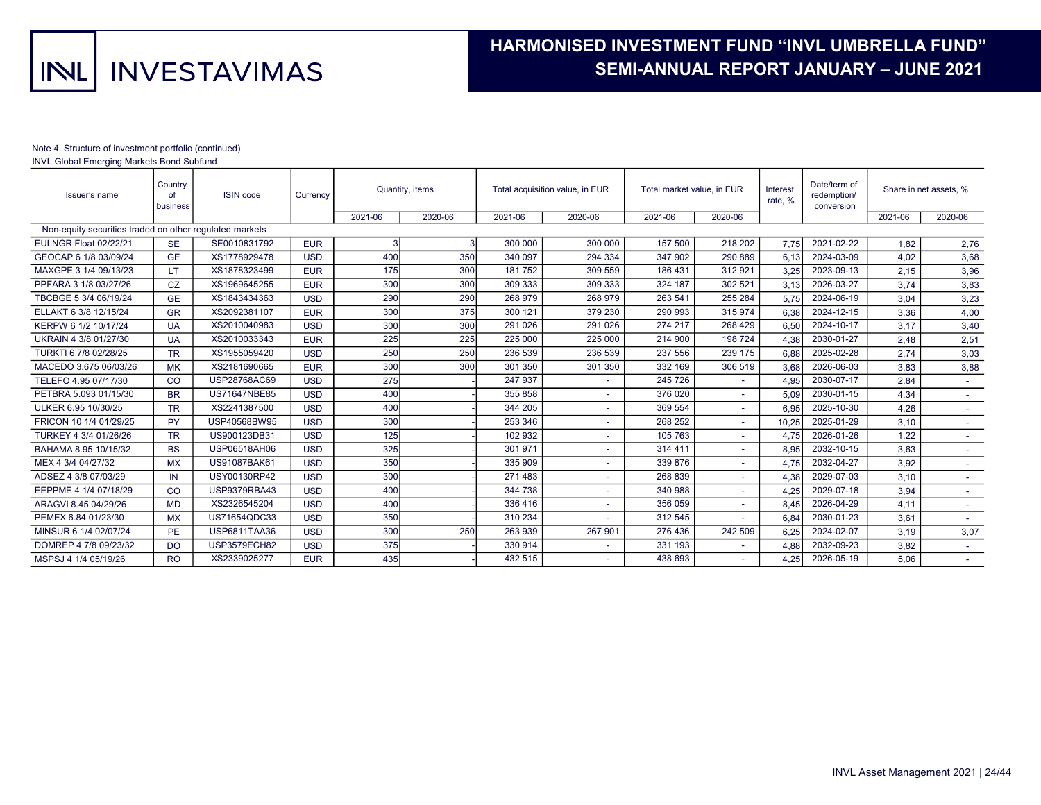# HARMONISED INVESTMENT FUND "INVL UMBRELLA FUND" . SEMI-ANNUAL REPORT JANUARY – JUNE 2021 .

#### Note 4. Structure of investment portfolio (continued)

INVL Global Emerging Markets Bond Subfund

| Country<br><b>ISIN</b> code<br>Issuer's name<br>of<br>business |           | Currency            | Quantity, items |         | Total acquisition value, in EUR |         | Total market value, in EUR |         | Interest<br>rate, %      | Date/term of<br>redemption/<br>conversion |            | Share in net assets, % |                          |
|----------------------------------------------------------------|-----------|---------------------|-----------------|---------|---------------------------------|---------|----------------------------|---------|--------------------------|-------------------------------------------|------------|------------------------|--------------------------|
|                                                                |           |                     |                 | 2021-06 | 2020-06                         | 2021-06 | 2020-06                    | 2021-06 | 2020-06                  |                                           |            | 2021-06                | 2020-06                  |
| Non-equity securities traded on other requlated markets        |           |                     |                 |         |                                 |         |                            |         |                          |                                           |            |                        |                          |
| EULNGR Float 02/22/21                                          | <b>SE</b> | SE0010831792        | <b>EUR</b>      | -3      |                                 | 300 000 | 300 000                    | 157 500 | 218 202                  | 7,75                                      | 2021-02-22 | 1.82                   | 2,76                     |
| GEOCAP 6 1/8 03/09/24                                          | <b>GE</b> | XS1778929478        | <b>USD</b>      | 400     | 350                             | 340 097 | 294 334                    | 347 902 | 290 889                  | 6.13                                      | 2024-03-09 | 4,02                   | 3,68                     |
| MAXGPE 3 1/4 09/13/23                                          | LT        | XS1878323499        | <b>EUR</b>      | 175     | 300                             | 181752  | 309 559                    | 186 431 | 312 921                  | 3.25                                      | 2023-09-13 | 2.15                   | 3,96                     |
| PPFARA 3 1/8 03/27/26                                          | <b>CZ</b> | XS1969645255        | <b>EUR</b>      | 300     | 300                             | 309 333 | 309 333                    | 324 187 | 302 521                  | 3,13                                      | 2026-03-27 | 3,74                   | 3,83                     |
| TBCBGE 5 3/4 06/19/24                                          | <b>GE</b> | XS1843434363        | <b>USD</b>      | 290     | 290                             | 268 979 | 268 979                    | 263 541 | 255 284                  | 5.75                                      | 2024-06-19 | 3,04                   | 3,23                     |
| ELLAKT 6 3/8 12/15/24                                          | <b>GR</b> | XS2092381107        | <b>EUR</b>      | 300     | 375                             | 300 121 | 379 230                    | 290 993 | 315 974                  | 6.38                                      | 2024-12-15 | 3,36                   | 4,00                     |
| KERPW 6 1/2 10/17/24                                           | <b>UA</b> | XS2010040983        | <b>USD</b>      | 300     | 300                             | 291 026 | 291 026                    | 274 217 | 268 429                  | 6.50                                      | 2024-10-17 | 3,17                   | 3,40                     |
| UKRAIN 4 3/8 01/27/30                                          | <b>UA</b> | XS2010033343        | <b>EUR</b>      | 225     | 225                             | 225 000 | 225 000                    | 214 900 | 198 724                  | 4,38                                      | 2030-01-27 | 2,48                   | 2,51                     |
| TURKTI 6 7/8 02/28/25                                          | <b>TR</b> | XS1955059420        | <b>USD</b>      | 250     | 250                             | 236 539 | 236 539                    | 237 556 | 239 175                  | 6,88                                      | 2025-02-28 | 2,74                   | 3,03                     |
| MACEDO 3.675 06/03/26                                          | <b>MK</b> | XS2181690665        | <b>EUR</b>      | 300     | 300                             | 301 350 | 301 350                    | 332 169 | 306 519                  | 3,68                                      | 2026-06-03 | 3,83                   | 3,88                     |
| TELEFO 4.95 07/17/30                                           | <b>CO</b> | USP28768AC69        | <b>USD</b>      | 275     |                                 | 247 937 | $\overline{\phantom{a}}$   | 245 726 | ٠                        | 4.95                                      | 2030-07-17 | 2,84                   | $\sim$                   |
| PETBRA 5.093 01/15/30                                          | <b>BR</b> | <b>US71647NBE85</b> | <b>USD</b>      | 400     |                                 | 355 858 |                            | 376 020 | ٠                        | 5.09                                      | 2030-01-15 | 4.34                   | $\sim$                   |
| ULKER 6.95 10/30/25                                            | <b>TR</b> | XS2241387500        | <b>USD</b>      | 400     |                                 | 344 205 |                            | 369 554 | $\overline{\phantom{0}}$ | 6.95                                      | 2025-10-30 | 4,26                   |                          |
| FRICON 10 1/4 01/29/25                                         | <b>PY</b> | USP40568BW95        | <b>USD</b>      | 300     |                                 | 253 346 |                            | 268 252 |                          | 10,25                                     | 2025-01-29 | 3,10                   |                          |
| TURKEY 4 3/4 01/26/26                                          | <b>TR</b> | US900123DB31        | <b>USD</b>      | 125     |                                 | 102 932 |                            | 105 763 |                          | 4.75                                      | 2026-01-26 | 1,22                   |                          |
| BAHAMA 8.95 10/15/32                                           | <b>BS</b> | USP06518AH06        | <b>USD</b>      | 325     |                                 | 301 971 |                            | 314 411 |                          | 8.95                                      | 2032-10-15 | 3,63                   |                          |
| MEX 4 3/4 04/27/32                                             | <b>MX</b> | US91087BAK61        | <b>USD</b>      | 350     |                                 | 335 909 |                            | 339 876 |                          | 4.75                                      | 2032-04-27 | 3,92                   |                          |
| ADSEZ 4 3/8 07/03/29                                           | IN        | USY00130RP42        | <b>USD</b>      | 300     |                                 | 271 483 |                            | 268 839 |                          | 4,38                                      | 2029-07-03 | 3,10                   |                          |
| EEPPME 4 1/4 07/18/29                                          | CO        | <b>USP9379RBA43</b> | <b>USD</b>      | 400     |                                 | 344 738 | $\sim$                     | 340 988 | ٠                        | 4,25                                      | 2029-07-18 | 3,94                   | $\overline{\phantom{a}}$ |
| ARAGVI 8.45 04/29/26                                           | <b>MD</b> | XS2326545204        | <b>USD</b>      | 400     |                                 | 336 416 |                            | 356 059 |                          | 8.45                                      | 2026-04-29 | 4.11                   |                          |
| PEMEX 6.84 01/23/30                                            | <b>MX</b> | US71654QDC33        | <b>USD</b>      | 350     |                                 | 310 234 |                            | 312 545 |                          | 6.84                                      | 2030-01-23 | 3.61                   |                          |
| MINSUR 6 1/4 02/07/24                                          | <b>PE</b> | USP6811TAA36        | <b>USD</b>      | 300     | 250                             | 263 939 | 267 901                    | 276 436 | 242 509                  | 6,25                                      | 2024-02-07 | 3,19                   | 3,07                     |
| DOMREP 4 7/8 09/23/32                                          | <b>DO</b> | <b>USP3579ECH82</b> | <b>USD</b>      | 375     |                                 | 330 914 |                            | 331 193 |                          | 4.88                                      | 2032-09-23 | 3,82                   |                          |
| MSPSJ 4 1/4 05/19/26                                           | <b>RO</b> | XS2339025277        | <b>EUR</b>      | 435     |                                 | 432 515 |                            | 438 693 |                          | 4,25                                      | 2026-05-19 | 5,06                   |                          |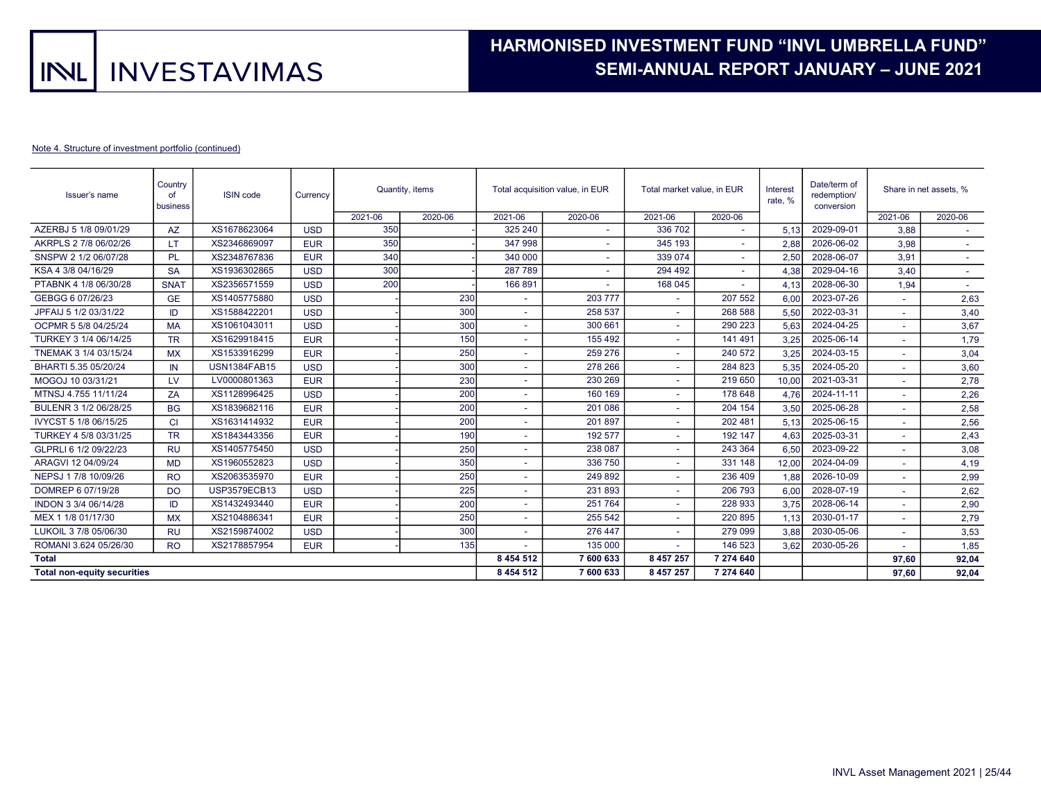# HARMONISED INVESTMENT FUND "INVL UMBRELLA FUND" . SEMI-ANNUAL REPORT JANUARY – JUNE 2021 .

#### Note 4. Structure of investment portfolio (continued)

| Issuer's name                      | Country<br>of<br>business | <b>ISIN</b> code    | Currency   |         | Quantity, items | Total acquisition value, in EUR |                          | Total market value, in EUR |         | Interest<br>rate, % | Date/term of<br>redemption/<br>conversion | Share in net assets. %   |                          |
|------------------------------------|---------------------------|---------------------|------------|---------|-----------------|---------------------------------|--------------------------|----------------------------|---------|---------------------|-------------------------------------------|--------------------------|--------------------------|
|                                    |                           |                     |            | 2021-06 | 2020-06         | 2021-06                         | 2020-06                  | 2021-06                    | 2020-06 |                     |                                           | 2021-06                  | 2020-06                  |
| AZERBJ 5 1/8 09/01/29              | <b>AZ</b>                 | XS1678623064        | <b>USD</b> | 350     |                 | 325 240                         | ٠                        | 336 702                    |         | 5.13                | 2029-09-01                                | 3,88                     |                          |
| AKRPLS 2 7/8 06/02/26              | LT                        | XS2346869097        | <b>EUR</b> | 350     |                 | 347 998                         |                          | 345 193                    |         | 2,88                | 2026-06-02                                | 3,98                     |                          |
| SNSPW 2 1/2 06/07/28               | <b>PL</b>                 | XS2348767836        | <b>EUR</b> | 340     |                 | 340 000                         | ٠                        | 339 074                    |         | 2,50                | 2028-06-07                                | 3,91                     | $\overline{\phantom{a}}$ |
| KSA 4 3/8 04/16/29                 | <b>SA</b>                 | XS1936302865        | <b>USD</b> | 300     |                 | 287 789                         |                          | 294 492                    |         | 4.38                | 2029-04-16                                | 3.40                     | $\sim$                   |
| PTABNK 4 1/8 06/30/28              | <b>SNAT</b>               | XS2356571559        | <b>USD</b> | 200     |                 | 166 891                         | $\overline{\phantom{a}}$ | 168 045                    |         | 4.13                | 2028-06-30                                | 1.94                     | $\sim$                   |
| GEBGG 6 07/26/23                   | <b>GE</b>                 | XS1405775880        | <b>USD</b> |         | 230             |                                 | 203 777                  | ٠                          | 207 552 | 6.00                | 2023-07-26                                | $\overline{a}$           | 2,63                     |
| JPFAIJ 5 1/2 03/31/22              | ID                        | XS1588422201        | <b>USD</b> |         | 300             |                                 | 258 537                  | ٠                          | 268 588 | 5.50                | 2022-03-31                                | $\tilde{\phantom{a}}$    | 3,40                     |
| OCPMR 5 5/8 04/25/24               | <b>MA</b>                 | XS1061043011        | <b>USD</b> |         | 300             | $\sim$                          | 300 661                  | ٠                          | 290 223 | 5.63                | 2024-04-25                                | $\tilde{\phantom{a}}$    | 3,67                     |
| TURKEY 3 1/4 06/14/25              | <b>TR</b>                 | XS1629918415        | <b>EUR</b> |         | 150             |                                 | 155 492                  |                            | 141 491 | 3.25                | 2025-06-14                                | $\overline{\phantom{a}}$ | 1,79                     |
| TNEMAK 3 1/4 03/15/24              | <b>MX</b>                 | XS1533916299        | <b>EUR</b> |         | 250             |                                 | 259 276                  |                            | 240 572 | 3.25                | 2024-03-15                                | $\tilde{\phantom{a}}$    | 3,04                     |
| BHARTI 5.35 05/20/24               | IN                        | <b>USN1384FAB15</b> | <b>USD</b> |         | 300             |                                 | 278 266                  | ٠                          | 284 823 | 5.35                | 2024-05-20                                |                          | 3,60                     |
| MOGOJ 10 03/31/21                  | LV                        | LV0000801363        | <b>EUR</b> |         | 230             |                                 | 230 269                  | ٠                          | 219 650 | 10,00               | 2021-03-31                                | ٠                        | 2,78                     |
| MTNSJ 4.755 11/11/24               | ZA                        | XS1128996425        | <b>USD</b> |         | 200             |                                 | 160 169                  |                            | 178 648 | 4.76                | 2024-11-11                                |                          | 2,26                     |
| BULENR 3 1/2 06/28/25              | <b>BG</b>                 | XS1839682116        | <b>EUR</b> |         | 200             |                                 | 201 086                  |                            | 204 154 | 3,50                | 2025-06-28                                | ٠                        | 2,58                     |
| IVYCST 5 1/8 06/15/25              | <b>CI</b>                 | XS1631414932        | <b>EUR</b> |         | 200             |                                 | 201897                   |                            | 202 481 | 5,13                | 2025-06-15                                |                          | 2,56                     |
| TURKEY 4 5/8 03/31/25              | <b>TR</b>                 | XS1843443356        | <b>EUR</b> |         | 190             |                                 | 192 577                  | ۰                          | 192 147 | 4.63                | 2025-03-31                                | ٠                        | 2,43                     |
| GLPRLI 6 1/2 09/22/23              | <b>RU</b>                 | XS1405775450        | <b>USD</b> |         | 250             |                                 | 238 087                  |                            | 243 364 | 6.50                | 2023-09-22                                |                          | 3,08                     |
| ARAGVI 12 04/09/24                 | <b>MD</b>                 | XS1960552823        | <b>USD</b> |         | 350             |                                 | 336 750                  | ٠                          | 331 148 | 12.00               | 2024-04-09                                | ٠                        | 4,19                     |
| NEPSJ 1 7/8 10/09/26               | <b>RO</b>                 | XS2063535970        | <b>EUR</b> |         | 250             |                                 | 249892                   | ٠                          | 236 409 | 1,88                | 2026-10-09                                |                          | 2,99                     |
| DOMREP 6 07/19/28                  | <b>DO</b>                 | <b>USP3579ECB13</b> | <b>USD</b> |         | 225             | $\overline{\phantom{a}}$        | 231893                   | ٠                          | 206 793 | 6.00                | 2028-07-19                                |                          | 2,62                     |
| INDON 3 3/4 06/14/28               | ID                        | XS1432493440        | <b>EUR</b> |         | 200             |                                 | 251764                   | ٠                          | 228 933 | 3.75                | 2028-06-14                                |                          | 2,90                     |
| MEX 1 1/8 01/17/30                 | <b>MX</b>                 | XS2104886341        | <b>EUR</b> |         | 250             |                                 | 255 542                  | ٠                          | 220 895 | 1.13                | 2030-01-17                                | $\tilde{\phantom{a}}$    | 2,79                     |
| LUKOIL 3 7/8 05/06/30              | <b>RU</b>                 | XS2159874002        | <b>USD</b> |         | 300             |                                 | 276 447                  | ٠                          | 279 099 | 3.88                | 2030-05-06                                | $\overline{a}$           | 3,53                     |
| ROMANI 3.624 05/26/30              | <b>RO</b>                 | XS2178857954        | <b>EUR</b> |         | 135             |                                 | 135 000                  | ٠                          | 146 523 | 3.62                | 2030-05-26                                | ٠                        | 1,85                     |
| <b>Total</b>                       |                           |                     |            |         | 8 4 5 4 5 1 2   | 7 600 633                       | 8 457 257                | 7 274 640                  |         |                     | 97.60                                     | 92,04                    |                          |
| <b>Total non-equity securities</b> |                           |                     |            |         | 8 4 5 4 5 1 2   | 7 600 633                       | 8 457 257                | 7 274 640                  |         |                     | 97.60                                     | 92,04                    |                          |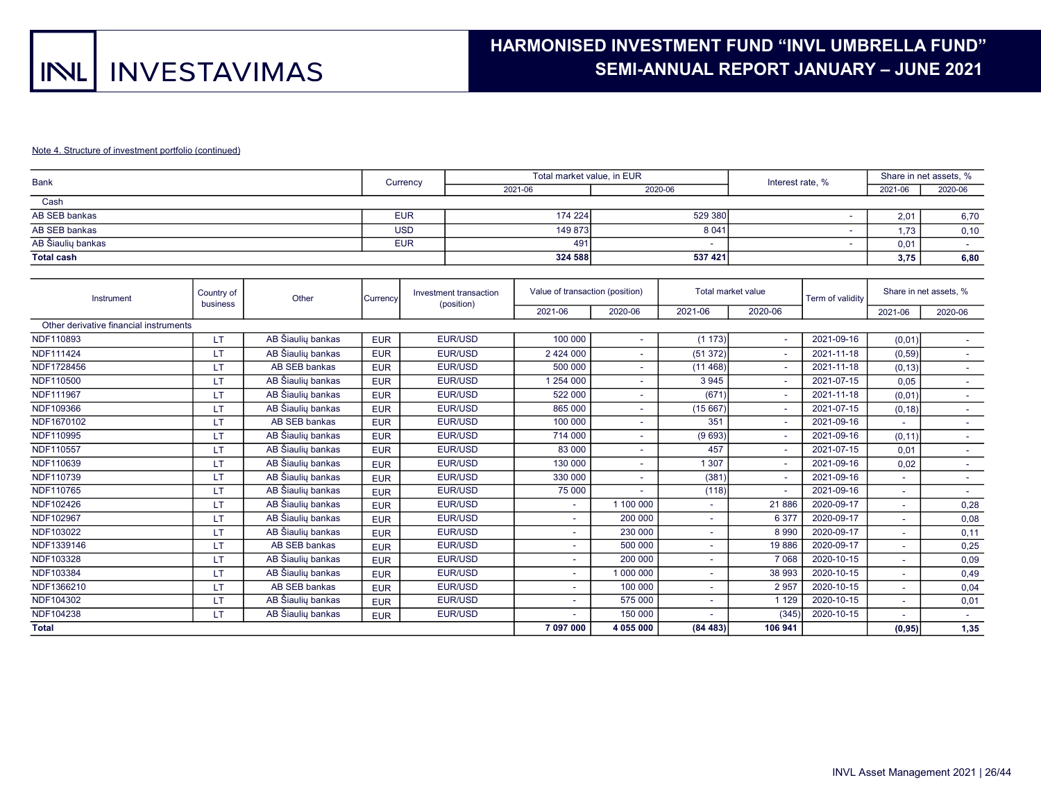# HARMONISED INVESTMENT FUND "INVL UMBRELLA FUND" . SEMI-ANNUAL REPORT JANUARY – JUNE 2021 .

#### Note 4. Structure of investment portfolio (continued)

| <b>Bank</b>       | Currency   | Total market value, in EUR |         | Interest rate, % | Share in net assets, % |         |
|-------------------|------------|----------------------------|---------|------------------|------------------------|---------|
|                   |            | 2021-06                    | 2020-06 |                  | 2021-06                | 2020-06 |
| Cash              |            |                            |         |                  |                        |         |
| AB SEB bankas     | <b>EUR</b> | 174 224                    | 529 380 |                  | 2.01                   | 6,70    |
| AB SEB bankas     | <b>USD</b> | 149 873                    | 8 0 4 1 |                  | 1.73                   | 0, 10   |
| AB Šiaulių bankas | <b>EUR</b> | 491                        |         |                  | 0.01                   |         |
| <b>Total cash</b> |            | 324 588                    | 537 421 |                  | 3.75                   | 6,80    |

| Country of<br>Instrument<br>business   |           | Other             | Currency   | Investment transaction<br>(position) | Value of transaction (position) |           | Total market value       |                          | Term of validity |                       | Share in net assets, %   |  |
|----------------------------------------|-----------|-------------------|------------|--------------------------------------|---------------------------------|-----------|--------------------------|--------------------------|------------------|-----------------------|--------------------------|--|
|                                        |           |                   |            |                                      | 2021-06                         | 2020-06   | 2021-06                  | 2020-06                  |                  | 2021-06               | 2020-06                  |  |
| Other derivative financial instruments |           |                   |            |                                      |                                 |           |                          |                          |                  |                       |                          |  |
| NDF110893                              | <b>LT</b> | AB Šiaulių bankas | <b>EUR</b> | EUR/USD                              | 100 000                         |           | (1173)                   | $\sim$                   | 2021-09-16       | (0,01)                | $\sim$                   |  |
| NDF111424                              | LT        | AB Šiauliu bankas | <b>EUR</b> | EUR/USD                              | 2 424 000                       |           | (51372)                  | ٠                        | 2021-11-18       | (0, 59)               |                          |  |
| NDF1728456                             | LТ        | AB SEB bankas     | <b>EUR</b> | EUR/USD                              | 500 000                         |           | (11468)                  | $\sim$                   | 2021-11-18       | (0, 13)               | $\sim$                   |  |
| NDF110500                              | LТ        | AB Šiaulių bankas | <b>EUR</b> | EUR/USD                              | 254 000                         |           | 3 9 4 5                  | $\sim$                   | 2021-07-15       | 0,05                  | $\sim$                   |  |
| NDF111967                              | LT        | AB Šiaulių bankas | <b>EUR</b> | EUR/USD                              | 522 000                         |           | (671)                    | $\sim$                   | 2021-11-18       | (0,01)                | $\sim$                   |  |
| NDF109366                              | LT        | AB Šiaulių bankas | <b>EUR</b> | EUR/USD                              | 865 000                         |           | (15667)                  | $\overline{\phantom{a}}$ | 2021-07-15       | (0, 18)               | $\overline{\phantom{a}}$ |  |
| NDF1670102                             | LT.       | AB SEB bankas     | <b>EUR</b> | EUR/USD                              | 100 000                         |           | 351                      | $\sim$                   | 2021-09-16       |                       | $\overline{\phantom{a}}$ |  |
| NDF110995                              | LT.       | AB Šiaulių bankas | <b>EUR</b> | EUR/USD                              | 714 000                         |           | (9693)                   | ٠                        | 2021-09-16       | (0, 11)               | ٠                        |  |
| NDF110557                              | LT        | AB Šiaulių bankas | <b>EUR</b> | EUR/USD                              | 83 000                          |           | 457                      | $\sim$                   | 2021-07-15       | 0.01                  | $\sim$                   |  |
| NDF110639                              | LT        | AB Šiaulių bankas | <b>EUR</b> | EUR/USD                              | 130 000                         |           | 1 307                    | $\sim$                   | 2021-09-16       | 0,02                  | $\overline{\phantom{a}}$ |  |
| NDF110739                              | LT        | AB Šiaulių bankas | <b>EUR</b> | EUR/USD                              | 330 000                         |           | (381)                    | $\sim$                   | 2021-09-16       | ٠                     | $\sim$                   |  |
| NDF110765                              | LT        | AB Šiaulių bankas | <b>EUR</b> | EUR/USD                              | 75 000                          |           | (118)                    | $\sim$                   | 2021-09-16       | ٠                     | $\sim$                   |  |
| NDF102426                              | LT.       | AB Šiaulių bankas | <b>EUR</b> | EUR/USD                              |                                 | 1 100 000 |                          | 21 886                   | 2020-09-17       | $\tilde{\phantom{a}}$ | 0,28                     |  |
| NDF102967                              | LT        | AB Šiaulių bankas | <b>EUR</b> | EUR/USD                              |                                 | 200 000   |                          | 6 3 7 7                  | 2020-09-17       |                       | 0,08                     |  |
| NDF103022                              | LT.       | AB Šiaulių bankas | <b>EUR</b> | EUR/USD                              |                                 | 230 000   |                          | 8990                     | 2020-09-17       |                       | 0,11                     |  |
| NDF1339146                             | <b>LT</b> | AB SEB bankas     | <b>EUR</b> | EUR/USD                              |                                 | 500 000   |                          | 19886                    | 2020-09-17       |                       | 0,25                     |  |
| NDF103328                              | LT        | AB Šiauliu bankas | <b>EUR</b> | EUR/USD                              |                                 | 200 000   | $\sim$                   | 7 0 6 8                  | 2020-10-15       | ÷.                    | 0,09                     |  |
| NDF103384                              | LT        | AB Šiaulių bankas | <b>EUR</b> | EUR/USD                              |                                 | 1 000 000 |                          | 38 993                   | 2020-10-15       | ٠                     | 0,49                     |  |
| NDF1366210                             | LТ        | AB SEB bankas     | <b>EUR</b> | EUR/USD                              |                                 | 100 000   |                          | 2957                     | 2020-10-15       | ٠                     | 0,04                     |  |
| NDF104302                              | LT        | AB Šiaulių bankas | <b>EUR</b> | EUR/USD                              |                                 | 575 000   | $\overline{\phantom{a}}$ | 1 1 2 9                  | 2020-10-15       | ٠                     | 0,01                     |  |
| NDF104238                              | LT        | AB Šiaulių bankas | <b>EUR</b> | EUR/USD                              |                                 | 150 000   |                          | (345)                    | 2020-10-15       | $\tilde{\phantom{a}}$ | $\sim$                   |  |
| <b>Total</b>                           |           |                   |            |                                      | 7 097 000                       | 4 055 000 | (84483)                  | 106 941                  |                  | (0, 95)               | 1,35                     |  |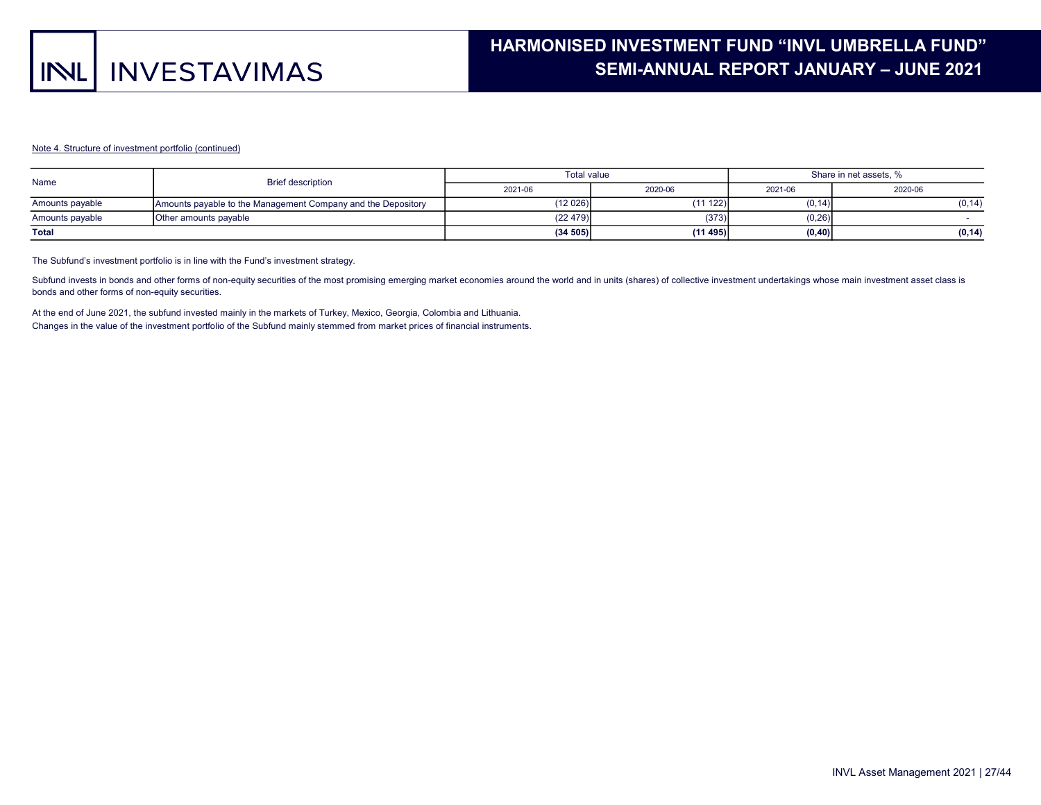#### Note 4. Structure of investment portfolio (continued)

| Name            | <b>Brief description</b>                                     | <b>Total value</b> |         | Share in net assets, % |         |  |  |
|-----------------|--------------------------------------------------------------|--------------------|---------|------------------------|---------|--|--|
|                 |                                                              | 2021-06            | 2020-06 | 2021-06                | 2020-06 |  |  |
| Amounts payable | Amounts payable to the Management Company and the Depository | (12 026)           | (11122) | (0.14)                 | (0, 14) |  |  |
| Amounts payable | Other amounts payable                                        | (22 479)           | (373)   | (0, 26)                |         |  |  |
| <b>Total</b>    |                                                              | (34505)            | (11495) | (0, 40)                | (0, 14) |  |  |

The Subfund's investment portfolio is in line with the Fund's investment strategy.

Subfund invests in bonds and other forms of non-equity securities of the most promising emerging market economies around the world and in units (shares) of collective investment undertakings whose main investment asset cla bonds and other forms of non-equity securities.

At the end of June 2021, the subfund invested mainly in the markets of Turkey, Mexico, Georgia, Colombia and Lithuania. Changes in the value of the investment portfolio of the Subfund mainly stemmed from market prices of financial instruments.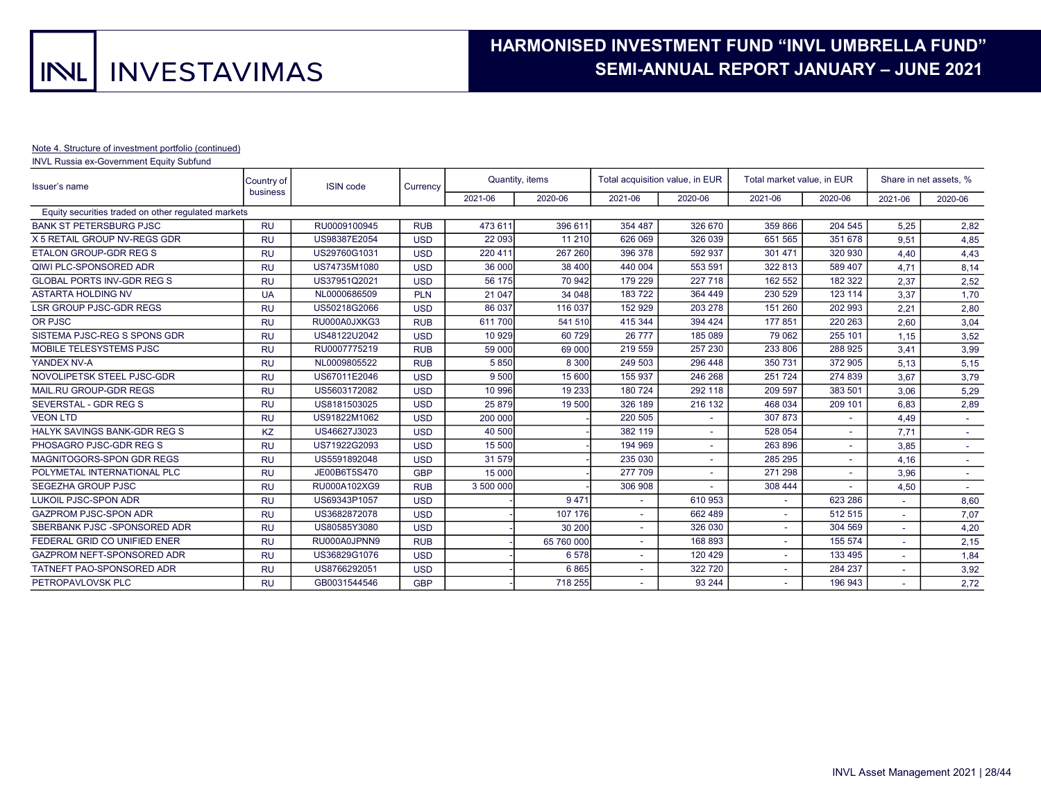#### Note 4. Structure of investment portfolio (continued)

INVL Russia ex-Government Equity Subfund

| Issuer's name                                       | Country of<br>business | <b>ISIN</b> code | Currency   |           | Quantity, items |         | Total acquisition value, in EUR | Total market value, in EUR |         |         | Share in net assets, % |
|-----------------------------------------------------|------------------------|------------------|------------|-----------|-----------------|---------|---------------------------------|----------------------------|---------|---------|------------------------|
|                                                     |                        |                  |            | 2021-06   | 2020-06         | 2021-06 | 2020-06                         | 2021-06                    | 2020-06 | 2021-06 | 2020-06                |
| Equity securities traded on other regulated markets |                        |                  |            |           |                 |         |                                 |                            |         |         |                        |
| <b>BANK ST PETERSBURG PJSC</b>                      | <b>RU</b>              | RU0009100945     | <b>RUB</b> | 473 611   | 396 611         | 354 487 | 326 670                         | 359 866                    | 204 545 | 5,25    | 2,82                   |
| X 5 RETAIL GROUP NV-REGS GDR                        | <b>RU</b>              | US98387E2054     | <b>USD</b> | 22 093    | 11 210          | 626 069 | 326 039                         | 651 565                    | 351 678 | 9,51    | 4,85                   |
| <b>ETALON GROUP-GDR REG S</b>                       | <b>RU</b>              | US29760G1031     | <b>USD</b> | 220 411   | 267 260         | 396 378 | 592 937                         | 301 471                    | 320 930 | 4,40    | 4,43                   |
| QIWI PLC-SPONSORED ADR                              | <b>RU</b>              | US74735M1080     | <b>USD</b> | 36 000    | 38 400          | 440 004 | 553 591                         | 322 813                    | 589 407 | 4.71    | 8,14                   |
| <b>GLOBAL PORTS INV-GDR REG S</b>                   | <b>RU</b>              | US37951Q2021     | <b>USD</b> | 56 175    | 70 942          | 179 229 | 227 718                         | 162 552                    | 182 322 | 2,37    | 2,52                   |
| <b>ASTARTA HOLDING NV</b>                           | <b>UA</b>              | NL0000686509     | <b>PLN</b> | 21 047    | 34 048          | 183722  | 364 449                         | 230 529                    | 123 114 | 3,37    | 1,70                   |
| <b>LSR GROUP PJSC-GDR REGS</b>                      | <b>RU</b>              | US50218G2066     | <b>USD</b> | 86 037    | 116 037         | 152 929 | 203 278                         | 151 260                    | 202 993 | 2.21    | 2,80                   |
| OR PJSC                                             | <b>RU</b>              | RU000A0JXKG3     | <b>RUB</b> | 611700    | 541 510         | 415 344 | 394 424                         | 177851                     | 220 263 | 2,60    | 3,04                   |
| SISTEMA PJSC-REG S SPONS GDR                        | <b>RU</b>              | US48122U2042     | <b>USD</b> | 10 929    | 60 729          | 26 777  | 185 089                         | 79 062                     | 255 101 | 1.15    | 3,52                   |
| MOBILE TELESYSTEMS PJSC                             | <b>RU</b>              | RU0007775219     | <b>RUB</b> | 59 000    | 69 000          | 219 559 | 257 230                         | 233 806                    | 288 925 | 3,41    | 3,99                   |
| YANDEX NV-A                                         | <b>RU</b>              | NL0009805522     | <b>RUB</b> | 5850      | 8 3 0 0         | 249 503 | 296 448                         | 350 731                    | 372 905 | 5.13    | 5,15                   |
| NOVOLIPETSK STEEL PJSC-GDR                          | <b>RU</b>              | US67011E2046     | <b>USD</b> | 9 500     | 15 600          | 155 937 | 246 268                         | 251724                     | 274 839 | 3,67    | 3,79                   |
| MAIL.RU GROUP-GDR REGS                              | <b>RU</b>              | US5603172082     | <b>USD</b> | 10 996    | 19 233          | 180 724 | 292 118                         | 209 597                    | 383 501 | 3,06    | 5,29                   |
| SEVERSTAL - GDR REG S                               | <b>RU</b>              | US8181503025     | <b>USD</b> | 25 879    | 19 500          | 326 189 | 216 132                         | 468 034                    | 209 101 | 6.83    | 2,89                   |
| <b>VEON LTD</b>                                     | <b>RU</b>              | US91822M1062     | <b>USD</b> | 200 000   |                 | 220 505 |                                 | 307 873                    | ٠       | 4,49    |                        |
| HALYK SAVINGS BANK-GDR REG S                        | KZ                     | US46627J3023     | <b>USD</b> | 40 500    |                 | 382 119 |                                 | 528 054                    | $\sim$  | 7,71    |                        |
| PHOSAGRO PJSC-GDR REG S                             | <b>RU</b>              | US71922G2093     | <b>USD</b> | 15 500    |                 | 194 969 | ٠                               | 263 896                    | ٠       | 3,85    | $\sim$                 |
| MAGNITOGORS-SPON GDR REGS                           | <b>RU</b>              | US5591892048     | <b>USD</b> | 31 579    |                 | 235 030 | ٠                               | 285 295                    | ٠       | 4.16    |                        |
| POLYMETAL INTERNATIONAL PLC                         | <b>RU</b>              | JE00B6T5S470     | <b>GBP</b> | 15 000    |                 | 277 709 |                                 | 271 298                    |         | 3,96    | $\sim$                 |
| SEGEZHA GROUP PJSC                                  | <b>RU</b>              | RU000A102XG9     | <b>RUB</b> | 3 500 000 |                 | 306 908 |                                 | 308 444                    | ٠       | 4,50    |                        |
| <b>LUKOIL PJSC-SPON ADR</b>                         | <b>RU</b>              | US69343P1057     | <b>USD</b> |           | 9471            |         | 610 953                         |                            | 623 286 |         | 8,60                   |
| <b>GAZPROM PJSC-SPON ADR</b>                        | <b>RU</b>              | US3682872078     | <b>USD</b> |           | 107 176         | ٠       | 662 489                         | $\sim$                     | 512 515 |         | 7,07                   |
| SBERBANK PJSC -SPONSORED ADR                        | <b>RU</b>              | US80585Y3080     | <b>USD</b> |           | 30 200          | ٠       | 326 030                         | $\sim$                     | 304 569 |         | 4,20                   |
| FEDERAL GRID CO UNIFIED ENER                        | <b>RU</b>              | RU000A0JPNN9     | <b>RUB</b> |           | 65 760 000      | ۰       | 168 893                         | $\sim$                     | 155 574 |         | 2,15                   |
| GAZPROM NEFT-SPONSORED ADR                          | <b>RU</b>              | US36829G1076     | <b>USD</b> |           | 6578            | ÷.      | 120 429                         | $\sim$                     | 133 495 |         | 1,84                   |
| TATNEFT PAO-SPONSORED ADR                           | <b>RU</b>              | US8766292051     | <b>USD</b> |           | 6865            |         | 322 720                         |                            | 284 237 |         | 3,92                   |
| PETROPAVLOVSK PLC                                   | <b>RU</b>              | GB0031544546     | <b>GBP</b> |           | 718 255         |         | 93 244                          |                            | 196 943 |         | 2,72                   |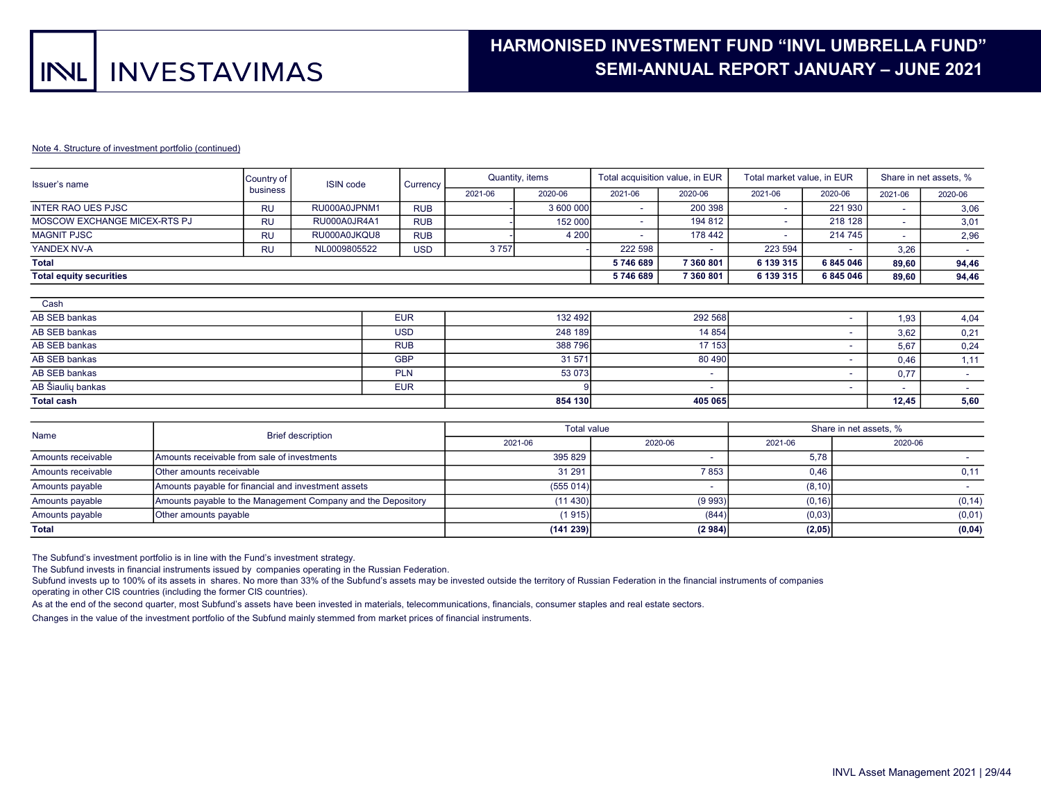# HARMONISED INVESTMENT FUND "INVL UMBRELLA FUND" . SEMI-ANNUAL REPORT JANUARY – JUNE 2021 .

#### Note 4. Structure of investment portfolio (continued)

| Issuer's name                  | Country of | <b>ISIN</b> code | Currency <sup>1</sup> |         | Quantity, items | Total acquisition value, in EUR |           | Total market value, in EUR |                          | Share in net assets, %   |         |
|--------------------------------|------------|------------------|-----------------------|---------|-----------------|---------------------------------|-----------|----------------------------|--------------------------|--------------------------|---------|
|                                | business   |                  |                       | 2021-06 | 2020-06         | 2021-06                         | 2020-06   | 2021-06                    | 2020-06                  | 2021-06                  | 2020-06 |
| <b>INTER RAO UES PJSC</b>      | <b>RU</b>  | RU000A0JPNM1     | <b>RUB</b>            |         | 3 600 000       | -                               | 200 398   | $\overline{\phantom{0}}$   | 221 930                  | $\sim$                   | 3,06    |
| MOSCOW EXCHANGE MICEX-RTS PJ   | <b>RU</b>  | RU000A0JR4A1     | <b>RUB</b>            |         | 152 000         |                                 | 194 812   | $\overline{\phantom{a}}$   | 218 128                  |                          | 3,01    |
| <b>MAGNIT PJSC</b>             | <b>RU</b>  | RU000A0JKQU8     | <b>RUB</b>            |         | 4 200           | ۰                               | 178 442   | $\overline{\phantom{a}}$   | 214 745                  | $\overline{\phantom{a}}$ | 2,96    |
| YANDEX NV-A                    | <b>RU</b>  | NL0009805522     | <b>USD</b>            | 3757    |                 | 222 598                         |           | 223 594                    | $\sim$                   | 3,26                     |         |
| <b>Total</b>                   |            |                  |                       |         |                 | 5746689                         | 7 360 801 | 6 139 315                  | 6845046                  | 89,60                    | 94,46   |
| <b>Total equity securities</b> |            |                  |                       |         |                 | 5746689                         | 7 360 801 | 6 139 315                  | 6845046                  | 89,60                    | 94,46   |
|                                |            |                  |                       |         |                 |                                 |           |                            |                          |                          |         |
| Cash                           |            |                  |                       |         |                 |                                 |           |                            |                          |                          |         |
| AB SEB bankas                  |            |                  | <b>EUR</b>            |         | 132 492         |                                 | 292 568   |                            | $\overline{\phantom{a}}$ | 1,93                     | 4,04    |
| AB SEB bankas                  |            |                  | <b>USD</b>            |         | 248 189         |                                 | 14 8 54   |                            | $\overline{\phantom{a}}$ | 3,62                     | 0,21    |
| AB SEB bankas                  |            |                  | <b>RUB</b>            |         | 388 796         |                                 | 17 153    |                            | ۰                        | 5.67                     | 0,24    |
| AB SEB bankas                  |            |                  | <b>GBP</b>            |         | 31 571          |                                 | 80 490    |                            | $\overline{\phantom{a}}$ | 0,46                     | 1,11    |
| AB SEB bankas                  |            |                  | <b>PLN</b>            |         | 53 073          |                                 | ٠         |                            | ۰                        | 0,77                     | $\sim$  |

|                    |                                                              | <b>Total value</b> |         |         | Share in net assets, % |  |
|--------------------|--------------------------------------------------------------|--------------------|---------|---------|------------------------|--|
| Name               | <b>Brief description</b>                                     |                    |         |         |                        |  |
|                    |                                                              | 2021-06            | 2020-06 | 2021-06 | 2020-06                |  |
| Amounts receivable | Amounts receivable from sale of investments                  | 395 829            |         | 5,78    |                        |  |
| Amounts receivable | <b>IOther amounts receivable</b>                             | 31 291             | 7853    | 0,46    | 0.11                   |  |
| Amounts payable    | Amounts payable for financial and investment assets          | (555014)           |         | (8, 10) |                        |  |
| Amounts payable    | Amounts payable to the Management Company and the Depository | (11430)            | (9993)  | (0, 16) | (0, 14)                |  |
| Amounts payable    | Other amounts payable                                        | (1 915)            | (844)   | (0,03)  | (0,01)                 |  |
| <b>Total</b>       |                                                              | (141 239)          | (2984)  | (2, 05) | (0, 04)                |  |

The Subfund's investment portfolio is in line with the Fund's investment strategy.

The Subfund invests in financial instruments issued by companies operating in the Russian Federation.

Subfund invests up to 100% of its assets in shares. No more than 33% of the Subfund's assets may be invested outside the territory of Russian Federation in the financial instruments of companies

AB Šiaulių bankas arbora ir su pasaulių ir su pasaulių ir su pasaulių ir su pasaulių bankas ir su pasaulių bankas ir su pasaulių bankas ir su pasaulių bankas ir su pasaulių bankas ir su pasaulių bankas ir su pasaulių banka

operating in other CIS countries (including the former CIS countries).

As at the end of the second quarter, most Subfund's assets have been invested in materials, telecommunications, financials, consumer staples and real estate sectors.

Total cash 854 130 405 065

Changes in the value of the investment portfolio of the Subfund mainly stemmed from market prices of financial instruments.

 - - 12,45 5,60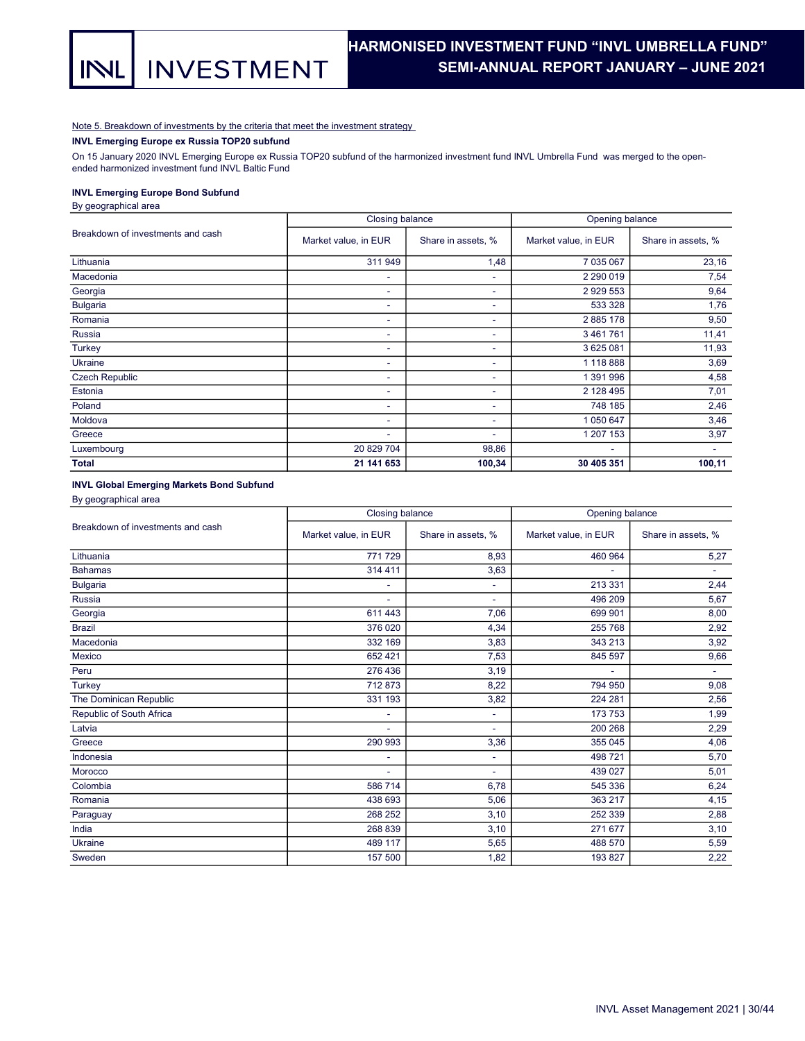## HARMONISED INVESTMENT FUND "INVL UMBRELLA FUND". SEMI-ANNUAL REPORT JANUARY – JUNE 2021 .

### Note 5. Breakdown of investments by the criteria that meet the investment strategy

INVL Emerging Europe ex Russia TOP20 subfund

On 15 January 2020 INVL Emerging Europe ex Russia TOP20 subfund of the harmonized investment fund INVL Umbrella Fund was merged to the openended harmonized investment fund INVL Baltic Fund

### INVL Emerging Europe Bond Subfund

By geographical area

|                                   | Closing balance          |                    | Opening balance      |                    |  |  |
|-----------------------------------|--------------------------|--------------------|----------------------|--------------------|--|--|
| Breakdown of investments and cash | Market value, in EUR     | Share in assets, % | Market value, in EUR | Share in assets, % |  |  |
| Lithuania                         | 311 949                  | 1,48               | 7 035 067            | 23,16              |  |  |
| Macedonia                         | ۰                        | ٠                  | 2 2 9 0 0 1 9        | 7,54               |  |  |
| Georgia                           | ۰                        | ٠                  | 2 9 29 5 53          | 9,64               |  |  |
| <b>Bulgaria</b>                   | $\overline{\phantom{a}}$ | ۰                  | 533 328              | 1,76               |  |  |
| Romania                           | ۰                        | ۰                  | 2885178              | 9,50               |  |  |
| Russia                            | ۰                        | ۰                  | 3461761              | 11,41              |  |  |
| Turkey                            | ۰                        | ۰                  | 3 625 081            | 11,93              |  |  |
| Ukraine                           | $\sim$                   | ۰                  | 1 118 888            | 3,69               |  |  |
| <b>Czech Republic</b>             | $\overline{\phantom{a}}$ | ٠                  | 1 391 996            | 4,58               |  |  |
| Estonia                           | ۰                        | ۰                  | 2 128 495            | 7,01               |  |  |
| Poland                            | ۰                        | ۰                  | 748 185              | 2,46               |  |  |
| Moldova                           | ٠                        | ٠                  | 1 050 647            | 3,46               |  |  |
| Greece                            | ٠                        | ۰                  | 1 207 153            | 3,97               |  |  |
| Luxembourg                        | 20 829 704               | 98,86              | ٠                    | ٠                  |  |  |
| <b>Total</b>                      | 21 141 653               | 100,34             | 30 405 351           | 100,11             |  |  |

#### INVL Global Emerging Markets Bond Subfund

By geographical area

|                                   | Closing balance          |                    | Opening balance      |                    |  |
|-----------------------------------|--------------------------|--------------------|----------------------|--------------------|--|
| Breakdown of investments and cash | Market value, in EUR     | Share in assets, % | Market value, in EUR | Share in assets, % |  |
| Lithuania                         | 771729                   | 8,93               | 460 964              | 5,27               |  |
| <b>Bahamas</b>                    | 314 411                  | 3,63               |                      | ٠                  |  |
| <b>Bulgaria</b>                   | ٠                        | ٠                  | 213 331              | 2,44               |  |
| Russia                            | ٠                        | ٠                  | 496 209              | 5,67               |  |
| Georgia                           | 611 443                  | 7,06               | 699 901              | 8,00               |  |
| <b>Brazil</b>                     | 376 020                  | 4,34               | 255 768              | 2,92               |  |
| Macedonia                         | 332 169                  | 3,83               | 343 213              | 3,92               |  |
| Mexico                            | 652 421                  | 7,53               | 845 597              | 9,66               |  |
| Peru                              | 276 436                  | 3,19               | ٠                    | ٠                  |  |
| Turkey                            | 712873                   | 8,22               | 794 950              | 9,08               |  |
| The Dominican Republic            | 331 193                  | 3,82               | 224 281              | 2,56               |  |
| Republic of South Africa          | ٠                        | ٠                  | 173 753              | 1,99               |  |
| Latvia                            | $\overline{\phantom{a}}$ | ۰                  | 200 268              | 2,29               |  |
| Greece                            | 290 993                  | 3,36               | 355 045              | 4,06               |  |
| Indonesia                         | ÷.                       | ٠                  | 498 721              | 5,70               |  |
| Morocco                           |                          | ٠                  | 439 027              | 5,01               |  |
| Colombia                          | 586 714                  | 6,78               | 545 336              | 6,24               |  |
| Romania                           | 438 693                  | 5,06               | 363 217              | 4,15               |  |
| Paraguay                          | 268 252                  | 3,10               | 252 339              | 2,88               |  |
| India                             | 268 839                  | 3,10               | 271 677              | 3,10               |  |
| Ukraine                           | 489 117                  | 5,65               | 488 570              | 5,59               |  |
| Sweden                            | 157 500                  | 1,82               | 193 827              | 2,22               |  |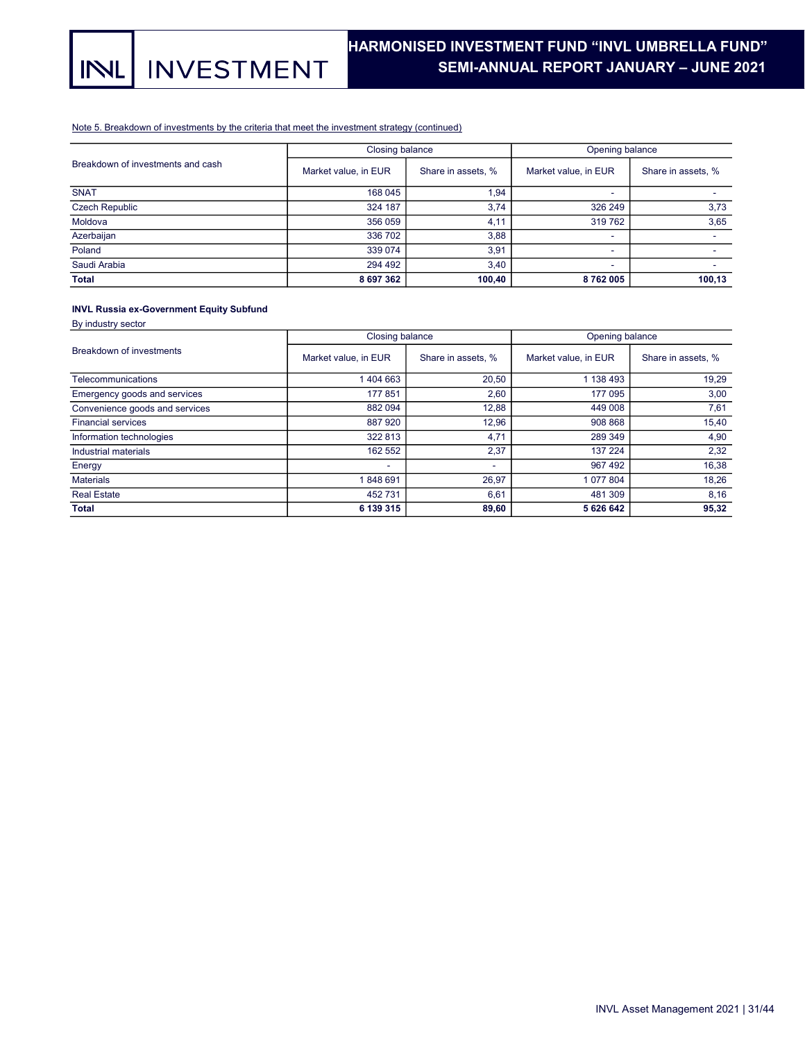#### Note 5. Breakdown of investments by the criteria that meet the investment strategy (continued)

|                                   | Closing balance      |                    | Opening balance      |                    |  |
|-----------------------------------|----------------------|--------------------|----------------------|--------------------|--|
| Breakdown of investments and cash | Market value, in EUR | Share in assets, % | Market value, in EUR | Share in assets, % |  |
| <b>SNAT</b>                       | 168 045              | 1,94               |                      |                    |  |
| <b>Czech Republic</b>             | 324 187              | 3,74               | 326 249              | 3,73               |  |
| Moldova                           | 356 059              | 4,11               | 319 762              | 3,65               |  |
| Azerbaijan                        | 336 702              | 3,88               | -                    |                    |  |
| Poland                            | 339 074              | 3,91               |                      |                    |  |
| Saudi Arabia                      | 294 492              | 3,40               |                      |                    |  |
| <b>Total</b>                      | 8 697 362            | 100,40             | 8762005              | 100,13             |  |

## INVL Russia ex-Government Equity Subfund

By industry sector

|                                | Closing balance      |                    | Opening balance      |                    |  |
|--------------------------------|----------------------|--------------------|----------------------|--------------------|--|
| Breakdown of investments       | Market value, in EUR | Share in assets, % | Market value, in EUR | Share in assets, % |  |
| Telecommunications             | 1404663              | 20,50              | 1 138 493            | 19,29              |  |
| Emergency goods and services   | 177 851              | 2,60               | 177 095              | 3,00               |  |
| Convenience goods and services | 882 094              | 12,88              | 449 008              | 7,61               |  |
| <b>Financial services</b>      | 887 920              | 12,96              | 908 868              | 15,40              |  |
| Information technologies       | 322 813              | 4,71               | 289 349              | 4,90               |  |
| Industrial materials           | 162 552              | 2,37               | 137 224              | 2,32               |  |
| Energy                         | ۰                    | ٠                  | 967 492              | 16,38              |  |
| <b>Materials</b>               | 1848691              | 26,97              | 1 077 804            | 18,26              |  |
| <b>Real Estate</b>             | 452 731              | 6,61               | 481 309              | 8,16               |  |
| <b>Total</b>                   | 6 139 315            | 89,60              | 5 626 642            | 95,32              |  |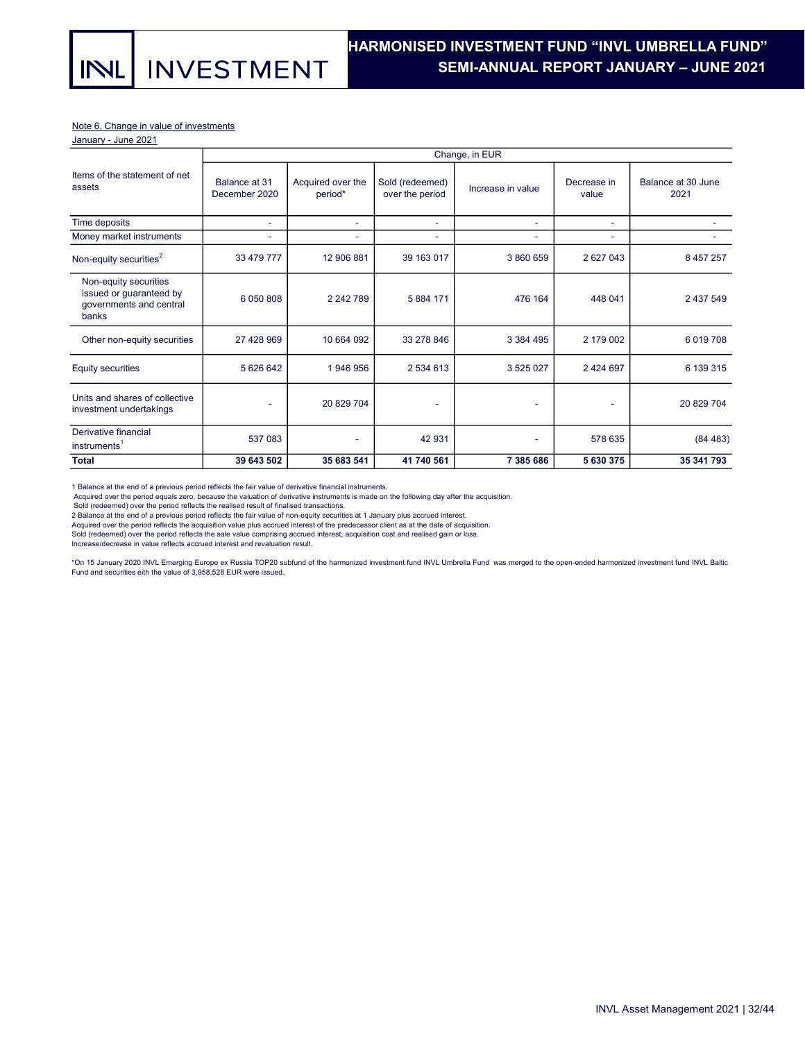**INVESTMENT** 

#### Note 6. Change in value of investments

January - June 2021

**INL** 

|                                                                                      |                                |                              |                                    | Change, in EUR           |                      |                            |
|--------------------------------------------------------------------------------------|--------------------------------|------------------------------|------------------------------------|--------------------------|----------------------|----------------------------|
| Items of the statement of net<br>assets                                              | Balance at 31<br>December 2020 | Acquired over the<br>period* | Sold (redeemed)<br>over the period | Increase in value        | Decrease in<br>value | Balance at 30 June<br>2021 |
| Time deposits                                                                        | ٠                              | ٠                            | ٠                                  | $\sim$                   | ٠                    |                            |
| Money market instruments                                                             | ٠                              | ٠                            | ٠                                  | $\overline{\phantom{a}}$ | ۰                    |                            |
| Non-equity securities <sup>2</sup>                                                   | 33 479 777                     | 12 906 881                   | 39 163 017                         | 3 860 659                | 2 627 043            | 8 4 5 7 2 5 7              |
| Non-equity securities<br>issued or guaranteed by<br>governments and central<br>banks | 6 0 5 0 8 0 8                  | 2 242 789                    | 5 884 171                          | 476 164                  | 448 041              | 2 437 549                  |
| Other non-equity securities                                                          | 27 428 969                     | 10 664 092                   | 33 278 846                         | 3 3 8 4 4 9 5            | 2 179 002            | 6019708                    |
| Equity securities                                                                    | 5 626 642                      | 1946956                      | 2 534 613                          | 3 525 027                | 2 4 2 4 6 9 7        | 6 139 315                  |
| Units and shares of collective<br>investment undertakings                            |                                | 20 829 704                   | ٠                                  |                          |                      | 20 829 704                 |
| Derivative financial<br>instruments <sup>1</sup>                                     | 537 083                        | ٠                            | 42 931                             |                          | 578 635              | (84483)                    |
| <b>Total</b>                                                                         | 39 643 502                     | 35 683 541                   | 41 740 561                         | 7 385 686                | 5 630 375            | 35 341 793                 |

1 Balance at the end of a previous period reflects the fair value of derivative financial instruments.

Acquired over the period equals zero, because the valuation of derivative instruments is made on the following day after the acquisition.

Sold (redeemed) over the period reflects the realised result of finalised transactions.

2 Balance at the end of a previous period reflects the fair value of non-equity securities at 1 January plus accrued interest.<br>Acquired over the period reflects the acquisition value plus accrued interest of the predecesso

Sold (redeemed) over the period reflects the sale value comprising accrued interest, acquisition cost and realised gain or loss.

Increase/decrease in value reflects accrued interest and revaluation result.

\*On 15 January 2020 INVL Emerging Europe ex Russia TOP20 subfund of the harmonized investment fund INVL Umbrella Fund was merged to the open-ended harmonized investment fund INVL Baltic<br>Fund and securities eith the value o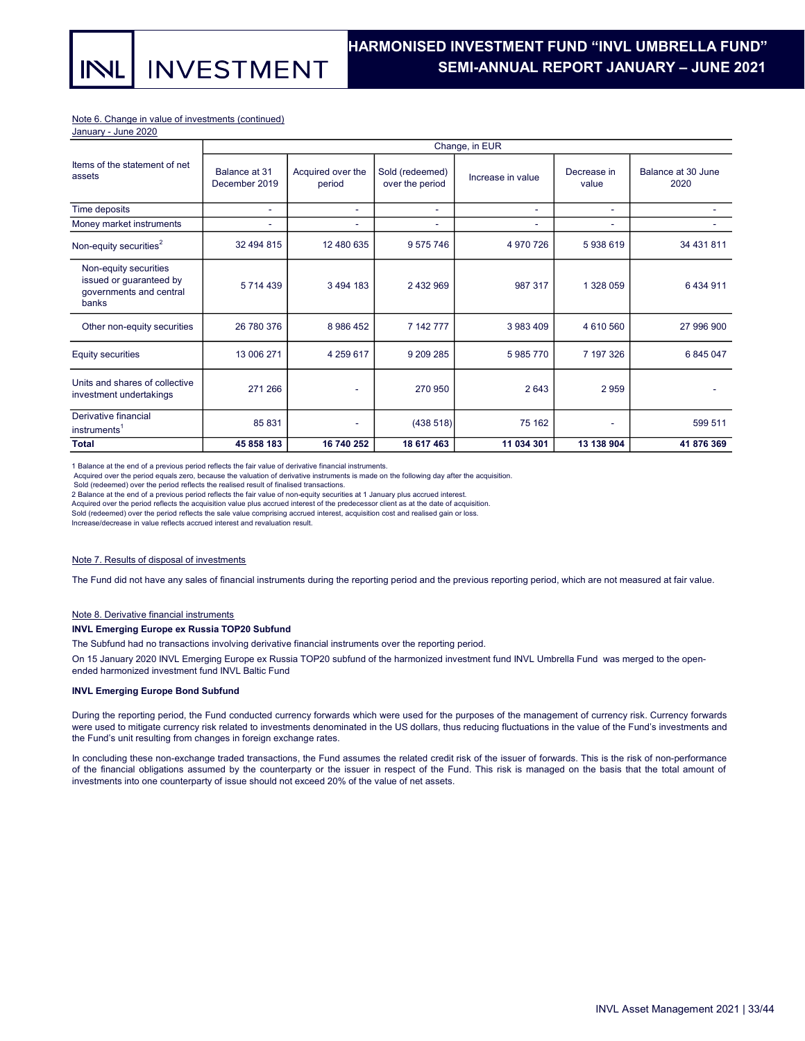**INVESTMENT** 

### Note 6. Change in value of investments (continued)

January - June 2020

INL

|                                                                                      | Change, in EUR                 |                             |                                    |                          |                      |                            |  |  |
|--------------------------------------------------------------------------------------|--------------------------------|-----------------------------|------------------------------------|--------------------------|----------------------|----------------------------|--|--|
| Items of the statement of net<br>assets                                              | Balance at 31<br>December 2019 | Acquired over the<br>period | Sold (redeemed)<br>over the period | Increase in value        | Decrease in<br>value | Balance at 30 June<br>2020 |  |  |
| Time deposits                                                                        | ٠                              | ٠                           | ۰                                  | ٠                        | ٠                    |                            |  |  |
| Money market instruments                                                             | ۰                              | ٠                           | ۰                                  | $\overline{\phantom{a}}$ | ٠                    |                            |  |  |
| Non-equity securities <sup>2</sup>                                                   | 32 494 815                     | 12 480 635                  | 9 575 746                          | 4 970 726                | 5938619              | 34 431 811                 |  |  |
| Non-equity securities<br>issued or guaranteed by<br>governments and central<br>banks | 5714439                        | 3 494 183                   | 2 432 969                          | 987 317                  | 1 328 059            | 6434911                    |  |  |
| Other non-equity securities                                                          | 26 780 376                     | 8 986 452                   | 7 142 777                          | 3 983 409                | 4610560              | 27 996 900                 |  |  |
| <b>Equity securities</b>                                                             | 13 006 271                     | 4 259 617                   | 9 209 285                          | 5985770                  | 7 197 326            | 6 845 047                  |  |  |
| Units and shares of collective<br>investment undertakings                            | 271 266                        | ٠                           | 270 950                            | 2643                     | 2959                 |                            |  |  |
| Derivative financial<br>instruments <sup>1</sup>                                     | 85 831                         |                             | (438518)                           | 75 162                   | ٠                    | 599 511                    |  |  |
| <b>Total</b>                                                                         | 45 858 183                     | 16 740 252                  | 18 617 463                         | 11 034 301               | 13 138 904           | 41 876 369                 |  |  |

1 Balance at the end of a previous period reflects the fair value of derivative financial instruments.

Acquired over the period equals zero, because the valuation of derivative instruments is made on the following day after the acquisition.

Sold (redeemed) over the period reflects the realised result of finalised transactions.

2 Balance at the end of a previous period reflects the fair value of non-equity securities at 1 January plus accrued interest.

Acquired over the period reflects the acquisition value plus accrued interest of the predecessor client as at the date of acquisition.

Sold (redeemed) over the period reflects the sale value comprising accrued interest, acquisition cost and realised gain or loss. Increase/decrease in value reflects accrued interest and revaluation result.

#### Note 7. Results of disposal of investments

The Fund did not have any sales of financial instruments during the reporting period and the previous reporting period, which are not measured at fair value.

#### Note 8. Derivative financial instruments

#### INVL Emerging Europe ex Russia TOP20 Subfund

The Subfund had no transactions involving derivative financial instruments over the reporting period.

On 15 January 2020 INVL Emerging Europe ex Russia TOP20 subfund of the harmonized investment fund INVL Umbrella Fund was merged to the openended harmonized investment fund INVL Baltic Fund

#### INVL Emerging Europe Bond Subfund

During the reporting period, the Fund conducted currency forwards which were used for the purposes of the management of currency risk. Currency forwards were used to mitigate currency risk related to investments denominated in the US dollars, thus reducing fluctuations in the value of the Fund's investments and the Fund's unit resulting from changes in foreign exchange rates.

In concluding these non-exchange traded transactions, the Fund assumes the related credit risk of the issuer of forwards. This is the risk of non-performance of the financial obligations assumed by the counterparty or the issuer in respect of the Fund. This risk is managed on the basis that the total amount of investments into one counterparty of issue should not exceed 20% of the value of net assets.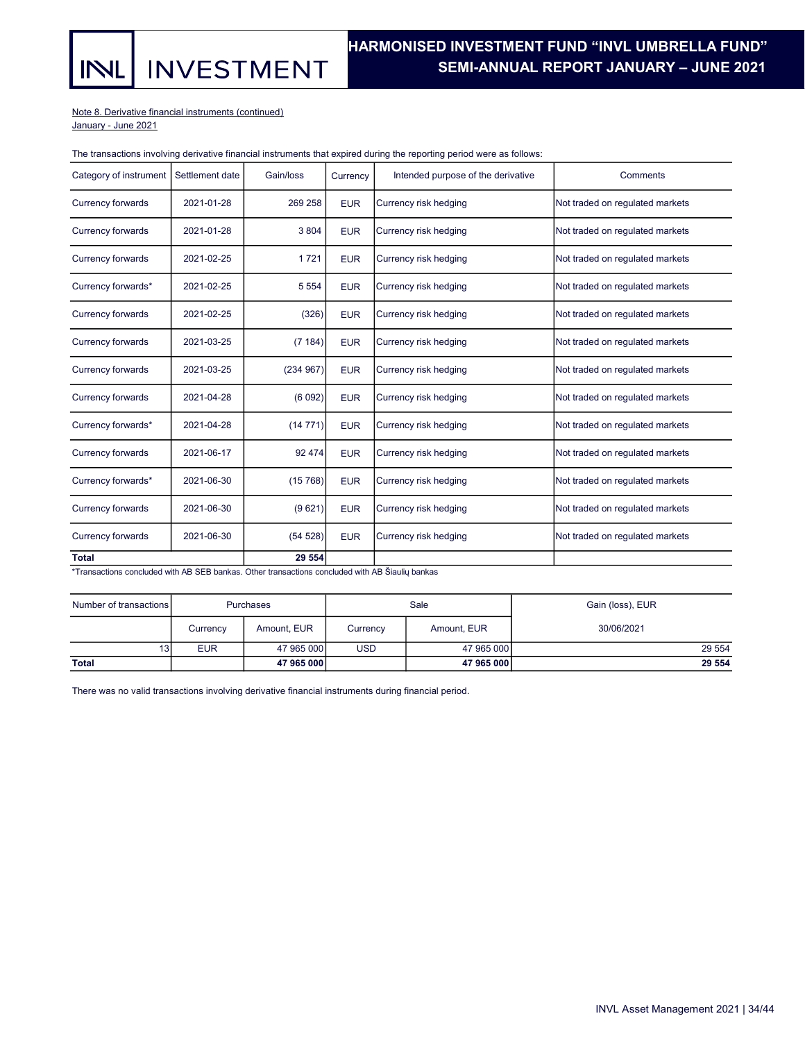**INVESTMENT** INL

## HARMONISED INVESTMENT FUND "INVL UMBRELLA FUND". SEMI-ANNUAL REPORT JANUARY – JUNE 2021 .

Note 8. Derivative financial instruments (continued)

January - June 2021

## The transactions involving derivative financial instruments that expired during the reporting period were as follows:

| Category of instrument   | Settlement date | Gain/loss | Currency   | Intended purpose of the derivative | Comments                        |
|--------------------------|-----------------|-----------|------------|------------------------------------|---------------------------------|
| <b>Currency forwards</b> | 2021-01-28      | 269 258   | <b>EUR</b> | Currency risk hedging              | Not traded on regulated markets |
| <b>Currency forwards</b> | 2021-01-28      | 3 8 0 4   | <b>EUR</b> | Currency risk hedging              | Not traded on regulated markets |
| <b>Currency forwards</b> | 2021-02-25      | 1721      | <b>EUR</b> | Currency risk hedging              | Not traded on regulated markets |
| Currency forwards*       | 2021-02-25      | 5 5 5 4   | <b>EUR</b> | Currency risk hedging              | Not traded on regulated markets |
| <b>Currency forwards</b> | 2021-02-25      | (326)     | <b>EUR</b> | Currency risk hedging              | Not traded on regulated markets |
| <b>Currency forwards</b> | 2021-03-25      | (7184)    | <b>EUR</b> | Currency risk hedging              | Not traded on regulated markets |
| <b>Currency forwards</b> | 2021-03-25      | (234967)  | <b>EUR</b> | Currency risk hedging              | Not traded on regulated markets |
| <b>Currency forwards</b> | 2021-04-28      | (6092)    | <b>EUR</b> | Currency risk hedging              | Not traded on regulated markets |
| Currency forwards*       | 2021-04-28      | (14771)   | <b>EUR</b> | Currency risk hedging              | Not traded on regulated markets |
| <b>Currency forwards</b> | 2021-06-17      | 92 474    | <b>EUR</b> | Currency risk hedging              | Not traded on regulated markets |
| Currency forwards*       | 2021-06-30      | (15768)   | <b>EUR</b> | Currency risk hedging              | Not traded on regulated markets |
| <b>Currency forwards</b> | 2021-06-30      | (9621)    | <b>EUR</b> | Currency risk hedging              | Not traded on regulated markets |
| <b>Currency forwards</b> | 2021-06-30      | (54528)   | <b>EUR</b> | Currency risk hedging              | Not traded on regulated markets |
| <b>Total</b>             |                 | 29 554    |            |                                    |                                 |

\*Transactions concluded with AB SEB bankas. Other transactions concluded with AB Šiaulių bankas

| Number of transactions | <b>Purchases</b> |             | Sale       |             | Gain (loss), EUR |
|------------------------|------------------|-------------|------------|-------------|------------------|
|                        | Currency         | Amount, EUR | Currency   | Amount, EUR | 30/06/2021       |
| 13                     | <b>EUR</b>       | 47 965 000  | <b>USD</b> | 47 965 000  | 29 5 54          |
| <b>Total</b>           |                  | 47 965 000  |            | 47 965 000  | 29 554           |

There was no valid transactions involving derivative financial instruments during financial period.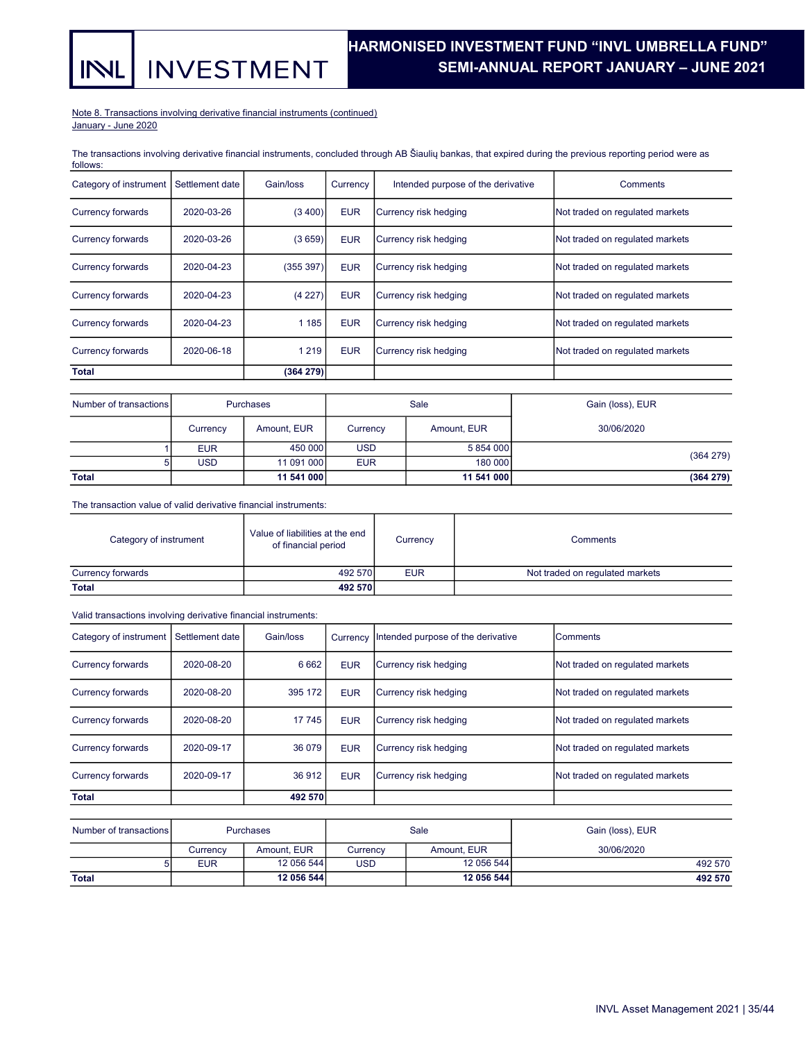#### Note 8. Transactions involving derivative financial instruments (continued) January - June 2020

INL

**INVESTMENT** 

The transactions involving derivative financial instruments, concluded through AB Šiaulių bankas, that expired during the previous reporting period were as follows:

| Category of instrument   | Settlement date | Gain/loss | Currency   | Intended purpose of the derivative | Comments                        |
|--------------------------|-----------------|-----------|------------|------------------------------------|---------------------------------|
| <b>Currency forwards</b> | 2020-03-26      | (3,400)   | <b>EUR</b> | Currency risk hedging              | Not traded on regulated markets |
| Currency forwards        | 2020-03-26      | (3659)    | <b>EUR</b> | Currency risk hedging              | Not traded on regulated markets |
| Currency forwards        | 2020-04-23      | (355 397) | <b>EUR</b> | Currency risk hedging              | Not traded on regulated markets |
| <b>Currency forwards</b> | 2020-04-23      | (4227)    | <b>EUR</b> | Currency risk hedging              | Not traded on regulated markets |
| <b>Currency forwards</b> | 2020-04-23      | 1 1 8 5   | <b>EUR</b> | Currency risk hedging              | Not traded on regulated markets |
| Currency forwards        | 2020-06-18      | 1 2 1 9   | <b>EUR</b> | Currency risk hedging              | Not traded on regulated markets |
| <b>Total</b>             |                 | (364 279) |            |                                    |                                 |

| Number of transactions |            | <b>Purchases</b> | Sale       |             | Gain (loss), EUR |
|------------------------|------------|------------------|------------|-------------|------------------|
|                        | Currency   | Amount, EUR      | Currency   | Amount, EUR | 30/06/2020       |
|                        | <b>EUR</b> | 450 000          | <b>USD</b> | 5 854 000   | (364 279)        |
|                        | <b>USD</b> | 11 091 000       | <b>EUR</b> | 180 000     |                  |
| <b>Total</b>           |            | 11 541 000       |            | 11 541 000  | (364 279)        |

The transaction value of valid derivative financial instruments:

| Category of instrument              | Value of liabilities at the end<br>of financial period | Currency   | Comments                        |  |
|-------------------------------------|--------------------------------------------------------|------------|---------------------------------|--|
| 492 570<br><b>Currency forwards</b> |                                                        | <b>EUR</b> | Not traded on regulated markets |  |
| <b>Total</b>                        | 492 570                                                |            |                                 |  |

Valid transactions involving derivative financial instruments:

| Category of instrument   | l Settlement date | Gain/loss | Currency   | Intended purpose of the derivative | Comments                        |
|--------------------------|-------------------|-----------|------------|------------------------------------|---------------------------------|
| <b>Currency forwards</b> | 2020-08-20        | 6 6 6 2   | <b>EUR</b> | Currency risk hedging              | Not traded on regulated markets |
| Currency forwards        | 2020-08-20        | 395 172   | <b>EUR</b> | Currency risk hedging              | Not traded on regulated markets |
| <b>Currency forwards</b> | 2020-08-20        | 17 745    | <b>EUR</b> | Currency risk hedging              | Not traded on regulated markets |
| <b>Currency forwards</b> | 2020-09-17        | 36 079    | <b>EUR</b> | Currency risk hedging              | Not traded on regulated markets |
| <b>Currency forwards</b> | 2020-09-17        | 36 912    | <b>EUR</b> | Currency risk hedging              | Not traded on regulated markets |
| <b>Total</b>             |                   | 492 570   |            |                                    |                                 |

| Number of transactions | <b>Purchases</b> |             | Sale     |             | Gain (loss), EUR |
|------------------------|------------------|-------------|----------|-------------|------------------|
|                        | Currencv         | Amount, EUR | Currencv | Amount, EUR | 30/06/2020       |
|                        | <b>EUR</b>       | 12 056 544  | USD      | 12 056 544  | 492 570          |
| <b>Total</b>           |                  | 12 056 544  |          | 12 056 544  | 492 570          |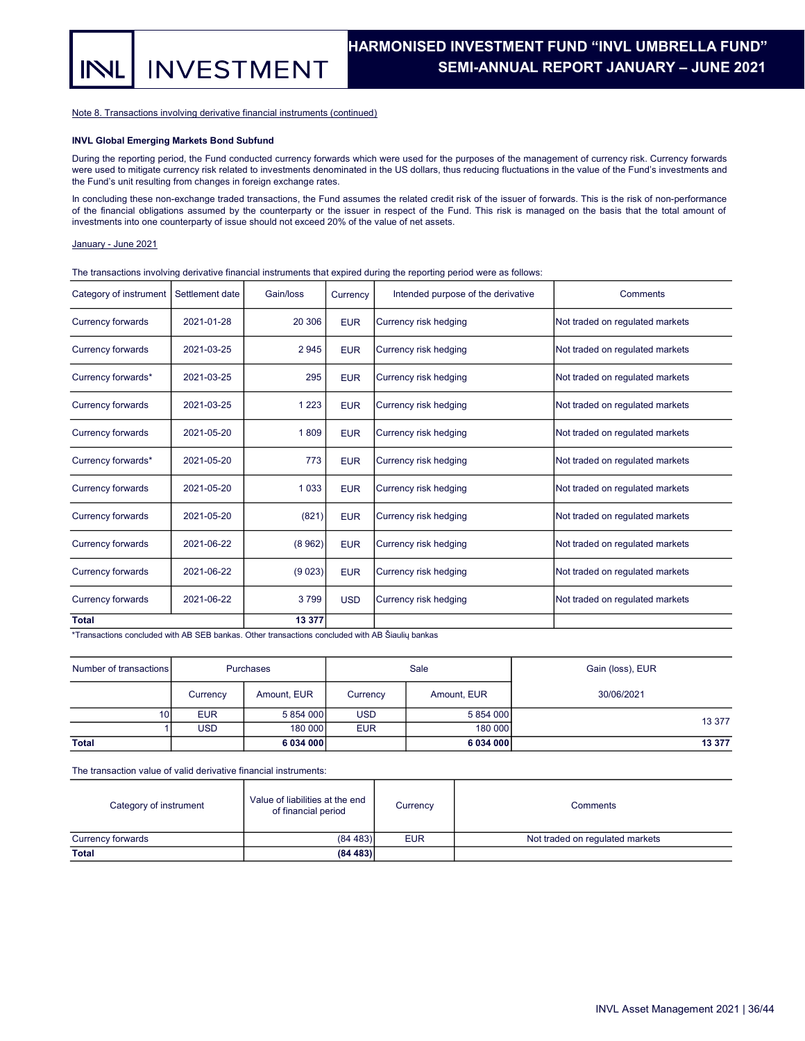Note 8. Transactions involving derivative financial instruments (continued)

**INVESTMENT** 

#### INVL Global Emerging Markets Bond Subfund

During the reporting period, the Fund conducted currency forwards which were used for the purposes of the management of currency risk. Currency forwards were used to mitigate currency risk related to investments denominated in the US dollars, thus reducing fluctuations in the value of the Fund's investments and the Fund's unit resulting from changes in foreign exchange rates.

In concluding these non-exchange traded transactions, the Fund assumes the related credit risk of the issuer of forwards. This is the risk of non-performance of the financial obligations assumed by the counterparty or the issuer in respect of the Fund. This risk is managed on the basis that the total amount of investments into one counterparty of issue should not exceed 20% of the value of net assets.

#### January - June 2021

NI

The transactions involving derivative financial instruments that expired during the reporting period were as follows:

| Category of instrument   | Settlement date | Gain/loss | Currency   | Intended purpose of the derivative | Comments                        |
|--------------------------|-----------------|-----------|------------|------------------------------------|---------------------------------|
| <b>Currency forwards</b> | 2021-01-28      | 20 30 6   | <b>EUR</b> | Currency risk hedging              | Not traded on regulated markets |
| <b>Currency forwards</b> | 2021-03-25      | 2945      | <b>EUR</b> | Currency risk hedging              | Not traded on regulated markets |
| Currency forwards*       | 2021-03-25      | 295       | <b>EUR</b> | Currency risk hedging              | Not traded on regulated markets |
| <b>Currency forwards</b> | 2021-03-25      | 1 2 2 3   | <b>EUR</b> | Currency risk hedging              | Not traded on regulated markets |
| <b>Currency forwards</b> | 2021-05-20      | 1809      | <b>EUR</b> | Currency risk hedging              | Not traded on regulated markets |
| Currency forwards*       | 2021-05-20      | 773       | <b>EUR</b> | Currency risk hedging              | Not traded on regulated markets |
| <b>Currency forwards</b> | 2021-05-20      | 1 0 3 3   | <b>EUR</b> | Currency risk hedging              | Not traded on regulated markets |
| <b>Currency forwards</b> | 2021-05-20      | (821)     | <b>EUR</b> | Currency risk hedging              | Not traded on regulated markets |
| <b>Currency forwards</b> | 2021-06-22      | (8962)    | <b>EUR</b> | Currency risk hedging              | Not traded on regulated markets |
| <b>Currency forwards</b> | 2021-06-22      | (9023)    | <b>EUR</b> | Currency risk hedging              | Not traded on regulated markets |
| <b>Currency forwards</b> | 2021-06-22      | 3799      | <b>USD</b> | Currency risk hedging              | Not traded on regulated markets |
| <b>Total</b>             |                 | 13 377    |            |                                    |                                 |

\*Transactions concluded with AB SEB bankas. Other transactions concluded with AB Šiaulių bankas

| Number of transactions | Purchases  |             |            | Sale        | Gain (loss), EUR |
|------------------------|------------|-------------|------------|-------------|------------------|
|                        | Currency   | Amount, EUR | Currency   | Amount, EUR | 30/06/2021       |
| 10 <sup>1</sup>        | <b>EUR</b> | 5 854 000   | <b>USD</b> | 5 854 000   |                  |
|                        | <b>USD</b> | 180 000     | <b>EUR</b> | 180 000     | 13 377           |
| <b>Total</b>           |            | 6 034 000   |            | 6034000     | 13 377           |

The transaction value of valid derivative financial instruments:

| Category of instrument | Value of liabilities at the end<br>of financial period | Currency   | Comments                        |  |
|------------------------|--------------------------------------------------------|------------|---------------------------------|--|
| Currency forwards      | (84483)                                                | <b>EUR</b> | Not traded on regulated markets |  |
| <b>Total</b>           | (84483)                                                |            |                                 |  |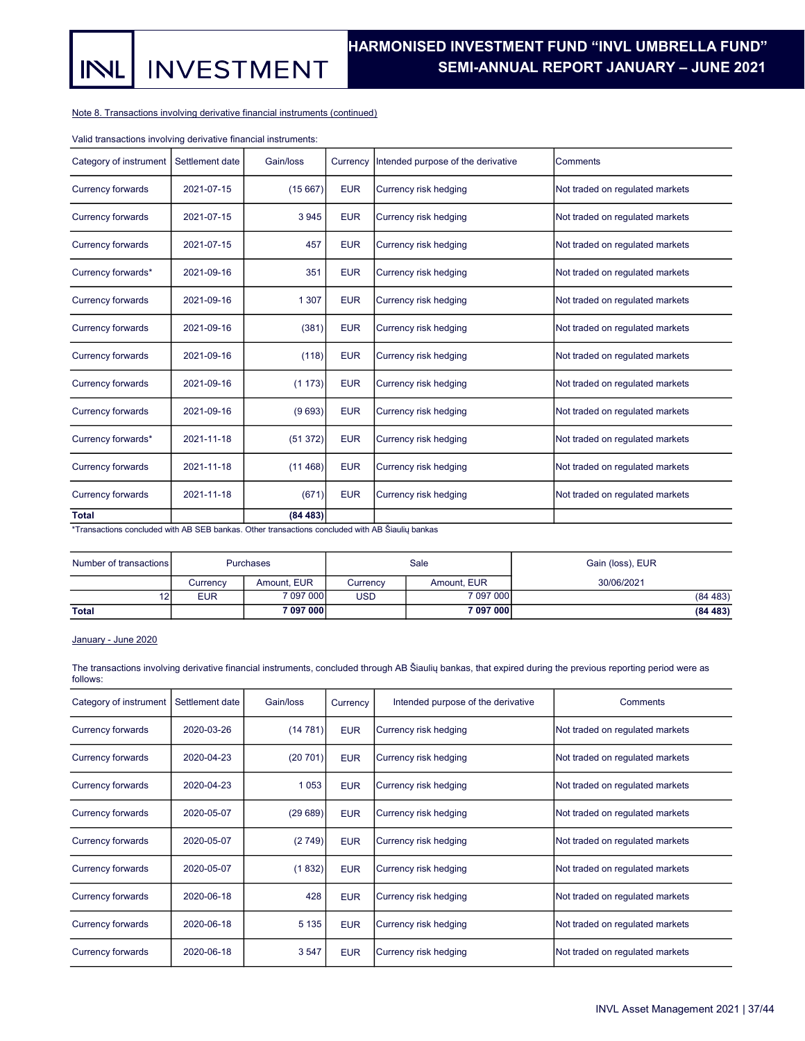**INVESTMENT** INL

Note 8. Transactions involving derivative financial instruments (continued)

Valid transactions involving derivative financial instruments:

| Category of instrument                                                                           | Settlement date | Gain/loss | Currency   | Intended purpose of the derivative | Comments                        |
|--------------------------------------------------------------------------------------------------|-----------------|-----------|------------|------------------------------------|---------------------------------|
| <b>Currency forwards</b>                                                                         | 2021-07-15      | (15667)   | <b>EUR</b> | Currency risk hedging              | Not traded on regulated markets |
| <b>Currency forwards</b>                                                                         | 2021-07-15      | 3945      | <b>EUR</b> | Currency risk hedging              | Not traded on regulated markets |
| <b>Currency forwards</b>                                                                         | 2021-07-15      | 457       | <b>EUR</b> | Currency risk hedging              | Not traded on regulated markets |
| Currency forwards*                                                                               | 2021-09-16      | 351       | <b>EUR</b> | Currency risk hedging              | Not traded on regulated markets |
| <b>Currency forwards</b>                                                                         | 2021-09-16      | 1 3 0 7   | <b>EUR</b> | Currency risk hedging              | Not traded on regulated markets |
| <b>Currency forwards</b>                                                                         | 2021-09-16      | (381)     | <b>EUR</b> | Currency risk hedging              | Not traded on regulated markets |
| <b>Currency forwards</b>                                                                         | 2021-09-16      | (118)     | <b>EUR</b> | Currency risk hedging              | Not traded on regulated markets |
| <b>Currency forwards</b>                                                                         | 2021-09-16      | (1173)    | <b>EUR</b> | Currency risk hedging              | Not traded on regulated markets |
| <b>Currency forwards</b>                                                                         | 2021-09-16      | (9693)    | <b>EUR</b> | Currency risk hedging              | Not traded on regulated markets |
| Currency forwards*                                                                               | 2021-11-18      | (51372)   | <b>EUR</b> | Currency risk hedging              | Not traded on regulated markets |
| <b>Currency forwards</b>                                                                         | 2021-11-18      | (11468)   | <b>EUR</b> | Currency risk hedging              | Not traded on regulated markets |
| <b>Currency forwards</b>                                                                         | 2021-11-18      | (671)     | <b>EUR</b> | Currency risk hedging              | Not traded on regulated markets |
| <b>Total</b>                                                                                     |                 | (84483)   |            |                                    |                                 |
| *Transactions concluded with AR SER bankas. Other transactions concluded with AR Šiauliu bankas. |                 |           |            |                                    |                                 |

\*Transactions concluded with AB SEB bankas. Other transactions concluded with AB Šiaulių bankas

| Number of transactions | <b>Purchases</b> |             |            | Sale        | Gain (loss), EUR |  |
|------------------------|------------------|-------------|------------|-------------|------------------|--|
|                        | Currency         | Amount, EUR | Currency   | Amount, EUR | 30/06/2021       |  |
| 12                     | <b>EUR</b>       | 7 097 000   | <b>USD</b> | 7 097 000   | (84483)          |  |
| <b>Total</b>           |                  | 7 097 000   |            | 7 097 000   | (84483)          |  |

## January - June 2020

The transactions involving derivative financial instruments, concluded through AB Šiaulių bankas, that expired during the previous reporting period were as follows:

| Category of instrument   | Settlement date | Gain/loss | Currency   | Intended purpose of the derivative | Comments                        |
|--------------------------|-----------------|-----------|------------|------------------------------------|---------------------------------|
| Currency forwards        | 2020-03-26      | (14781)   | <b>EUR</b> | Currency risk hedging              | Not traded on regulated markets |
| <b>Currency forwards</b> | 2020-04-23      | (20701)   | <b>EUR</b> | Currency risk hedging              | Not traded on regulated markets |
| Currency forwards        | 2020-04-23      | 1 0 5 3   | <b>EUR</b> | Currency risk hedging              | Not traded on regulated markets |
| Currency forwards        | 2020-05-07      | (29689)   | <b>EUR</b> | Currency risk hedging              | Not traded on regulated markets |
| Currency forwards        | 2020-05-07      | (2749)    | <b>EUR</b> | Currency risk hedging              | Not traded on regulated markets |
| <b>Currency forwards</b> | 2020-05-07      | (1832)    | <b>EUR</b> | Currency risk hedging              | Not traded on regulated markets |
| Currency forwards        | 2020-06-18      | 428       | <b>EUR</b> | Currency risk hedging              | Not traded on regulated markets |
| Currency forwards        | 2020-06-18      | 5 1 3 5   | <b>EUR</b> | Currency risk hedging              | Not traded on regulated markets |
| <b>Currency forwards</b> | 2020-06-18      | 3547      | <b>EUR</b> | Currency risk hedging              | Not traded on regulated markets |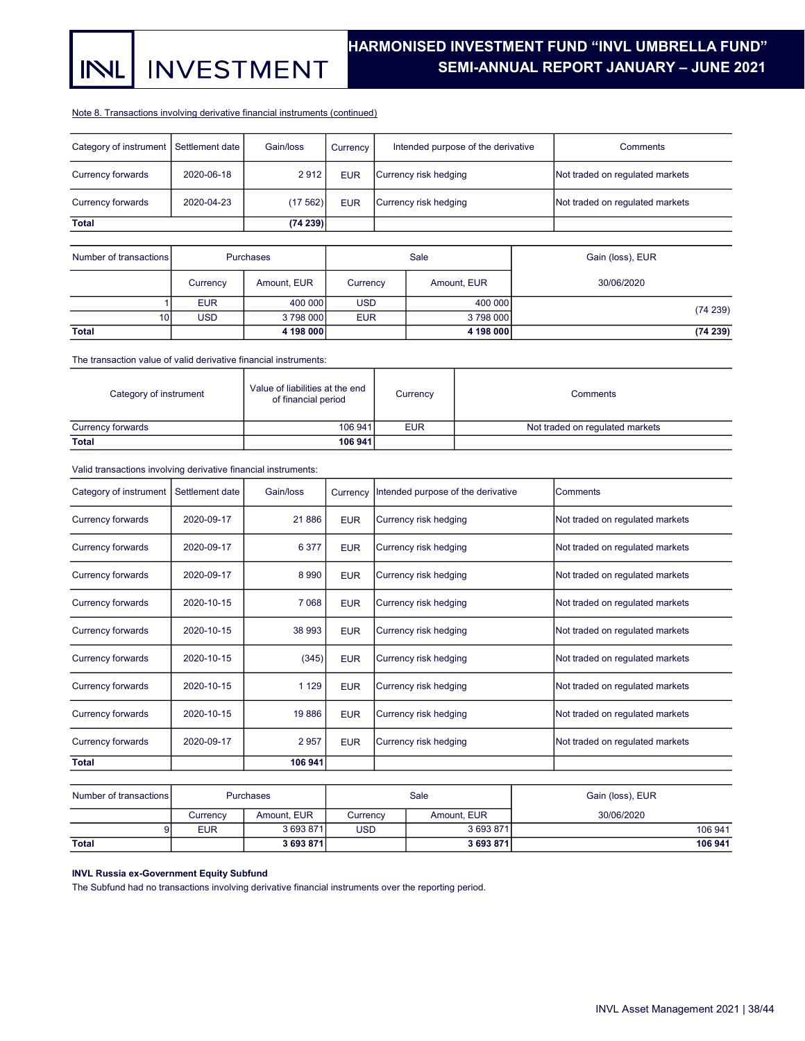**INVESTMENT INL** 

## HARMONISED INVESTMENT FUND "INVL UMBRELLA FUND". SEMI-ANNUAL REPORT JANUARY – JUNE 2021 .

#### Note 8. Transactions involving derivative financial instruments (continued)

| Category of instrument   Settlement date |            | Gain/loss | Currency   | Intended purpose of the derivative | Comments                        |
|------------------------------------------|------------|-----------|------------|------------------------------------|---------------------------------|
| Currency forwards                        | 2020-06-18 | 2912      | <b>EUR</b> | Currency risk hedging              | Not traded on regulated markets |
| Currency forwards                        | 2020-04-23 | (17562)   | <b>EUR</b> | Currency risk hedging              | Not traded on regulated markets |
| <b>Total</b>                             |            | (74239)   |            |                                    |                                 |

| Number of transactions |            | Purchases   |            | Sale        | Gain (loss), EUR |
|------------------------|------------|-------------|------------|-------------|------------------|
|                        | Currency   | Amount, EUR | Currency   | Amount, EUR | 30/06/2020       |
|                        | <b>EUR</b> | 400 000     | <b>USD</b> | 400 000     |                  |
| 10                     | <b>USD</b> | 3798000     | <b>EUR</b> | 3798000     | (74239)          |
| <b>Total</b>           |            | 4 198 000   |            | 4 198 000   | (74239)          |

The transaction value of valid derivative financial instruments:

| Category of instrument | Value of liabilities at the end<br>of financial period | Currency   | Comments                        |  |
|------------------------|--------------------------------------------------------|------------|---------------------------------|--|
| Currency forwards      | 106 941                                                | <b>EUR</b> | Not traded on regulated markets |  |
| <b>Total</b>           | 106 941                                                |            |                                 |  |

Valid transactions involving derivative financial instruments:

| Category of instrument   | Settlement date | Gain/loss | Currency   | Intended purpose of the derivative |  | Comments                        |
|--------------------------|-----------------|-----------|------------|------------------------------------|--|---------------------------------|
| Currency forwards        | 2020-09-17      | 21886     | <b>EUR</b> | Currency risk hedging              |  | Not traded on regulated markets |
| Currency forwards        | 2020-09-17      | 6 3 7 7   | <b>EUR</b> | Currency risk hedging              |  | Not traded on regulated markets |
| Currency forwards        | 2020-09-17      | 8 9 9 0   | <b>EUR</b> | Currency risk hedging              |  | Not traded on regulated markets |
| Currency forwards        | 2020-10-15      | 7 0 6 8   | <b>EUR</b> | Currency risk hedging              |  | Not traded on regulated markets |
| Currency forwards        | 2020-10-15      | 38 993    | <b>EUR</b> | Currency risk hedging              |  | Not traded on regulated markets |
| <b>Currency forwards</b> | 2020-10-15      | (345)     | <b>EUR</b> | Currency risk hedging              |  | Not traded on regulated markets |
| Currency forwards        | 2020-10-15      | 1 1 2 9   | <b>EUR</b> | Currency risk hedging              |  | Not traded on regulated markets |
| Currency forwards        | 2020-10-15      | 19886     | <b>EUR</b> | Currency risk hedging              |  | Not traded on regulated markets |
| Currency forwards        | 2020-09-17      | 2957      | <b>EUR</b> | Currency risk hedging              |  | Not traded on regulated markets |
| <b>Total</b>             |                 | 106 941   |            |                                    |  |                                 |
|                          |                 |           |            |                                    |  |                                 |
| Number of transactions   |                 | Purchases |            | Sale                               |  | Gain (loss), EUR                |
|                          |                 |           |            |                                    |  |                                 |

| Number of transactions | Purchases  |             |          | Sale        | Gain (loss), EUR |
|------------------------|------------|-------------|----------|-------------|------------------|
|                        | Currency   | Amount. EUR | Currency | Amount. EUR | 30/06/2020       |
|                        | <b>EUR</b> | 3 693 871   | USD      | 3 693 871   | 106 941          |
| <b>Total</b>           |            | 3 693 871   |          | 3 693 871   | 106 941          |

## INVL Russia ex-Government Equity Subfund

The Subfund had no transactions involving derivative financial instruments over the reporting period.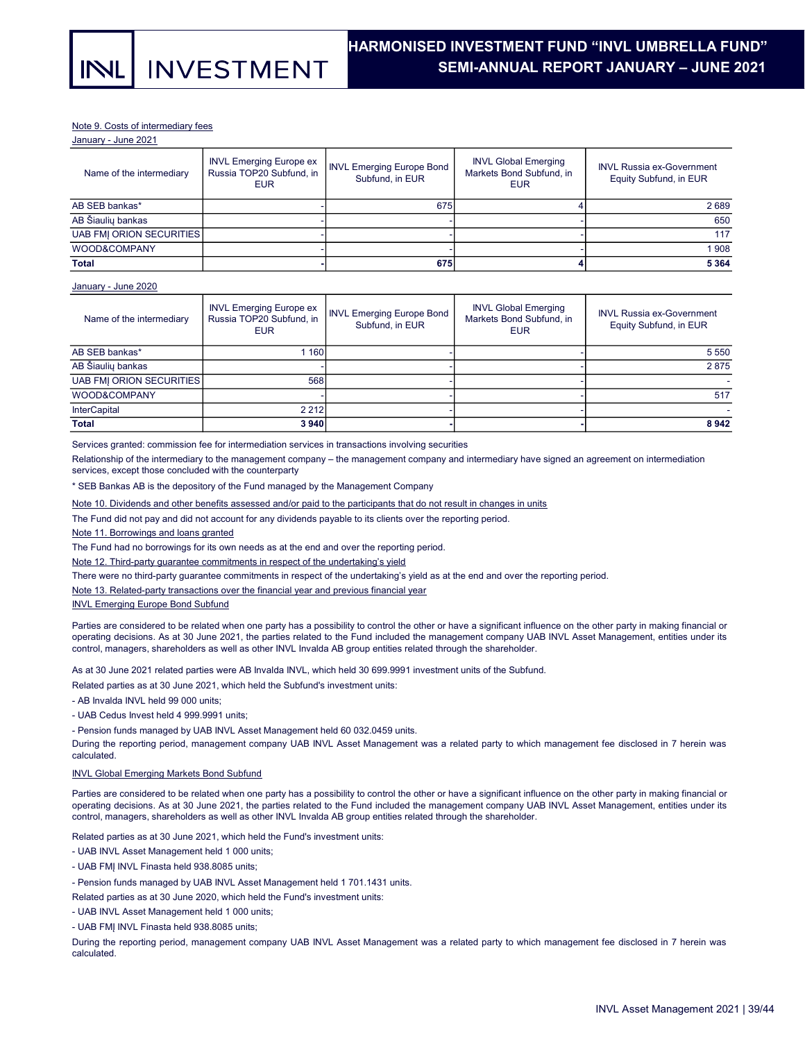#### Note 9. Costs of intermediary fees

January - June 2021

| Name of the intermediary | <b>INVL Emerging Europe ex</b><br>Russia TOP20 Subfund, in<br><b>EUR</b> | <b>INVL Emerging Europe Bond</b><br>Subfund, in EUR | <b>INVL Global Emerging</b><br>Markets Bond Subfund, in<br>EUR | <b>INVL Russia ex-Government</b><br>Equity Subfund, in EUR |
|--------------------------|--------------------------------------------------------------------------|-----------------------------------------------------|----------------------------------------------------------------|------------------------------------------------------------|
| AB SEB bankas*           |                                                                          | 675                                                 |                                                                | 2689                                                       |
| AB Šiauliu bankas        |                                                                          |                                                     |                                                                | 650                                                        |
| UAB FMI ORION SECURITIES |                                                                          |                                                     |                                                                | 117                                                        |
| <b>WOOD&amp;COMPANY</b>  |                                                                          |                                                     |                                                                | 1908                                                       |
| <b>Total</b>             |                                                                          | 675                                                 |                                                                | 5 3 6 4                                                    |

#### January - June 2020

| Name of the intermediary | <b>INVL Emerging Europe ex</b><br>Russia TOP20 Subfund, in<br><b>EUR</b> | <b>INVL Emerging Europe Bond</b><br>Subfund, in EUR | <b>INVL Global Emerging</b><br>Markets Bond Subfund, in<br><b>EUR</b> | <b>INVL Russia ex-Government</b><br>Equity Subfund, in EUR |
|--------------------------|--------------------------------------------------------------------------|-----------------------------------------------------|-----------------------------------------------------------------------|------------------------------------------------------------|
| AB SEB bankas*           | 160                                                                      |                                                     |                                                                       | 5 5 5 0                                                    |
| AB Šiauliu bankas        |                                                                          |                                                     |                                                                       | 2875                                                       |
| UAB FMI ORION SECURITIES | 568                                                                      |                                                     |                                                                       |                                                            |
| WOOD&COMPANY             |                                                                          |                                                     |                                                                       | 517                                                        |
| <b>InterCapital</b>      | 2 2 1 2                                                                  |                                                     |                                                                       |                                                            |
| <b>Total</b>             | 3940                                                                     |                                                     |                                                                       | 8942                                                       |

Services granted: commission fee for intermediation services in transactions involving securities

Relationship of the intermediary to the management company – the management company and intermediary have signed an agreement on intermediation services, except those concluded with the counterparty

\* SEB Bankas AB is the depository of the Fund managed by the Management Company

Note 10. Dividends and other benefits assessed and/or paid to the participants that do not result in changes in units

The Fund did not pay and did not account for any dividends payable to its clients over the reporting period.

Note 11. Borrowings and loans granted

The Fund had no borrowings for its own needs as at the end and over the reporting period.

Note 12. Third-party guarantee commitments in respect of the undertaking's yield

There were no third-party guarantee commitments in respect of the undertaking's yield as at the end and over the reporting period.

Note 13. Related-party transactions over the financial year and previous financial year

#### INVL Emerging Europe Bond Subfund

Parties are considered to be related when one party has a possibility to control the other or have a significant influence on the other party in making financial or operating decisions. As at 30 June 2021, the parties related to the Fund included the management company UAB INVL Asset Management, entities under its control, managers, shareholders as well as other INVL Invalda AB group entities related through the shareholder.

As at 30 June 2021 related parties were AB Invalda INVL, which held 30 699.9991 investment units of the Subfund.

Related parties as at 30 June 2021, which held the Subfund's investment units:

- AB Invalda INVL held 99 000 units;

- UAB Cedus Invest held 4 999.9991 units;

- Pension funds managed by UAB INVL Asset Management held 60 032.0459 units.

During the reporting period, management company UAB INVL Asset Management was a related party to which management fee disclosed in 7 herein was calculated.

#### INVL Global Emerging Markets Bond Subfund

Parties are considered to be related when one party has a possibility to control the other or have a significant influence on the other party in making financial or operating decisions. As at 30 June 2021, the parties related to the Fund included the management company UAB INVL Asset Management, entities under its control, managers, shareholders as well as other INVL Invalda AB group entities related through the shareholder.

Related parties as at 30 June 2021, which held the Fund's investment units:

- UAB INVL Asset Management held 1 000 units;

- UAB FMĮ INVL Finasta held 938.8085 units;
- Pension funds managed by UAB INVL Asset Management held 1 701.1431 units.

Related parties as at 30 June 2020, which held the Fund's investment units:

- UAB INVL Asset Management held 1 000 units;
- UAB FMĮ INVL Finasta held 938.8085 units;

During the reporting period, management company UAB INVL Asset Management was a related party to which management fee disclosed in 7 herein was calculated.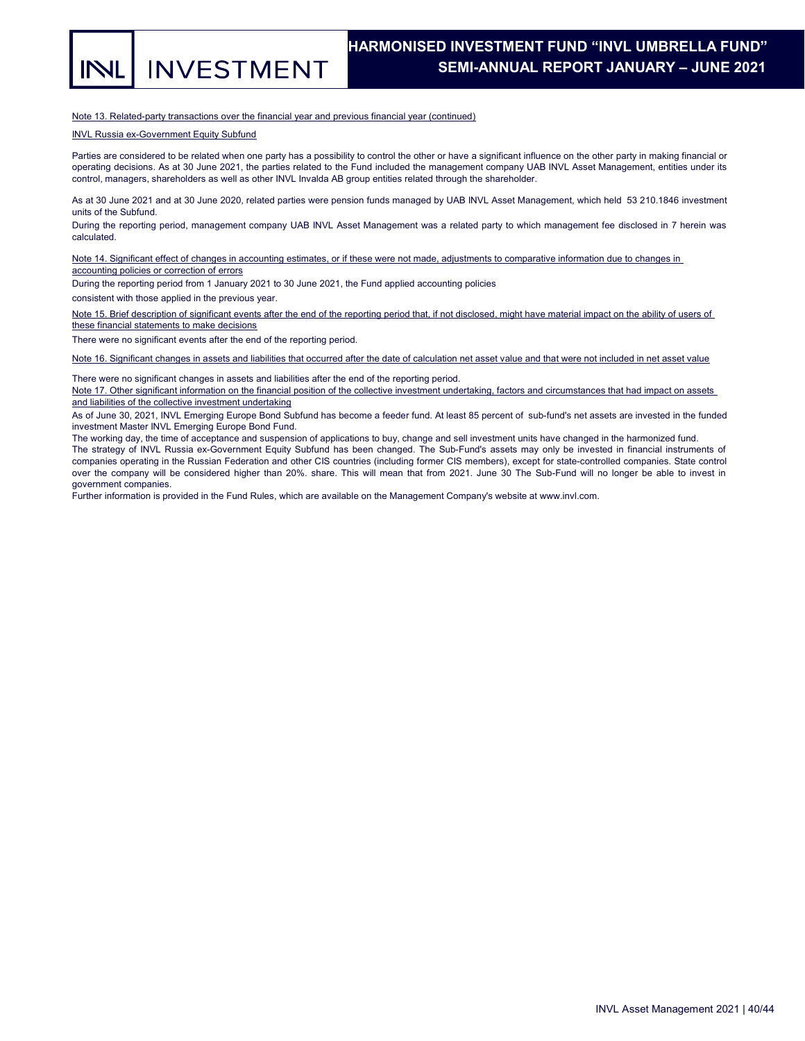**INVESTMENT** INL

Note 13. Related-party transactions over the financial year and previous financial year (continued)

INVL Russia ex-Government Equity Subfund

Parties are considered to be related when one party has a possibility to control the other or have a significant influence on the other party in making financial or operating decisions. As at 30 June 2021, the parties related to the Fund included the management company UAB INVL Asset Management, entities under its control, managers, shareholders as well as other INVL Invalda AB group entities related through the shareholder.

As at 30 June 2021 and at 30 June 2020, related parties were pension funds managed by UAB INVL Asset Management, which held 53 210.1846 investment units of the Subfund.

During the reporting period, management company UAB INVL Asset Management was a related party to which management fee disclosed in 7 herein was calculated.

Note 14. Significant effect of changes in accounting estimates, or if these were not made, adjustments to comparative information due to changes in accounting policies or correction of errors

During the reporting period from 1 January 2021 to 30 June 2021, the Fund applied accounting policies

consistent with those applied in the previous year.

Note 15. Brief description of significant events after the end of the reporting period that, if not disclosed, might have material impact on the ability of users of these financial statements to make decisions

There were no significant events after the end of the reporting period.

Note 16. Significant changes in assets and liabilities that occurred after the date of calculation net asset value and that were not included in net asset value

There were no significant changes in assets and liabilities after the end of the reporting period.

Note 17. Other significant information on the financial position of the collective investment undertaking, factors and circumstances that had impact on assets and liabilities of the collective investment undertaking

As of June 30, 2021, INVL Emerging Europe Bond Subfund has become a feeder fund. At least 85 percent of sub-fund's net assets are invested in the funded investment Master INVL Emerging Europe Bond Fund.

The working day, the time of acceptance and suspension of applications to buy, change and sell investment units have changed in the harmonized fund.

The strategy of INVL Russia ex-Government Equity Subfund has been changed. The Sub-Fund's assets may only be invested in financial instruments of companies operating in the Russian Federation and other CIS countries (including former CIS members), except for state-controlled companies. State control over the company will be considered higher than 20%. share. This will mean that from 2021. June 30 The Sub-Fund will no longer be able to invest in government companies.

Further information is provided in the Fund Rules, which are available on the Management Company's website at www.invl.com.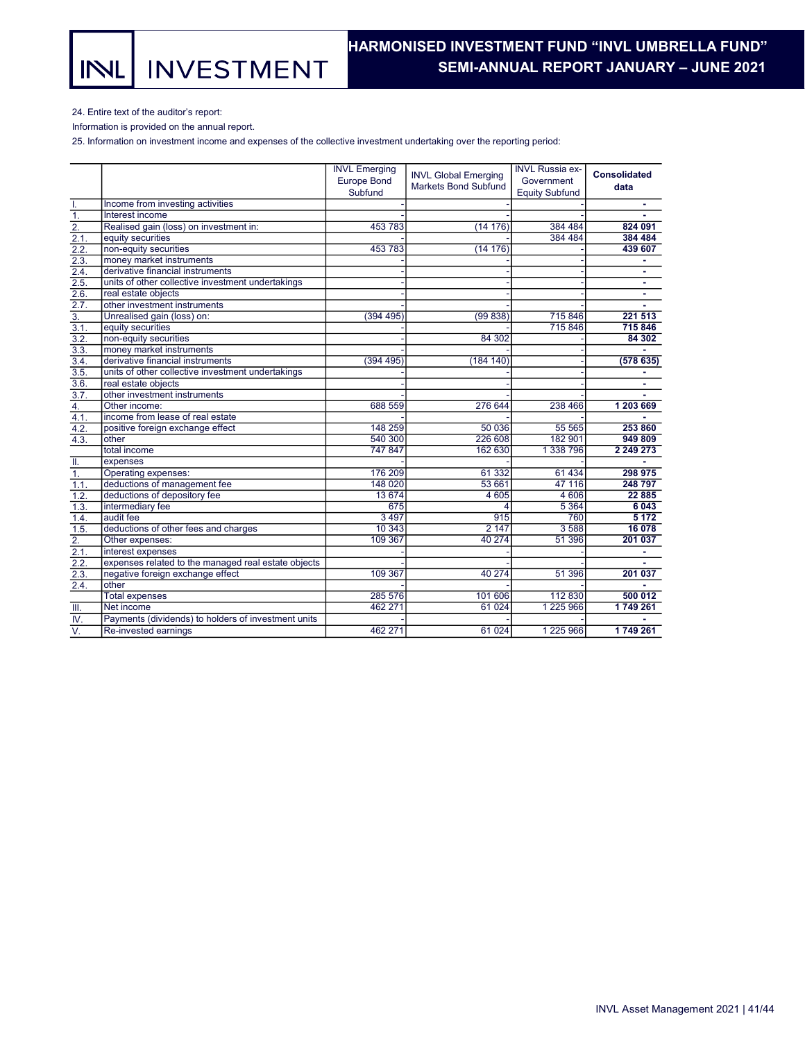**INVESTMENT** INL

## HARMONISED INVESTMENT FUND "INVL UMBRELLA FUND". SEMI-ANNUAL REPORT JANUARY – JUNE 2021 .

24. Entire text of the auditor's report:

Information is provided on the annual report.

25. Information on investment income and expenses of the collective investment undertaking over the reporting period:

|                           |                                                     | <b>INVL Emerging</b> |                                                            | <b>INVL Russia ex-</b> |                     |
|---------------------------|-----------------------------------------------------|----------------------|------------------------------------------------------------|------------------------|---------------------|
|                           |                                                     | <b>Europe Bond</b>   | <b>INVL Global Emerging</b><br><b>Markets Bond Subfund</b> | Government             | <b>Consolidated</b> |
|                           |                                                     | Subfund              |                                                            | <b>Equity Subfund</b>  | data                |
| T.                        | Income from investing activities                    |                      |                                                            |                        |                     |
| $\overline{1}$ .          | Interest income                                     |                      |                                                            |                        |                     |
| $\overline{2}$ .          | Realised gain (loss) on investment in:              | 453 783              | (14176)                                                    | 384 484                | 824 091             |
| 2.1.                      | equity securities                                   |                      |                                                            | 384 484                | 384 484             |
| 2.2.                      | non-equity securities                               | 453 783              | (14176)                                                    |                        | 439 607             |
| 2.3.                      | money market instruments                            |                      |                                                            |                        |                     |
| 2.4.                      | derivative financial instruments                    |                      |                                                            |                        | $\blacksquare$      |
| 2.5.                      | units of other collective investment undertakings   |                      |                                                            |                        | ٠                   |
| 2.6.                      | real estate objects                                 |                      |                                                            |                        | $\blacksquare$      |
| 2.7.                      | other investment instruments                        |                      |                                                            |                        |                     |
| $\overline{3}$ .          | Unrealised gain (loss) on:                          | (394 495)            | (99838)                                                    | 715 846                | 221 513             |
| 3.1.                      | equity securities                                   |                      |                                                            | 715 846                | 715 846             |
| 3.2.                      | non-equity securities                               |                      | 84 30 2                                                    |                        | 84 30 2             |
| 3.3.                      | money market instruments                            |                      |                                                            |                        |                     |
| 3.4.                      | derivative financial instruments                    | (394 495)            | (184 140)                                                  |                        | (578635)            |
| 3.5.                      | units of other collective investment undertakings   |                      |                                                            |                        |                     |
| 3.6.                      | real estate objects                                 |                      |                                                            |                        |                     |
| 3.7.                      | other investment instruments                        |                      |                                                            |                        |                     |
| 4.                        | Other income:                                       | 688 559              | 276 644                                                    | 238 466                | 1 203 669           |
| 4.1.                      | income from lease of real estate                    |                      |                                                            |                        |                     |
| 4.2.                      | positive foreign exchange effect                    | 148 259              | 50 036                                                     | 55 565                 | 253 860             |
| 4.3.                      | other                                               | 540 300              | 226 608                                                    | 182 901                | 949 809             |
|                           | total income                                        | 747 847              | 162 630                                                    | 1 338 796              | 2 2 4 9 2 7 3       |
| II.                       | expenses                                            |                      |                                                            |                        |                     |
| 1.                        | Operating expenses:                                 | 176 209              | 61 332                                                     | 61 4 34                | 298 975             |
| 1.1.                      | deductions of management fee                        | 148 020              | 53 661                                                     | 47 116                 | 248 797             |
| 1.2.                      | deductions of depository fee                        | 13 674               | 4 6 0 5                                                    | 4 60 6                 | 22 8 8 5            |
| 1.3.                      | intermediary fee                                    | 675                  |                                                            | 5 3 6 4                | 6 0 4 3             |
| 1.4.                      | audit fee                                           | 3 4 9 7              | 915                                                        | 760                    | 5 1 7 2             |
| 1.5.                      | deductions of other fees and charges                | 10 343               | 2 147                                                      | 3588                   | 16 078              |
| $\overline{2}$ .          | Other expenses:                                     | 109 367              | 40 274                                                     | 51 396                 | 201 037             |
| 2.1.                      | interest expenses                                   |                      |                                                            |                        | ٠                   |
| $\overline{2.2}$ .        | expenses related to the managed real estate objects |                      |                                                            |                        |                     |
| 2.3.                      | negative foreign exchange effect                    | 109 367              | 40 274                                                     | 51 396                 | 201 037             |
| 2.4.                      | other                                               |                      |                                                            |                        |                     |
|                           | <b>Total expenses</b>                               | 285 576              | 101 606                                                    | 112 830                | 500 012             |
| Ш.                        | Net income                                          | 462 271              | 61 0 24                                                    | 1 225 966              | 1749 261            |
| W.                        | Payments (dividends) to holders of investment units |                      |                                                            |                        |                     |
| $\overline{\mathsf{v}}$ . | Re-invested earnings                                | 462 271              | 61 0 24                                                    | 1 225 966              | 1749 261            |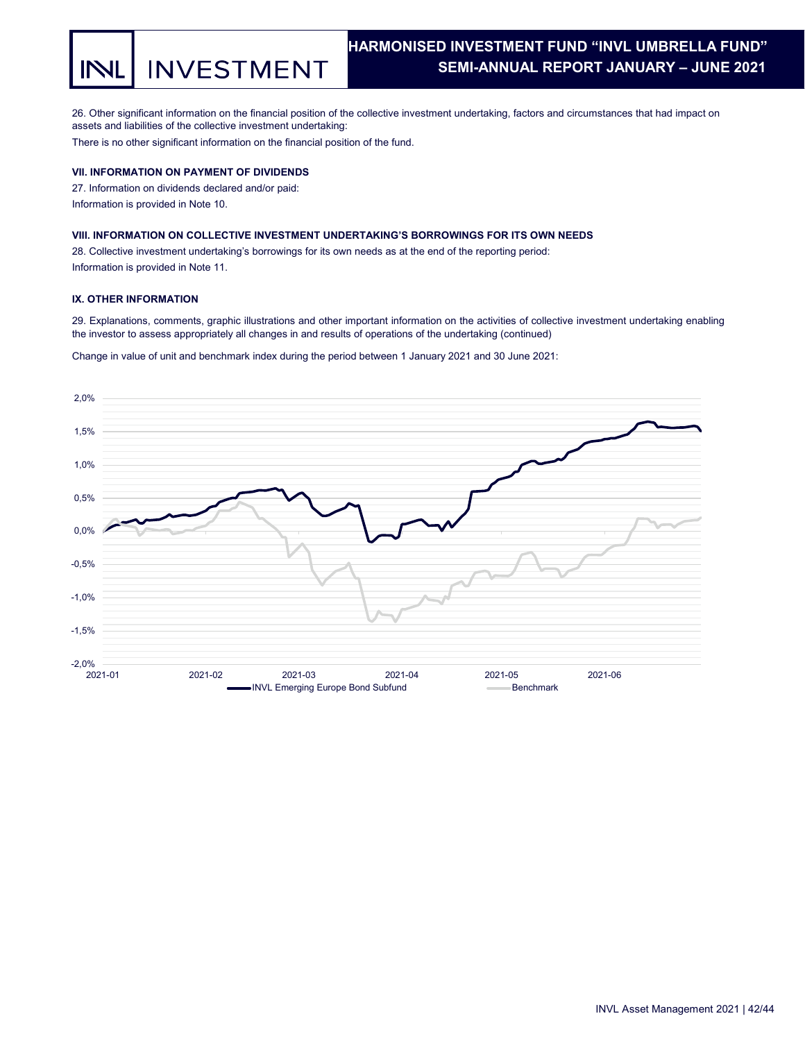**INVESTMENT** INI

## HARMONISED INVESTMENT FUND "INVL UMBRELLA FUND". SEMI-ANNUAL REPORT JANUARY – JUNE 2021 .

26. Other significant information on the financial position of the collective investment undertaking, factors and circumstances that had impact on assets and liabilities of the collective investment undertaking:

There is no other significant information on the financial position of the fund.

## VII. INFORMATION ON PAYMENT OF DIVIDENDS

27. Information on dividends declared and/or paid: Information is provided in Note 10.

## VIII. INFORMATION ON COLLECTIVE INVESTMENT UNDERTAKING'S BORROWINGS FOR ITS OWN NEEDS

28. Collective investment undertaking's borrowings for its own needs as at the end of the reporting period: Information is provided in Note 11.

### IX. OTHER INFORMATION

29. Explanations, comments, graphic illustrations and other important information on the activities of collective investment undertaking enabling the investor to assess appropriately all changes in and results of operations of the undertaking (continued)

Change in value of unit and benchmark index during the period between 1 January 2021 and 30 June 2021:

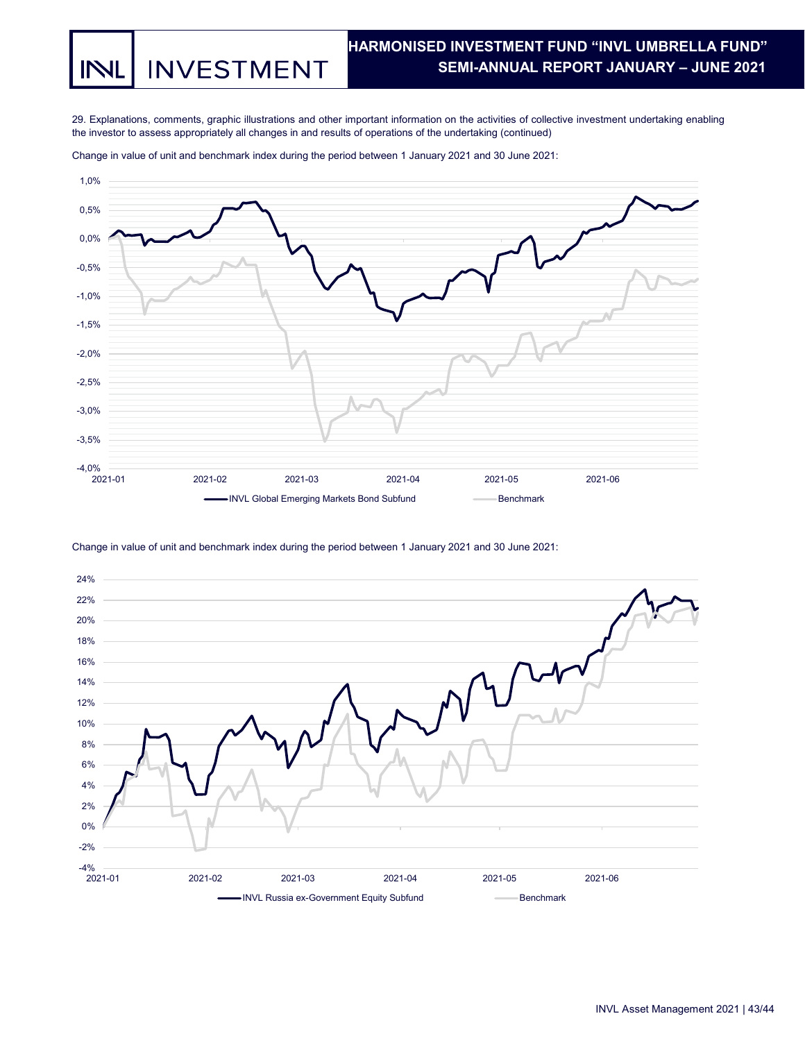**INVESTMENT** IN

## HARMONISED INVESTMENT FUND "INVL UMBRELLA FUND". SEMI-ANNUAL REPORT JANUARY – JUNE 2021 .

29. Explanations, comments, graphic illustrations and other important information on the activities of collective investment undertaking enabling the investor to assess appropriately all changes in and results of operations of the undertaking (continued)



Change in value of unit and benchmark index during the period between 1 January 2021 and 30 June 2021:

Change in value of unit and benchmark index during the period between 1 January 2021 and 30 June 2021: